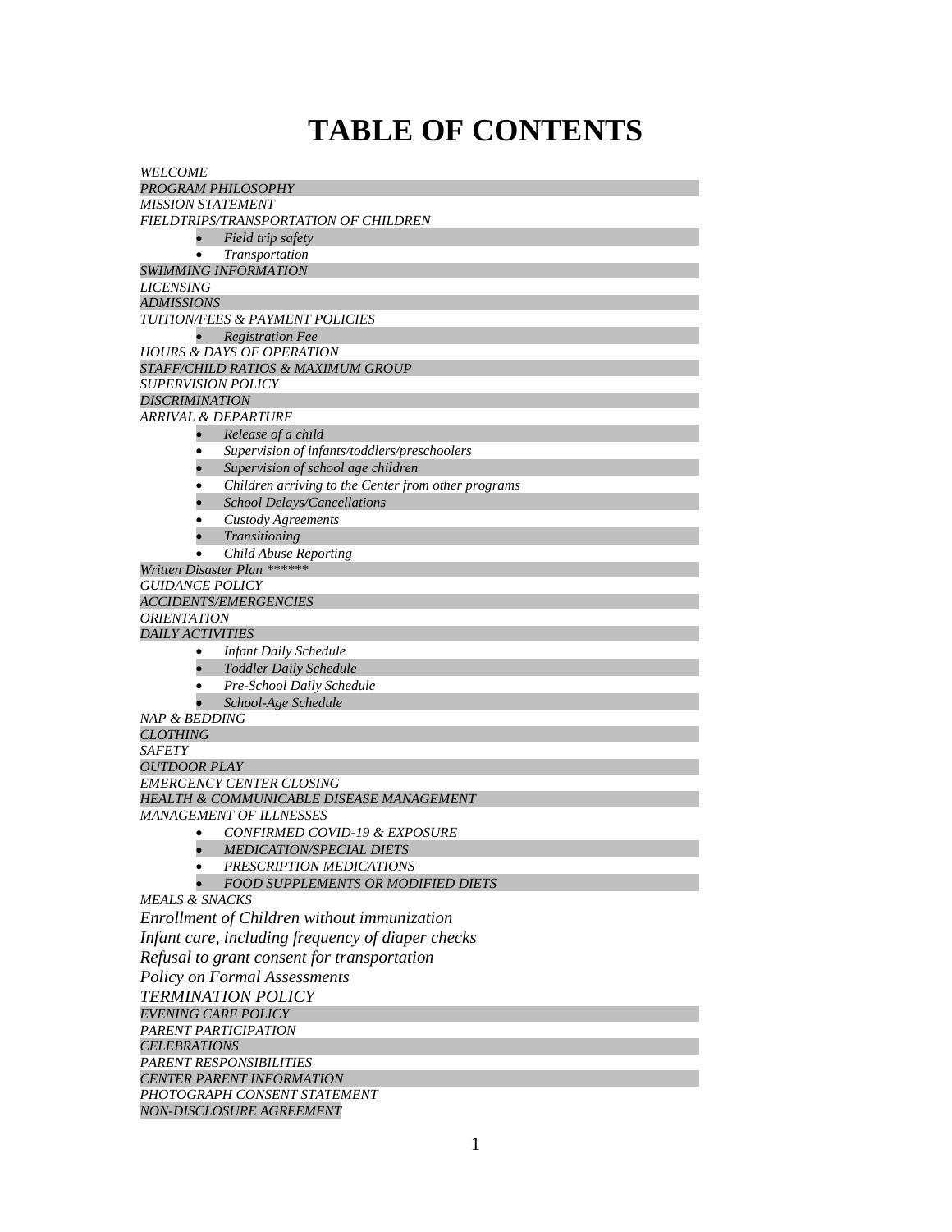## **TABLE OF CONTENTS**

| <i>WELCOME</i>                                              |                                                                                           |  |  |
|-------------------------------------------------------------|-------------------------------------------------------------------------------------------|--|--|
|                                                             | PROGRAM PHILOSOPHY                                                                        |  |  |
| MISSION STATEMENT                                           |                                                                                           |  |  |
|                                                             | FIELDTRIPS/TRANSPORTATION OF CHILDREN                                                     |  |  |
|                                                             | Field trip safety                                                                         |  |  |
| $\bullet$                                                   | Transportation                                                                            |  |  |
|                                                             | <b>SWIMMING INFORMATION</b>                                                               |  |  |
| <i>LICENSING</i>                                            |                                                                                           |  |  |
| <b>ADMISSIONS</b>                                           |                                                                                           |  |  |
|                                                             | <b>TUITION/FEES &amp; PAYMENT POLICIES</b>                                                |  |  |
| $\bullet$                                                   | <b>Registration Fee</b>                                                                   |  |  |
|                                                             | HOURS & DAYS OF OPERATION<br>STAFF/CHILD RATIOS & MAXIMUM GROUP                           |  |  |
| SUPERVISION POLICY                                          |                                                                                           |  |  |
| <b>DISCRIMINATION</b>                                       |                                                                                           |  |  |
| ARRIVAL & DEPARTURE                                         |                                                                                           |  |  |
| $\bullet$                                                   | Release of a child                                                                        |  |  |
|                                                             | Supervision of infants/toddlers/preschoolers                                              |  |  |
|                                                             |                                                                                           |  |  |
|                                                             | Supervision of school age children<br>Children arriving to the Center from other programs |  |  |
|                                                             | <b>School Delays/Cancellations</b>                                                        |  |  |
|                                                             | Custody Agreements                                                                        |  |  |
|                                                             | Transitioning                                                                             |  |  |
|                                                             | Child Abuse Reporting                                                                     |  |  |
|                                                             | Written Disaster Plan ******                                                              |  |  |
| <i>GUIDANCE POLICY</i>                                      |                                                                                           |  |  |
|                                                             | <i>ACCIDENTS/EMERGENCIES</i>                                                              |  |  |
| <b>ORIENTATION</b>                                          |                                                                                           |  |  |
| <b>DAILY ACTIVITIES</b>                                     |                                                                                           |  |  |
| $\bullet$                                                   | <b>Infant Daily Schedule</b>                                                              |  |  |
|                                                             | <b>Toddler Daily Schedule</b>                                                             |  |  |
|                                                             | Pre-School Daily Schedule                                                                 |  |  |
|                                                             | School-Age Schedule                                                                       |  |  |
| <i>NAP &amp; BEDDING</i>                                    |                                                                                           |  |  |
| <b>CLOTHING</b>                                             |                                                                                           |  |  |
| <b>SAFETY</b>                                               |                                                                                           |  |  |
| <b>OUTDOOR PLAY</b>                                         |                                                                                           |  |  |
|                                                             | <b>EMERGENCY CENTER CLOSING</b>                                                           |  |  |
|                                                             | HEALTH & COMMUNICABLE DISEASE MANAGEMENT                                                  |  |  |
|                                                             | <b>MANAGEMENT OF ILLNESSES</b>                                                            |  |  |
| ٠                                                           | CONFIRMED COVID-19 & EXPOSURE                                                             |  |  |
| $\bullet$                                                   | <b>MEDICATION/SPECIAL DIETS</b>                                                           |  |  |
|                                                             | PRESCRIPTION MEDICATIONS                                                                  |  |  |
|                                                             | <b>FOOD SUPPLEMENTS OR MODIFIED DIETS</b>                                                 |  |  |
| <b>MEALS &amp; SNACKS</b>                                   |                                                                                           |  |  |
|                                                             | Enrollment of Children without immunization                                               |  |  |
| Infant care, including frequency of diaper checks           |                                                                                           |  |  |
| Refusal to grant consent for transportation                 |                                                                                           |  |  |
| <b>Policy on Formal Assessments</b>                         |                                                                                           |  |  |
| <b>TERMINATION POLICY</b>                                   |                                                                                           |  |  |
| <b>EVENING CARE POLICY</b>                                  |                                                                                           |  |  |
| PARENT PARTICIPATION                                        |                                                                                           |  |  |
| <b>CELEBRATIONS</b>                                         |                                                                                           |  |  |
| PARENT RESPONSIBILITIES<br><b>CENTER PARENT INFORMATION</b> |                                                                                           |  |  |
|                                                             |                                                                                           |  |  |
|                                                             | PHOTOGRAPH CONSENT STATEMENT<br><b>NON-DISCLOSURE AGREEMENT</b>                           |  |  |
|                                                             |                                                                                           |  |  |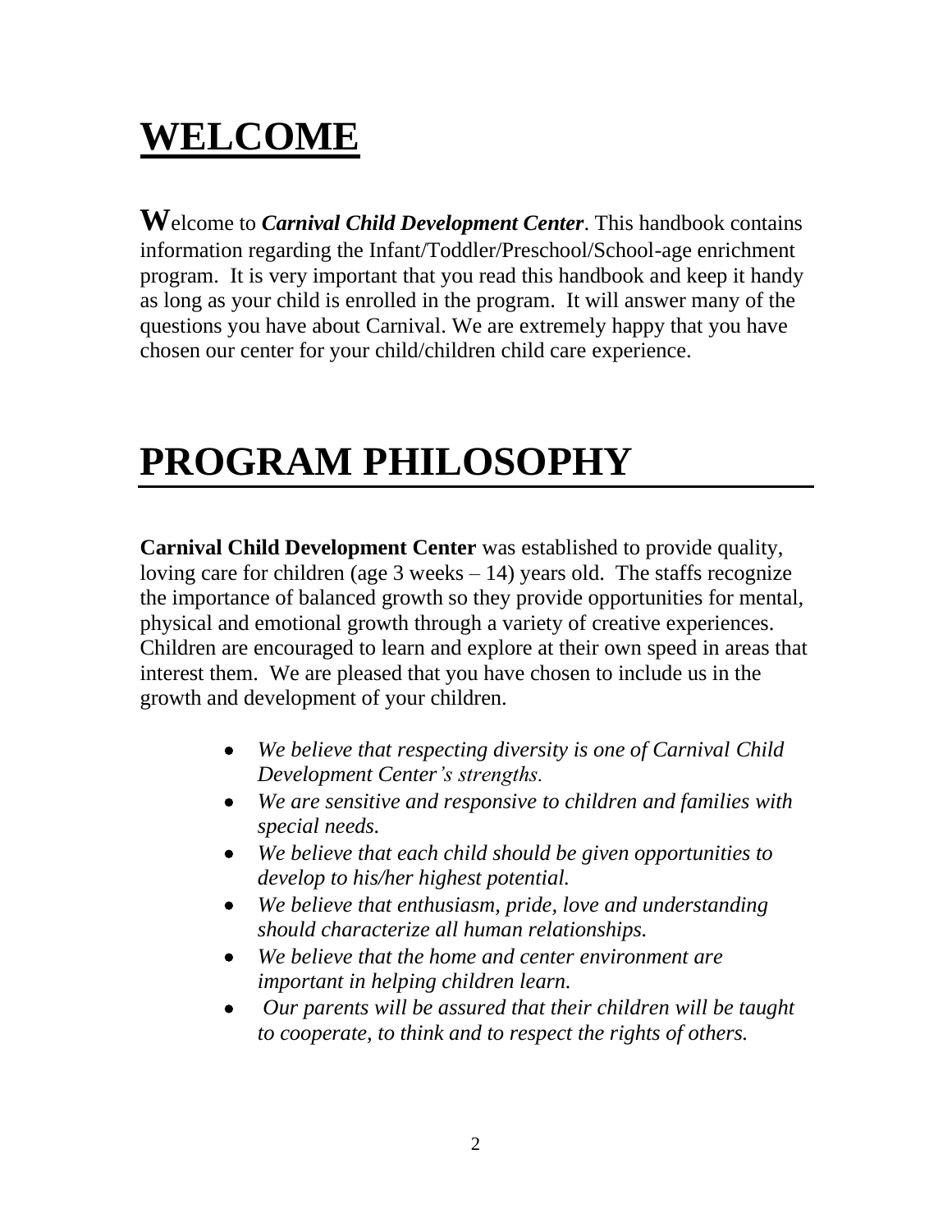# **WELCOME**

**W**elcome to *Carnival Child Development Center*. This handbook contains information regarding the Infant/Toddler/Preschool/School-age enrichment program. It is very important that you read this handbook and keep it handy as long as your child is enrolled in the program. It will answer many of the questions you have about Carnival. We are extremely happy that you have chosen our center for your child/children child care experience.

# **PROGRAM PHILOSOPHY**

**Carnival Child Development Center** was established to provide quality, loving care for children (age  $3$  weeks  $-14$ ) years old. The staffs recognize the importance of balanced growth so they provide opportunities for mental, physical and emotional growth through a variety of creative experiences. Children are encouraged to learn and explore at their own speed in areas that interest them. We are pleased that you have chosen to include us in the growth and development of your children.

- *We believe that respecting diversity is one of Carnival Child Development Center's strengths.*
- *We are sensitive and responsive to children and families with special needs.*
- *We believe that each child should be given opportunities to develop to his/her highest potential.*
- *We believe that enthusiasm, pride, love and understanding should characterize all human relationships.*
- *We believe that the home and center environment are important in helping children learn.*
- *Our parents will be assured that their children will be taught to cooperate, to think and to respect the rights of others.*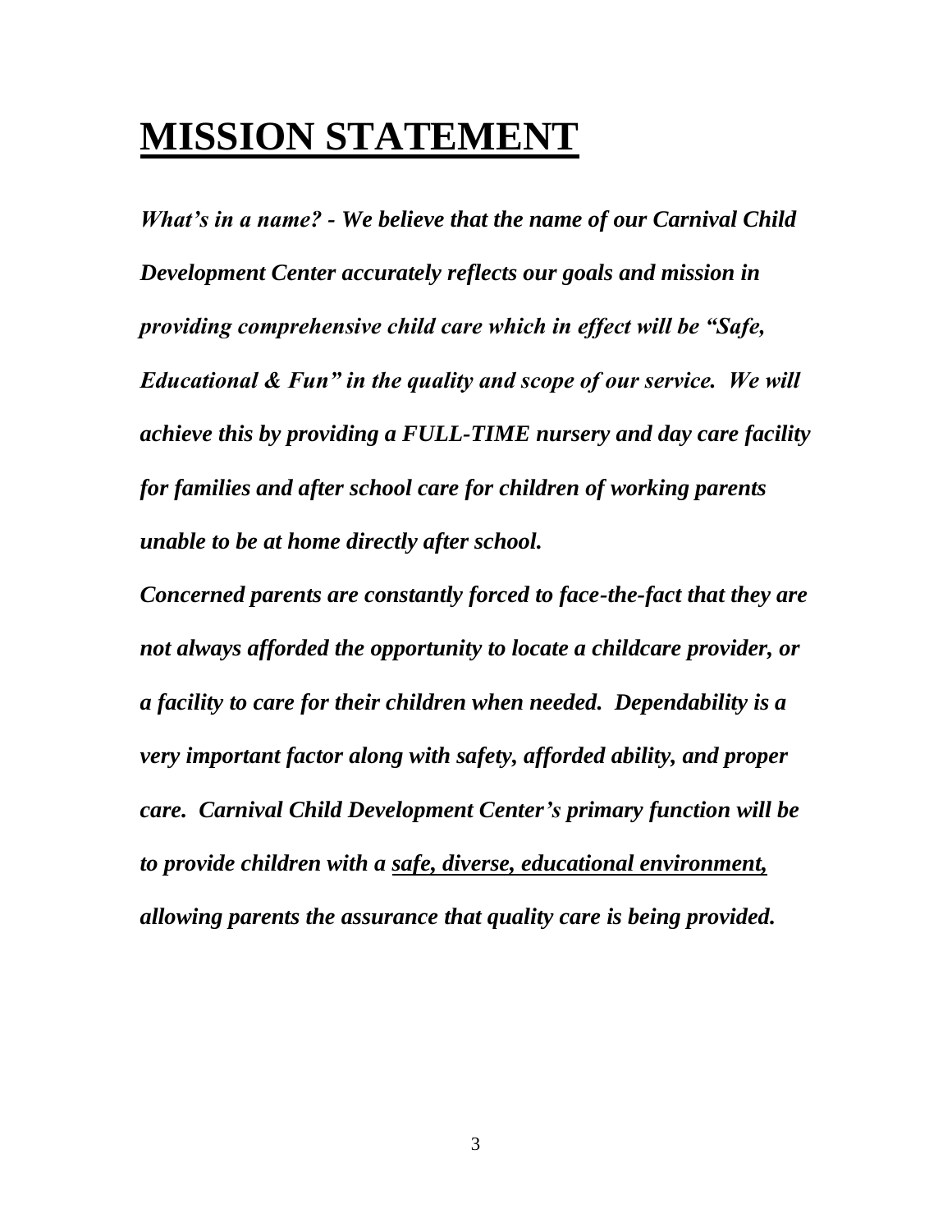# **MISSION STATEMENT**

*What's in a name? - We believe that the name of our Carnival Child Development Center accurately reflects our goals and mission in providing comprehensive child care which in effect will be "Safe, Educational & Fun" in the quality and scope of our service. We will achieve this by providing a FULL-TIME nursery and day care facility for families and after school care for children of working parents unable to be at home directly after school.*

*Concerned parents are constantly forced to face-the-fact that they are not always afforded the opportunity to locate a childcare provider, or a facility to care for their children when needed. Dependability is a very important factor along with safety, afforded ability, and proper care. Carnival Child Development Center's primary function will be to provide children with a safe, diverse, educational environment, allowing parents the assurance that quality care is being provided.*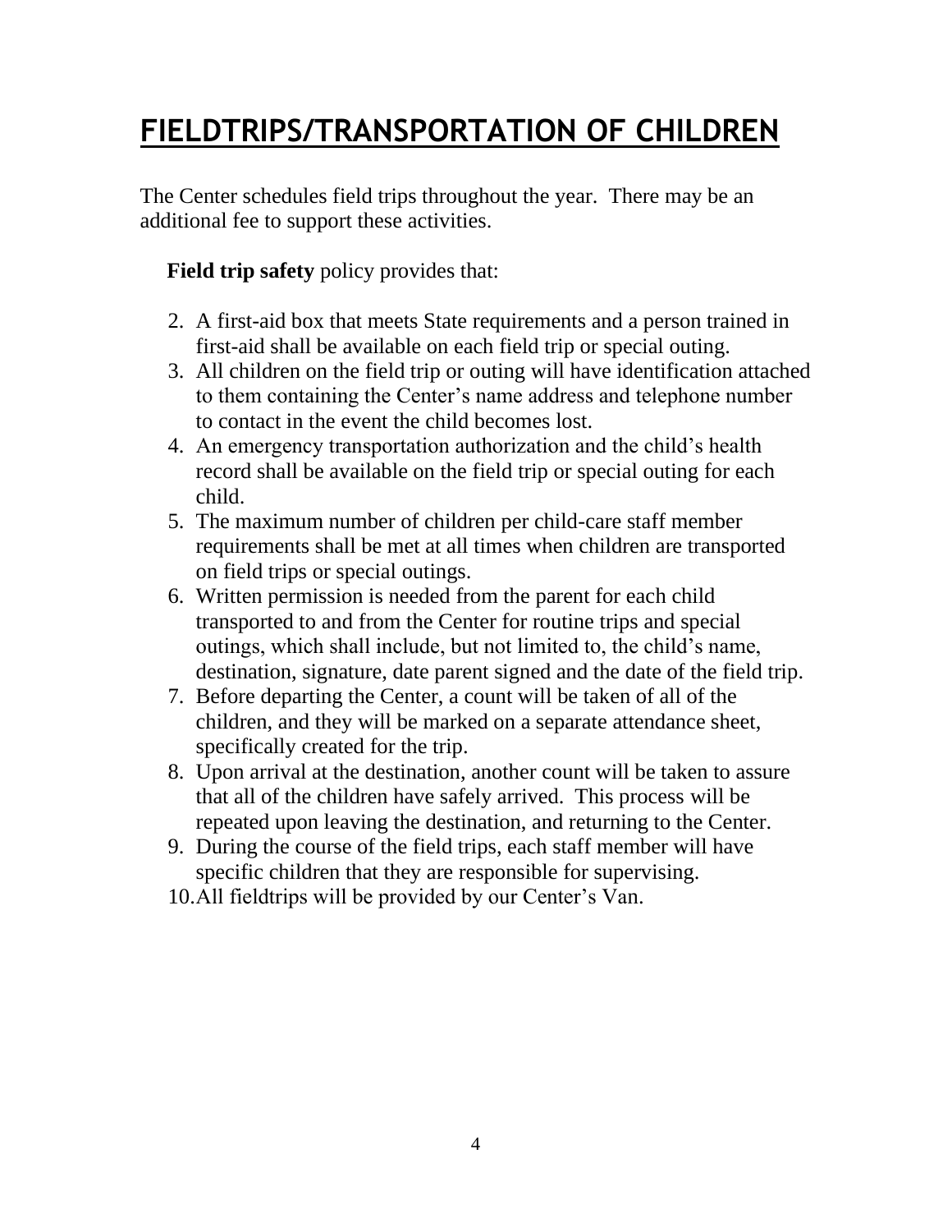## **FIELDTRIPS/TRANSPORTATION OF CHILDREN**

The Center schedules field trips throughout the year. There may be an additional fee to support these activities.

### **Field trip safety** policy provides that:

- 2. A first-aid box that meets State requirements and a person trained in first-aid shall be available on each field trip or special outing.
- 3. All children on the field trip or outing will have identification attached to them containing the Center's name address and telephone number to contact in the event the child becomes lost.
- 4. An emergency transportation authorization and the child's health record shall be available on the field trip or special outing for each child.
- 5. The maximum number of children per child-care staff member requirements shall be met at all times when children are transported on field trips or special outings.
- 6. Written permission is needed from the parent for each child transported to and from the Center for routine trips and special outings, which shall include, but not limited to, the child's name, destination, signature, date parent signed and the date of the field trip.
- 7. Before departing the Center, a count will be taken of all of the children, and they will be marked on a separate attendance sheet, specifically created for the trip.
- 8. Upon arrival at the destination, another count will be taken to assure that all of the children have safely arrived. This process will be repeated upon leaving the destination, and returning to the Center.
- 9. During the course of the field trips, each staff member will have specific children that they are responsible for supervising.
- 10.All fieldtrips will be provided by our Center's Van.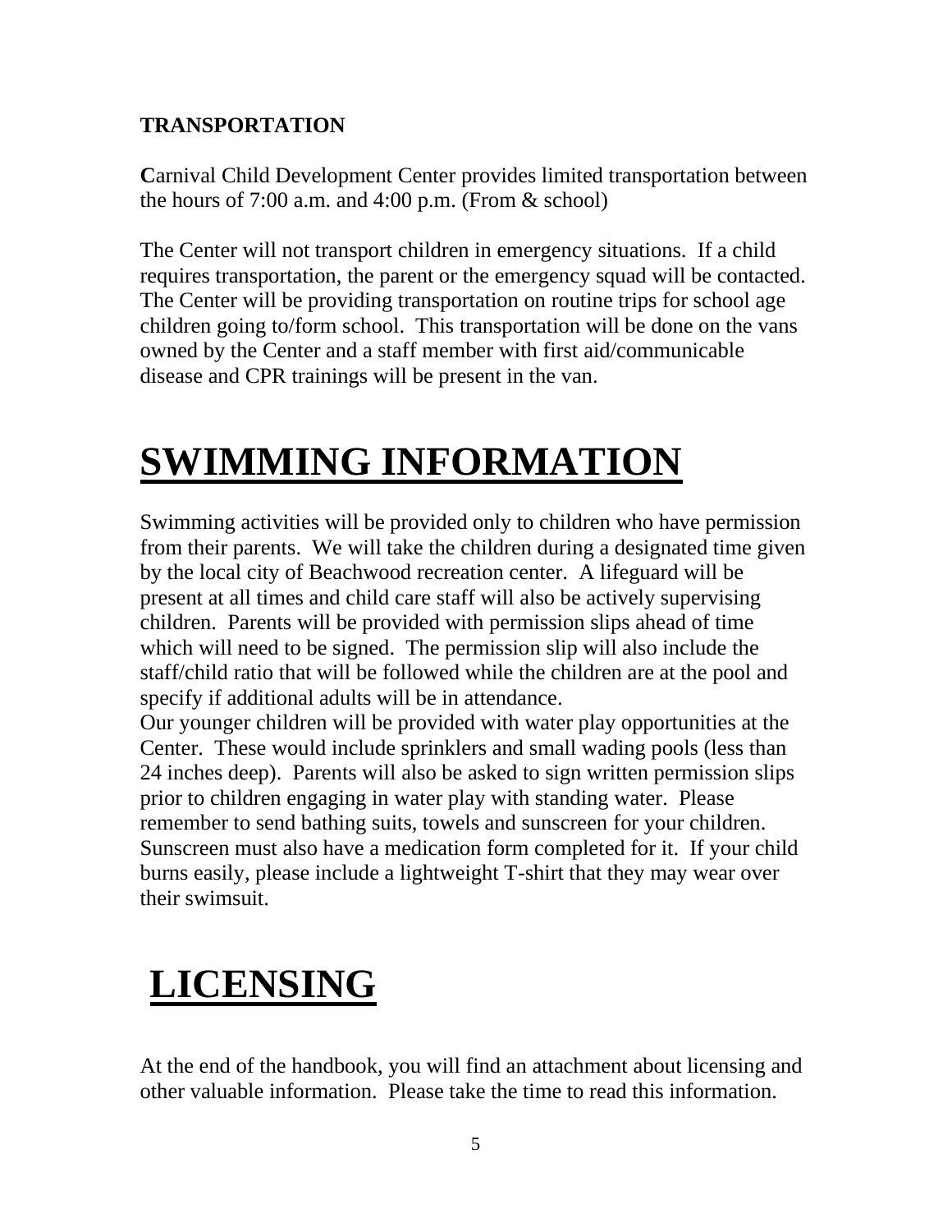### **TRANSPORTATION**

**C**arnival Child Development Center provides limited transportation between the hours of  $7:00$  a.m. and  $4:00$  p.m. (From  $\&$  school)

The Center will not transport children in emergency situations. If a child requires transportation, the parent or the emergency squad will be contacted. The Center will be providing transportation on routine trips for school age children going to/form school. This transportation will be done on the vans owned by the Center and a staff member with first aid/communicable disease and CPR trainings will be present in the van.

# **SWIMMING INFORMATION**

Swimming activities will be provided only to children who have permission from their parents. We will take the children during a designated time given by the local city of Beachwood recreation center. A lifeguard will be present at all times and child care staff will also be actively supervising children. Parents will be provided with permission slips ahead of time which will need to be signed. The permission slip will also include the staff/child ratio that will be followed while the children are at the pool and specify if additional adults will be in attendance.

Our younger children will be provided with water play opportunities at the Center. These would include sprinklers and small wading pools (less than 24 inches deep). Parents will also be asked to sign written permission slips prior to children engaging in water play with standing water. Please remember to send bathing suits, towels and sunscreen for your children. Sunscreen must also have a medication form completed for it. If your child burns easily, please include a lightweight T-shirt that they may wear over their swimsuit.

# **LICENSING**

At the end of the handbook, you will find an attachment about licensing and other valuable information. Please take the time to read this information.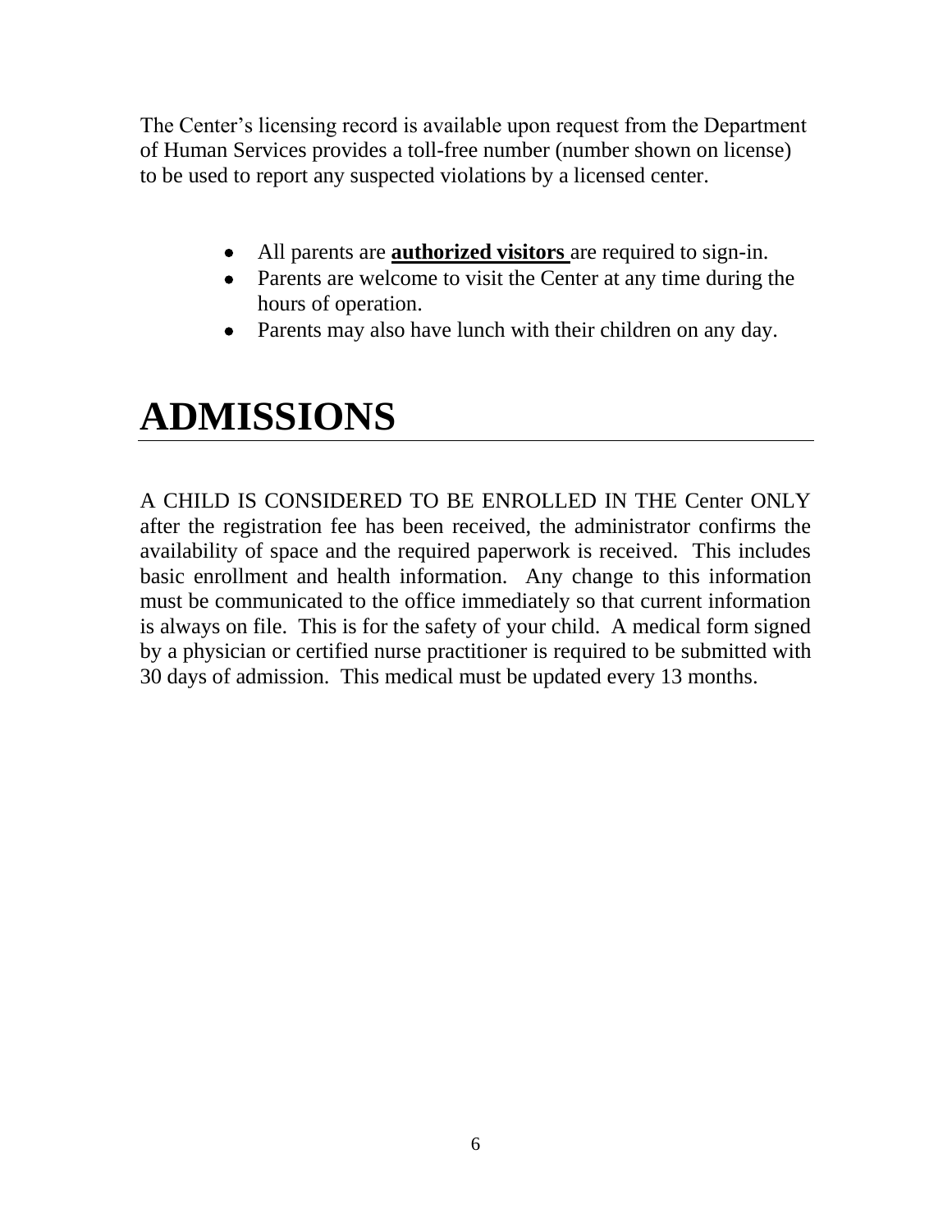The Center's licensing record is available upon request from the Department of Human Services provides a toll-free number (number shown on license) to be used to report any suspected violations by a licensed center.

- All parents are **authorized visitors** are required to sign-in.
- Parents are welcome to visit the Center at any time during the hours of operation.
- Parents may also have lunch with their children on any day.

# **ADMISSIONS**

A CHILD IS CONSIDERED TO BE ENROLLED IN THE Center ONLY after the registration fee has been received, the administrator confirms the availability of space and the required paperwork is received. This includes basic enrollment and health information. Any change to this information must be communicated to the office immediately so that current information is always on file. This is for the safety of your child. A medical form signed by a physician or certified nurse practitioner is required to be submitted with 30 days of admission. This medical must be updated every 13 months.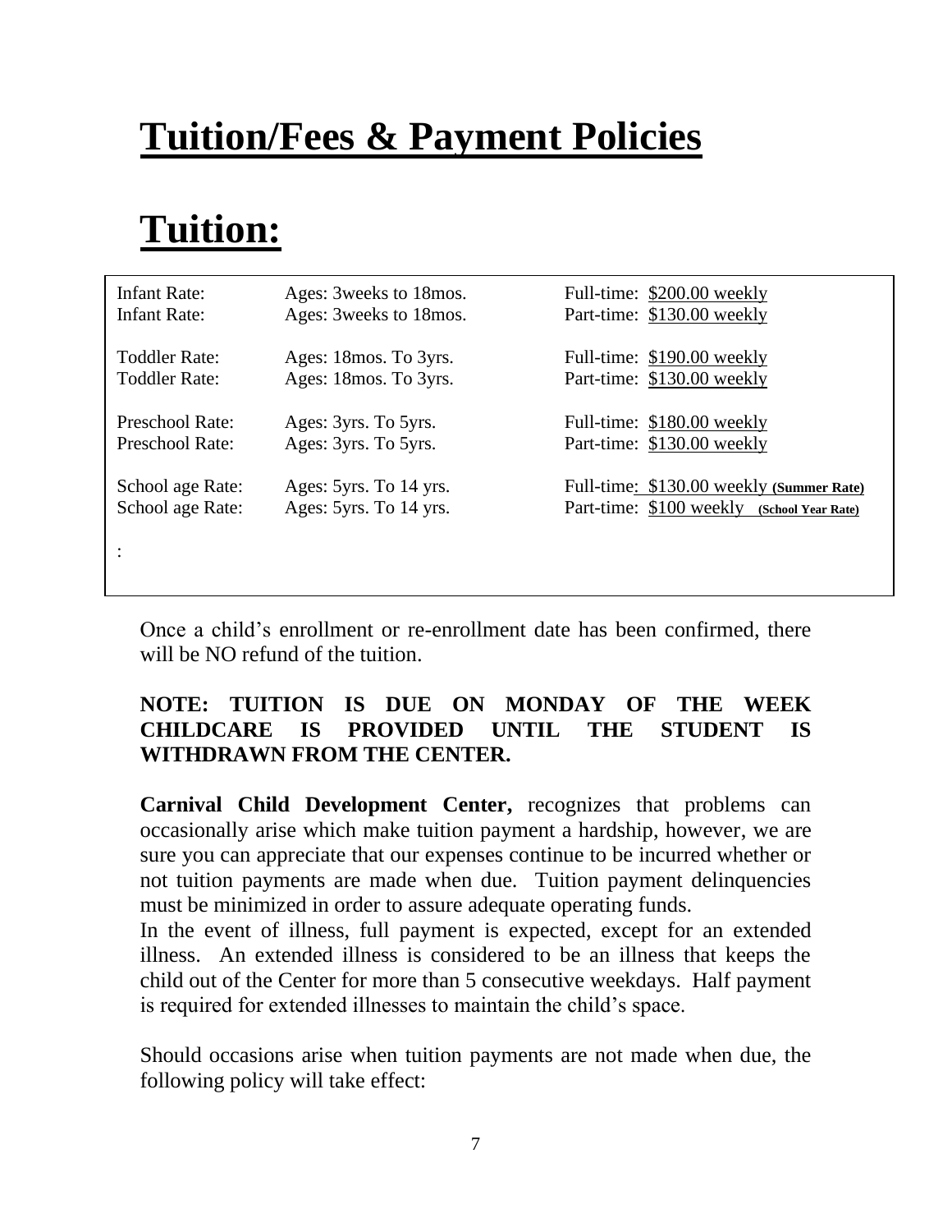# **Tuition/Fees & Payment Policies**

# **Tuition:**

| Infant Rate:                         | Ages: 3 weeks to 18 mos.                         | Full-time: \$200.00 weekly                                                                |
|--------------------------------------|--------------------------------------------------|-------------------------------------------------------------------------------------------|
| <b>Infant Rate:</b>                  | Ages: 3 weeks to 18 mos.                         | Part-time: \$130.00 weekly                                                                |
| Toddler Rate:                        | Ages: 18 mos. To 3 yrs.                          | Full-time: \$190.00 weekly                                                                |
| <b>Toddler Rate:</b>                 | Ages: 18 mos. To 3yrs.                           | Part-time: \$130.00 weekly                                                                |
| Preschool Rate:                      | Ages: 3yrs. To 5yrs.                             | Full-time: \$180.00 weekly                                                                |
| Preschool Rate:                      | Ages: 3yrs. To 5yrs.                             | Part-time: \$130.00 weekly                                                                |
| School age Rate:<br>School age Rate: | Ages: 5yrs. To 14 yrs.<br>Ages: 5yrs. To 14 yrs. | Full-time: \$130.00 weekly (Summer Rate)<br>Part-time: \$100 weekly<br>(School Year Rate) |
|                                      |                                                  |                                                                                           |

Once a child's enrollment or re-enrollment date has been confirmed, there will be NO refund of the tuition.

### **NOTE: TUITION IS DUE ON MONDAY OF THE WEEK CHILDCARE IS PROVIDED UNTIL THE STUDENT IS WITHDRAWN FROM THE CENTER.**

**Carnival Child Development Center,** recognizes that problems can occasionally arise which make tuition payment a hardship, however, we are sure you can appreciate that our expenses continue to be incurred whether or not tuition payments are made when due. Tuition payment delinquencies must be minimized in order to assure adequate operating funds.

In the event of illness, full payment is expected, except for an extended illness. An extended illness is considered to be an illness that keeps the child out of the Center for more than 5 consecutive weekdays. Half payment is required for extended illnesses to maintain the child's space.

Should occasions arise when tuition payments are not made when due, the following policy will take effect: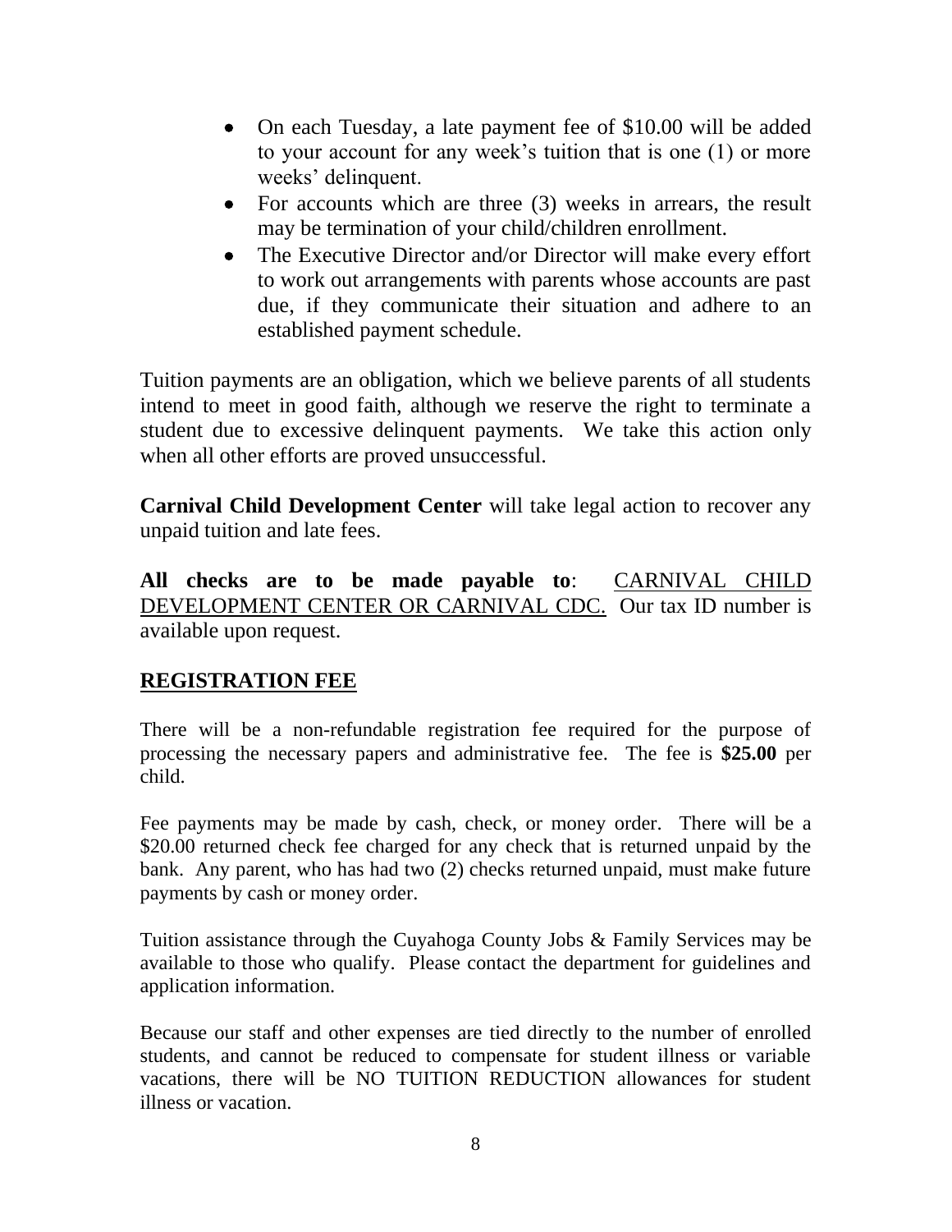- On each Tuesday, a late payment fee of \$10.00 will be added to your account for any week's tuition that is one (1) or more weeks' delinquent.
- For accounts which are three (3) weeks in arrears, the result may be termination of your child/children enrollment.
- The Executive Director and/or Director will make every effort to work out arrangements with parents whose accounts are past due, if they communicate their situation and adhere to an established payment schedule.

Tuition payments are an obligation, which we believe parents of all students intend to meet in good faith, although we reserve the right to terminate a student due to excessive delinquent payments. We take this action only when all other efforts are proved unsuccessful.

**Carnival Child Development Center** will take legal action to recover any unpaid tuition and late fees.

**All checks are to be made payable to**: CARNIVAL CHILD DEVELOPMENT CENTER OR CARNIVAL CDC. Our tax ID number is available upon request.

### **REGISTRATION FEE**

There will be a non-refundable registration fee required for the purpose of processing the necessary papers and administrative fee. The fee is **\$25.00** per child.

Fee payments may be made by cash, check, or money order. There will be a \$20.00 returned check fee charged for any check that is returned unpaid by the bank. Any parent, who has had two (2) checks returned unpaid, must make future payments by cash or money order.

Tuition assistance through the Cuyahoga County Jobs & Family Services may be available to those who qualify. Please contact the department for guidelines and application information.

Because our staff and other expenses are tied directly to the number of enrolled students, and cannot be reduced to compensate for student illness or variable vacations, there will be NO TUITION REDUCTION allowances for student illness or vacation.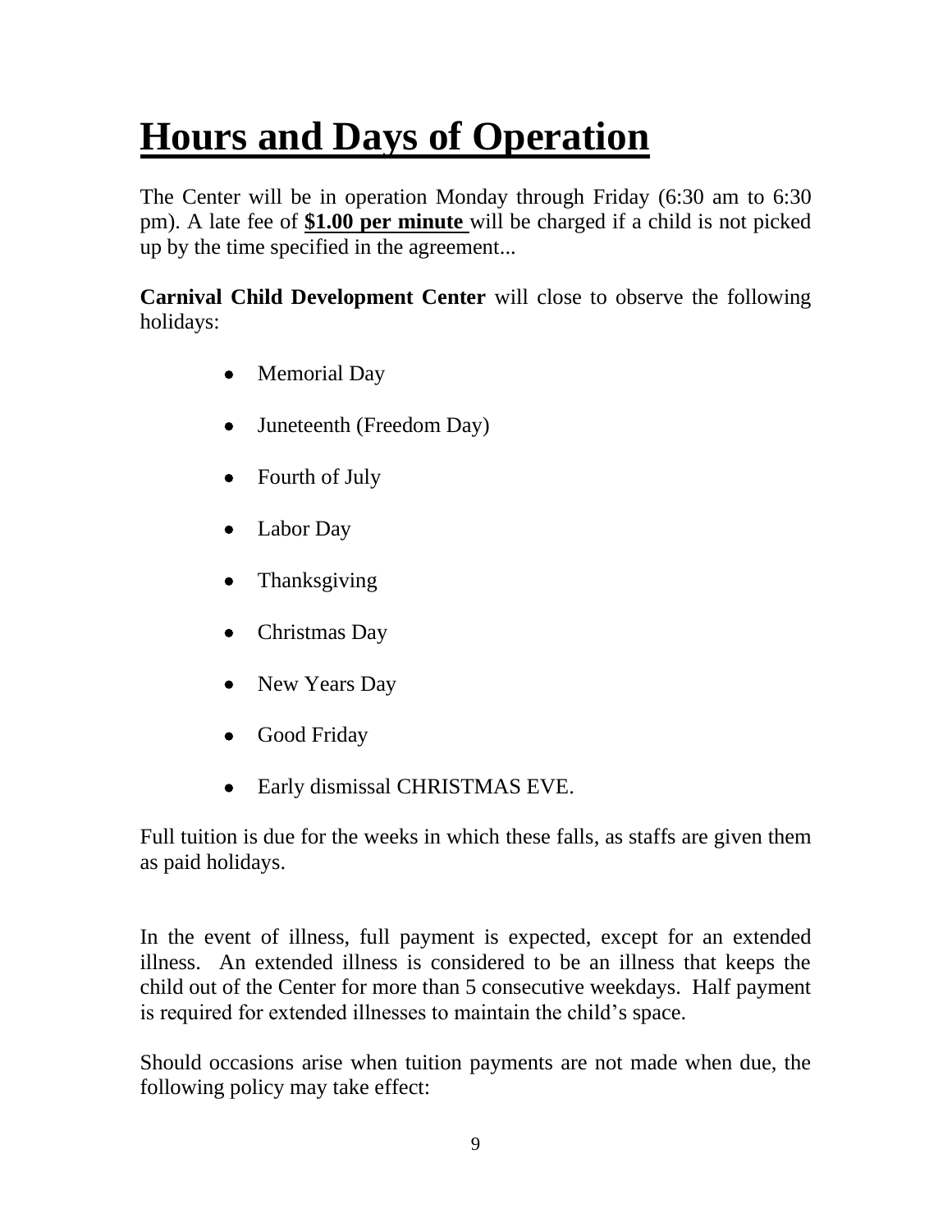# **Hours and Days of Operation**

The Center will be in operation Monday through Friday (6:30 am to 6:30 pm). A late fee of **\$1.00 per minute** will be charged if a child is not picked up by the time specified in the agreement...

**Carnival Child Development Center** will close to observe the following holidays:

- Memorial Day
- Juneteenth (Freedom Day)
- Fourth of July
- Labor Day
- Thanksgiving
- Christmas Day
- New Years Day
- Good Friday
- Early dismissal CHRISTMAS EVE.

Full tuition is due for the weeks in which these falls, as staffs are given them as paid holidays.

In the event of illness, full payment is expected, except for an extended illness. An extended illness is considered to be an illness that keeps the child out of the Center for more than 5 consecutive weekdays. Half payment is required for extended illnesses to maintain the child's space.

Should occasions arise when tuition payments are not made when due, the following policy may take effect: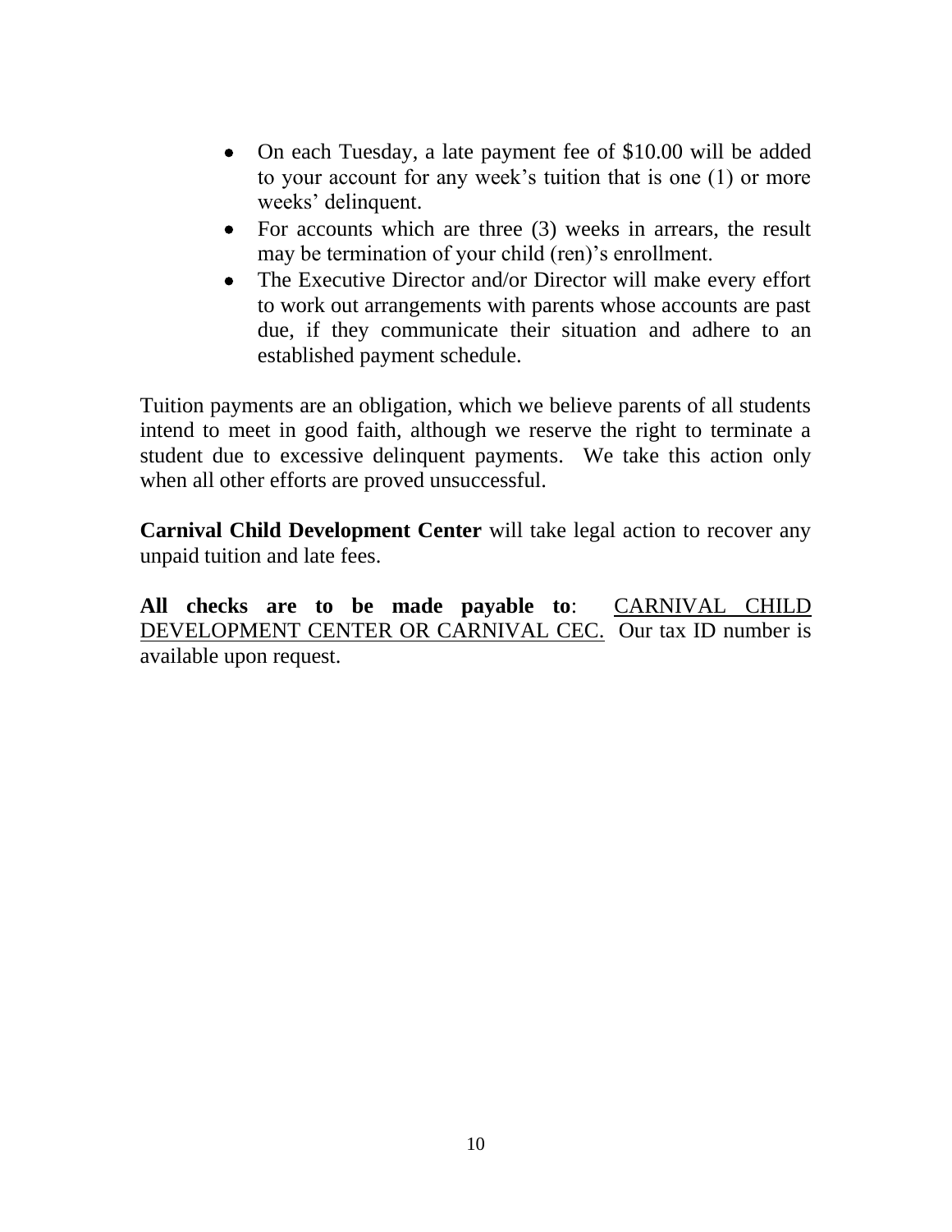- On each Tuesday, a late payment fee of \$10.00 will be added to your account for any week's tuition that is one (1) or more weeks' delinquent.
- For accounts which are three (3) weeks in arrears, the result may be termination of your child (ren)'s enrollment.
- The Executive Director and/or Director will make every effort to work out arrangements with parents whose accounts are past due, if they communicate their situation and adhere to an established payment schedule.

Tuition payments are an obligation, which we believe parents of all students intend to meet in good faith, although we reserve the right to terminate a student due to excessive delinquent payments. We take this action only when all other efforts are proved unsuccessful.

**Carnival Child Development Center** will take legal action to recover any unpaid tuition and late fees.

**All checks are to be made payable to**: CARNIVAL CHILD DEVELOPMENT CENTER OR CARNIVAL CEC. Our tax ID number is available upon request.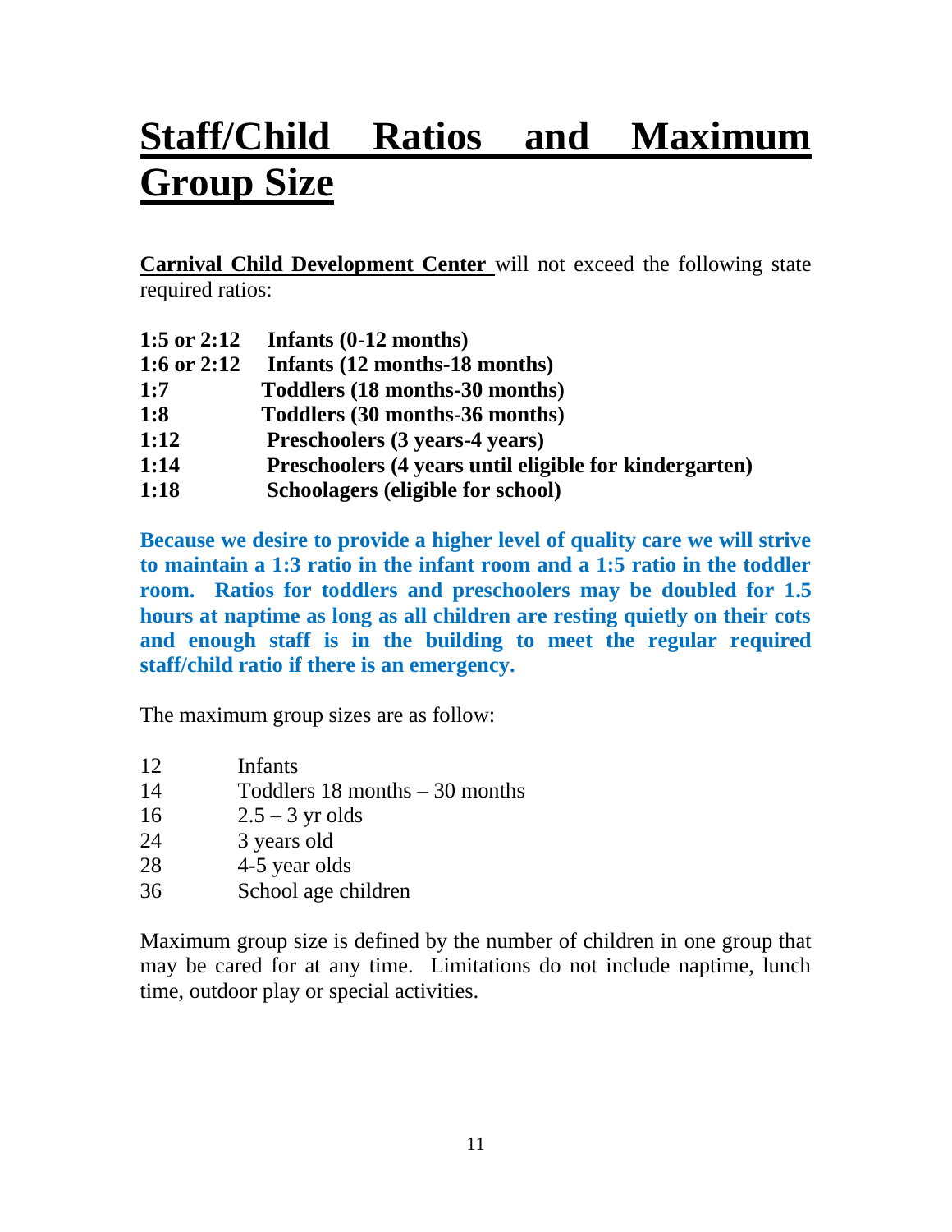# **Staff/Child Ratios and Maximum Group Size**

**Carnival Child Development Center** will not exceed the following state required ratios:

| 1:5 or 2:12 | Infants $(0-12 \text{ months})$                        |
|-------------|--------------------------------------------------------|
| 1:6 or 2:12 | Infants (12 months-18 months)                          |
| 1:7         | Toddlers (18 months-30 months)                         |
| 1:8         | Toddlers (30 months-36 months)                         |
| 1:12        | Preschoolers (3 years-4 years)                         |
| 1:14        | Preschoolers (4 years until eligible for kindergarten) |
| 1:18        | Schoolagers (eligible for school)                      |

**Because we desire to provide a higher level of quality care we will strive to maintain a 1:3 ratio in the infant room and a 1:5 ratio in the toddler room. Ratios for toddlers and preschoolers may be doubled for 1.5 hours at naptime as long as all children are resting quietly on their cots and enough staff is in the building to meet the regular required staff/child ratio if there is an emergency.**

The maximum group sizes are as follow:

- 12 Infants
- 14 Toddlers 18 months 30 months
- 16  $2.5 3$  yr olds
- 24 3 years old
- 28 4-5 year olds
- 36 School age children

Maximum group size is defined by the number of children in one group that may be cared for at any time. Limitations do not include naptime, lunch time, outdoor play or special activities.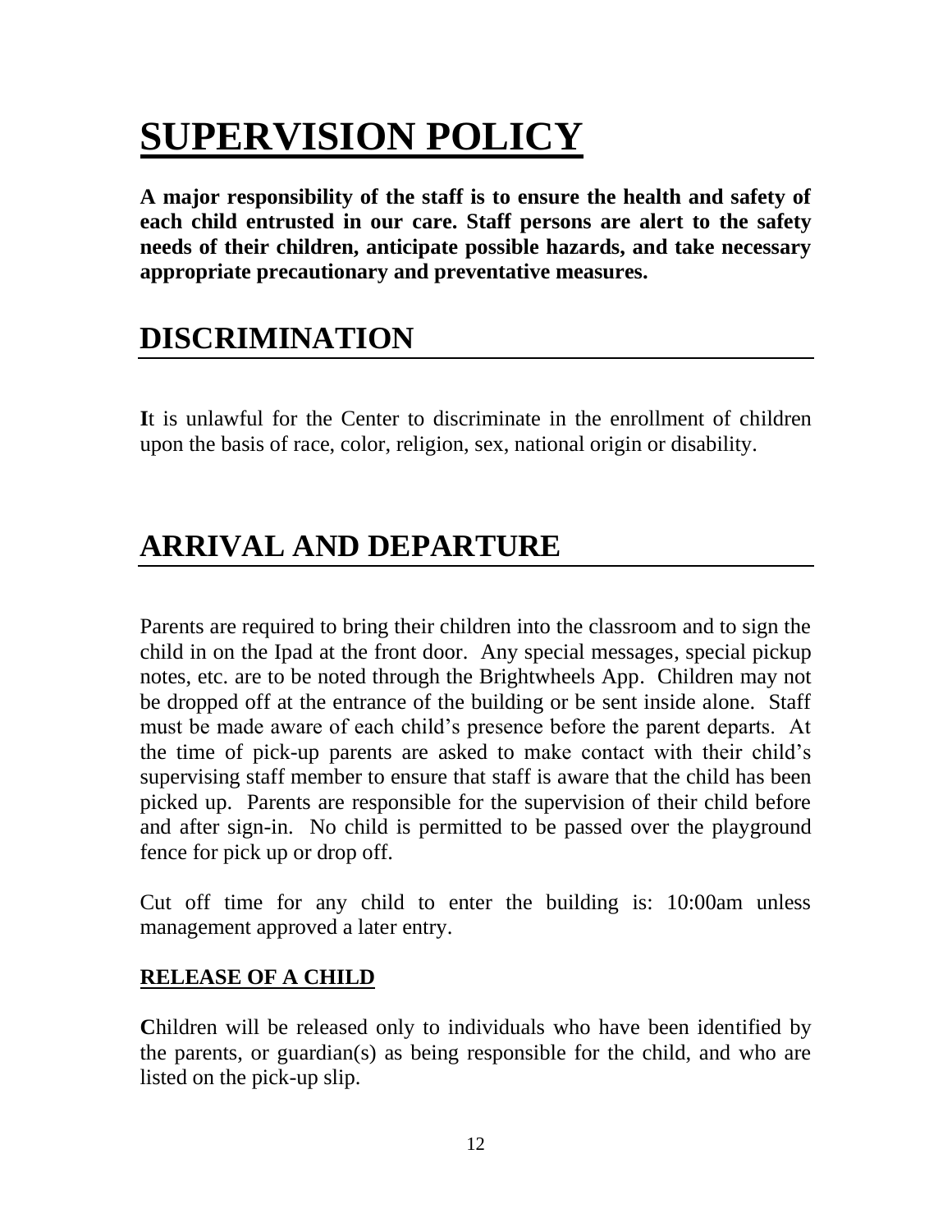# **SUPERVISION POLICY**

**A major responsibility of the staff is to ensure the health and safety of each child entrusted in our care. Staff persons are alert to the safety needs of their children, anticipate possible hazards, and take necessary appropriate precautionary and preventative measures.**

## **DISCRIMINATION**

**I**t is unlawful for the Center to discriminate in the enrollment of children upon the basis of race, color, religion, sex, national origin or disability.

## **ARRIVAL AND DEPARTURE**

Parents are required to bring their children into the classroom and to sign the child in on the Ipad at the front door. Any special messages, special pickup notes, etc. are to be noted through the Brightwheels App. Children may not be dropped off at the entrance of the building or be sent inside alone. Staff must be made aware of each child's presence before the parent departs. At the time of pick-up parents are asked to make contact with their child's supervising staff member to ensure that staff is aware that the child has been picked up. Parents are responsible for the supervision of their child before and after sign-in. No child is permitted to be passed over the playground fence for pick up or drop off.

Cut off time for any child to enter the building is: 10:00am unless management approved a later entry.

### **RELEASE OF A CHILD**

**Children** will be released only to individuals who have been identified by the parents, or guardian(s) as being responsible for the child, and who are listed on the pick-up slip.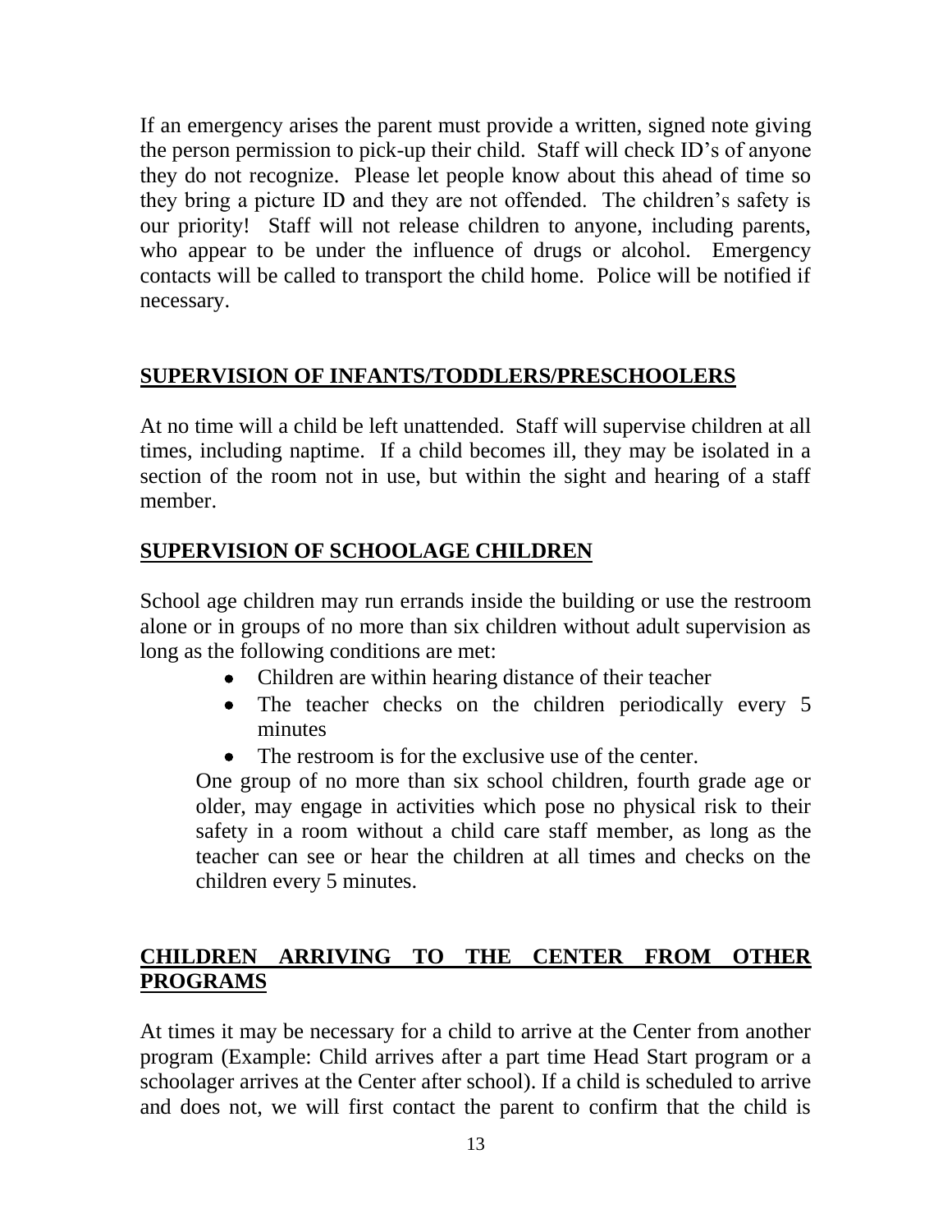If an emergency arises the parent must provide a written, signed note giving the person permission to pick-up their child. Staff will check ID's of anyone they do not recognize. Please let people know about this ahead of time so they bring a picture ID and they are not offended. The children's safety is our priority! Staff will not release children to anyone, including parents, who appear to be under the influence of drugs or alcohol. Emergency contacts will be called to transport the child home. Police will be notified if necessary.

### **SUPERVISION OF INFANTS/TODDLERS/PRESCHOOLERS**

At no time will a child be left unattended. Staff will supervise children at all times, including naptime. If a child becomes ill, they may be isolated in a section of the room not in use, but within the sight and hearing of a staff member.

### **SUPERVISION OF SCHOOLAGE CHILDREN**

School age children may run errands inside the building or use the restroom alone or in groups of no more than six children without adult supervision as long as the following conditions are met:

- Children are within hearing distance of their teacher
- The teacher checks on the children periodically every 5 minutes
- The restroom is for the exclusive use of the center.

One group of no more than six school children, fourth grade age or older, may engage in activities which pose no physical risk to their safety in a room without a child care staff member, as long as the teacher can see or hear the children at all times and checks on the children every 5 minutes.

### **CHILDREN ARRIVING TO THE CENTER FROM OTHER PROGRAMS**

At times it may be necessary for a child to arrive at the Center from another program (Example: Child arrives after a part time Head Start program or a schoolager arrives at the Center after school). If a child is scheduled to arrive and does not, we will first contact the parent to confirm that the child is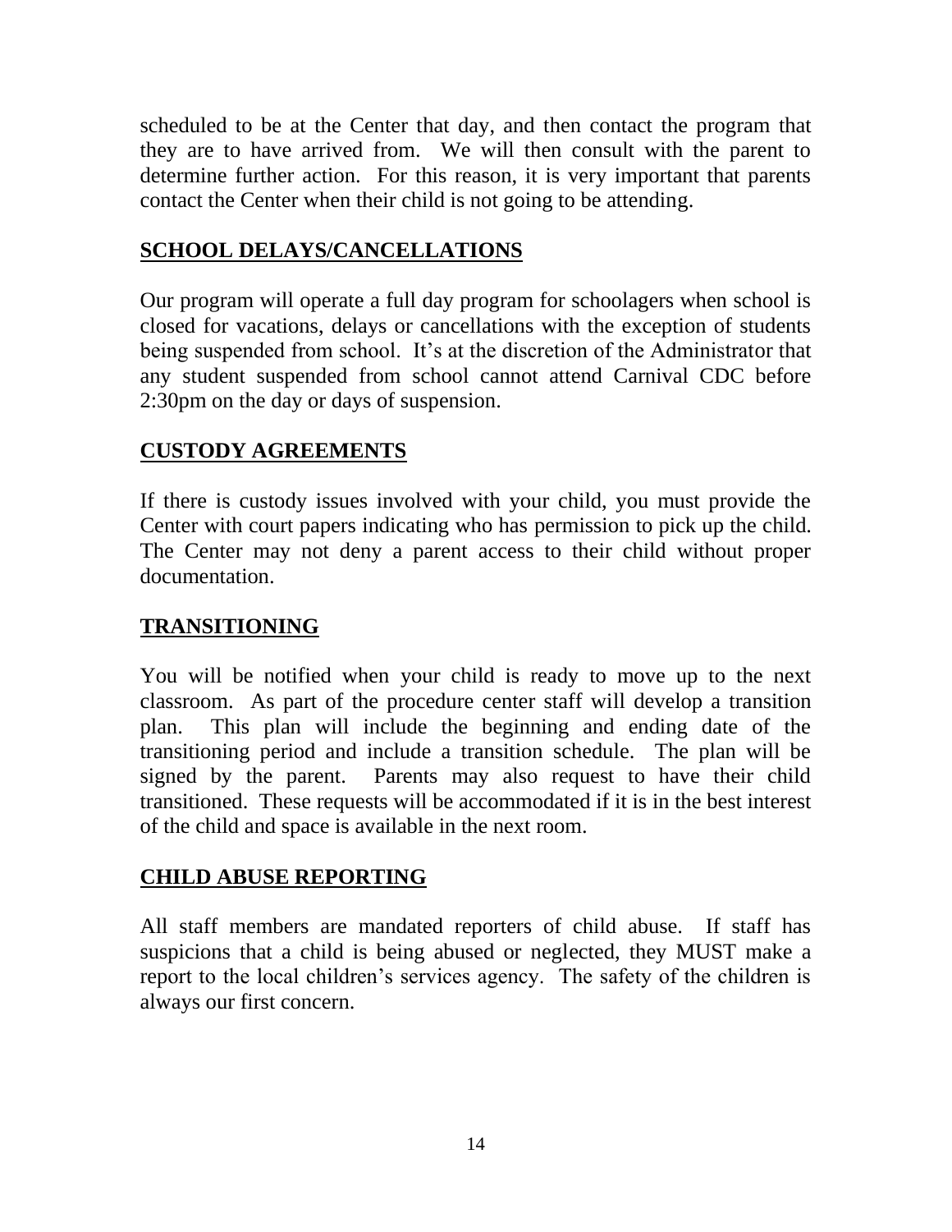scheduled to be at the Center that day, and then contact the program that they are to have arrived from. We will then consult with the parent to determine further action. For this reason, it is very important that parents contact the Center when their child is not going to be attending.

### **SCHOOL DELAYS/CANCELLATIONS**

Our program will operate a full day program for schoolagers when school is closed for vacations, delays or cancellations with the exception of students being suspended from school. It's at the discretion of the Administrator that any student suspended from school cannot attend Carnival CDC before 2:30pm on the day or days of suspension.

### **CUSTODY AGREEMENTS**

If there is custody issues involved with your child, you must provide the Center with court papers indicating who has permission to pick up the child. The Center may not deny a parent access to their child without proper documentation.

### **TRANSITIONING**

You will be notified when your child is ready to move up to the next classroom. As part of the procedure center staff will develop a transition plan. This plan will include the beginning and ending date of the transitioning period and include a transition schedule. The plan will be signed by the parent. Parents may also request to have their child transitioned. These requests will be accommodated if it is in the best interest of the child and space is available in the next room.

### **CHILD ABUSE REPORTING**

All staff members are mandated reporters of child abuse. If staff has suspicions that a child is being abused or neglected, they MUST make a report to the local children's services agency. The safety of the children is always our first concern.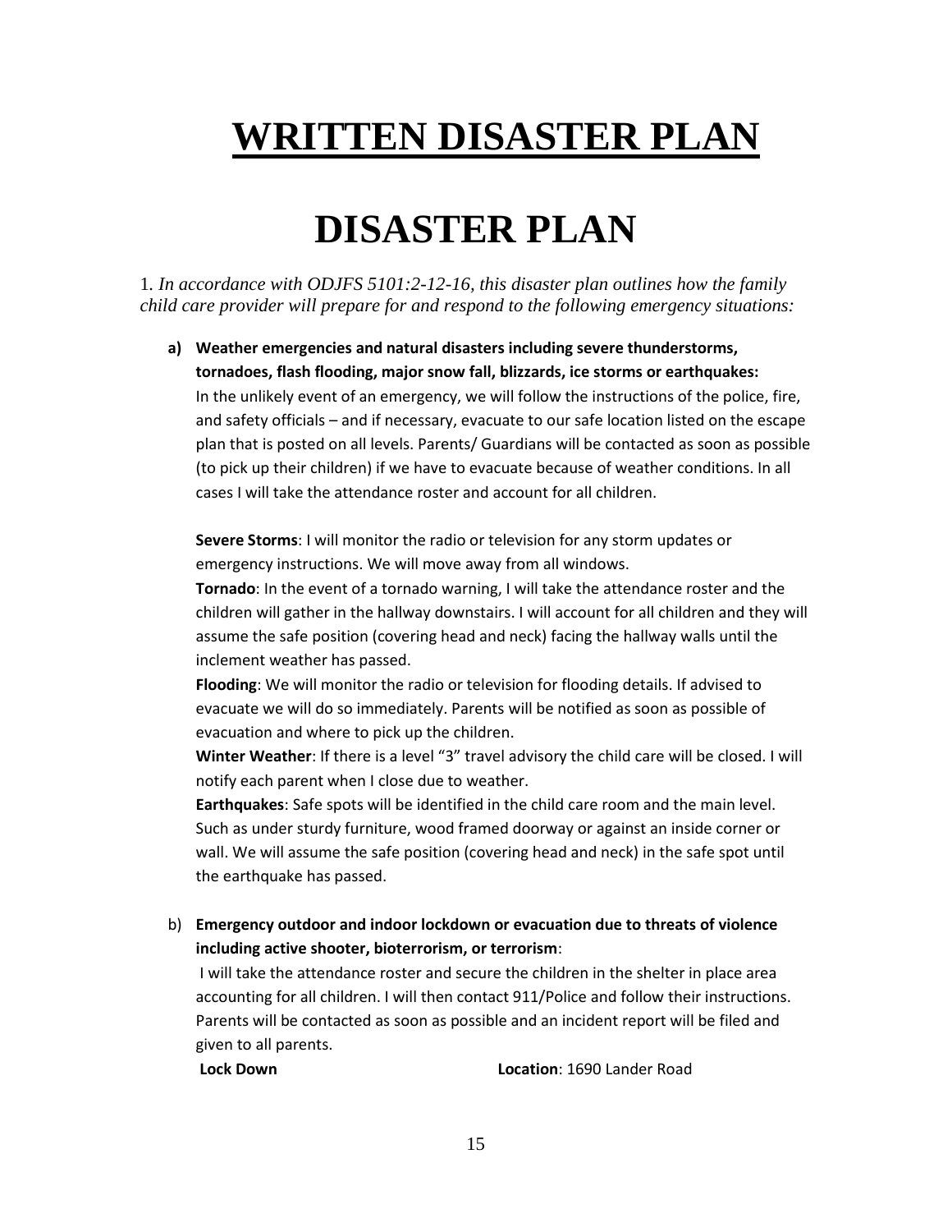# **WRITTEN DISASTER PLAN**

# **DISASTER PLAN**

1*. In accordance with ODJFS 5101:2-12-16, this disaster plan outlines how the family child care provider will prepare for and respond to the following emergency situations:*

**a) Weather emergencies and natural disasters including severe thunderstorms, tornadoes, flash flooding, major snow fall, blizzards, ice storms or earthquakes:**  In the unlikely event of an emergency, we will follow the instructions of the police, fire, and safety officials – and if necessary, evacuate to our safe location listed on the escape plan that is posted on all levels. Parents/ Guardians will be contacted as soon as possible (to pick up their children) if we have to evacuate because of weather conditions. In all cases I will take the attendance roster and account for all children.

**Severe Storms**: I will monitor the radio or television for any storm updates or emergency instructions. We will move away from all windows.

**Tornado**: In the event of a tornado warning, I will take the attendance roster and the children will gather in the hallway downstairs. I will account for all children and they will assume the safe position (covering head and neck) facing the hallway walls until the inclement weather has passed.

**Flooding**: We will monitor the radio or television for flooding details. If advised to evacuate we will do so immediately. Parents will be notified as soon as possible of evacuation and where to pick up the children.

**Winter Weather**: If there is a level "3" travel advisory the child care will be closed. I will notify each parent when I close due to weather.

**Earthquakes**: Safe spots will be identified in the child care room and the main level. Such as under sturdy furniture, wood framed doorway or against an inside corner or wall. We will assume the safe position (covering head and neck) in the safe spot until the earthquake has passed.

b) **Emergency outdoor and indoor lockdown or evacuation due to threats of violence including active shooter, bioterrorism, or terrorism**:

I will take the attendance roster and secure the children in the shelter in place area accounting for all children. I will then contact 911/Police and follow their instructions. Parents will be contacted as soon as possible and an incident report will be filed and given to all parents.

**Lock Down Location**: 1690 Lander Road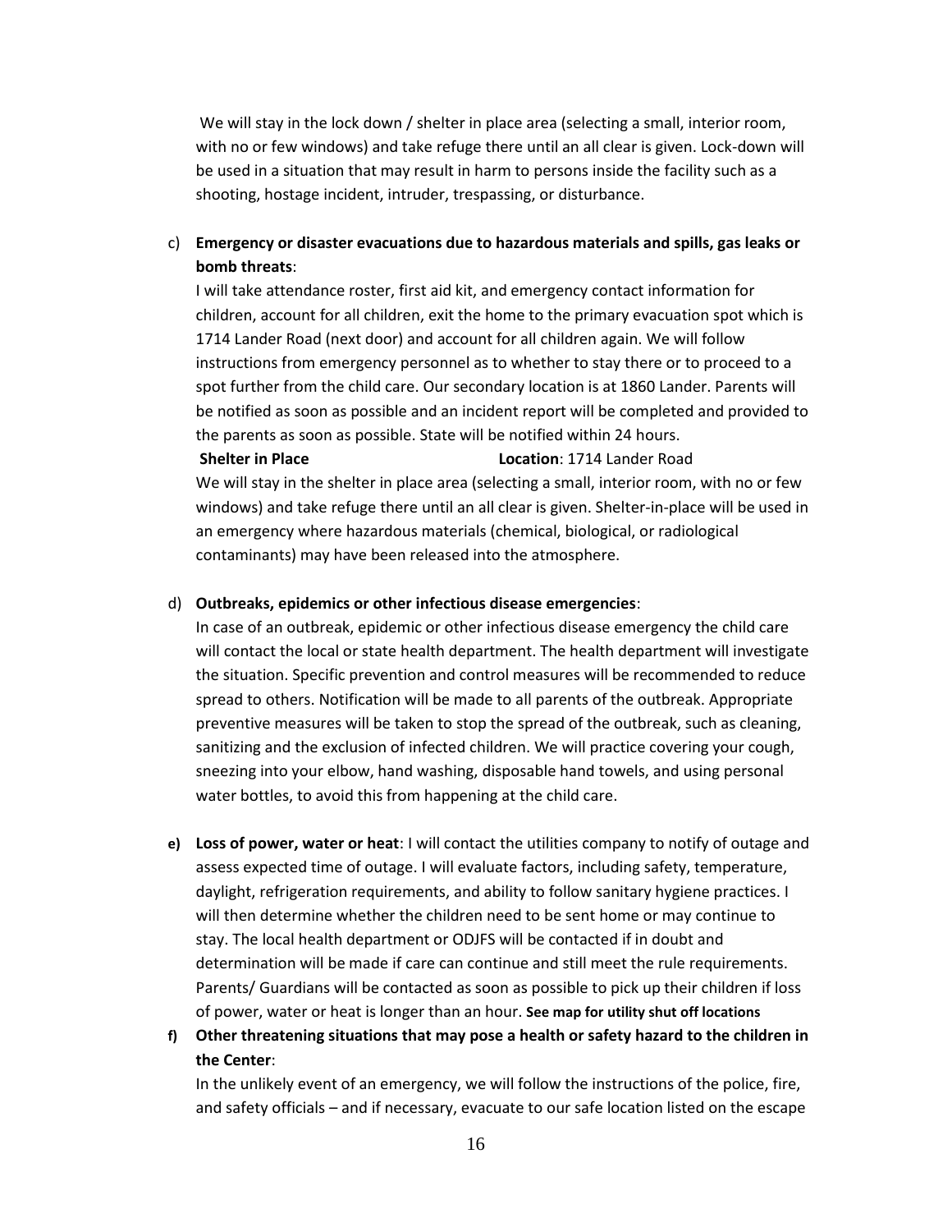We will stay in the lock down / shelter in place area (selecting a small, interior room, with no or few windows) and take refuge there until an all clear is given. Lock-down will be used in a situation that may result in harm to persons inside the facility such as a shooting, hostage incident, intruder, trespassing, or disturbance.

#### c) **Emergency or disaster evacuations due to hazardous materials and spills, gas leaks or bomb threats**:

I will take attendance roster, first aid kit, and emergency contact information for children, account for all children, exit the home to the primary evacuation spot which is 1714 Lander Road (next door) and account for all children again. We will follow instructions from emergency personnel as to whether to stay there or to proceed to a spot further from the child care. Our secondary location is at 1860 Lander. Parents will be notified as soon as possible and an incident report will be completed and provided to the parents as soon as possible. State will be notified within 24 hours. **Shelter in Place Location**: 1714 Lander Road

We will stay in the shelter in place area (selecting a small, interior room, with no or few windows) and take refuge there until an all clear is given. Shelter-in-place will be used in an emergency where hazardous materials (chemical, biological, or radiological contaminants) may have been released into the atmosphere.

#### d) **Outbreaks, epidemics or other infectious disease emergencies**:

In case of an outbreak, epidemic or other infectious disease emergency the child care will contact the local or state health department. The health department will investigate the situation. Specific prevention and control measures will be recommended to reduce spread to others. Notification will be made to all parents of the outbreak. Appropriate preventive measures will be taken to stop the spread of the outbreak, such as cleaning, sanitizing and the exclusion of infected children. We will practice covering your cough, sneezing into your elbow, hand washing, disposable hand towels, and using personal water bottles, to avoid this from happening at the child care.

- **e) Loss of power, water or heat**: I will contact the utilities company to notify of outage and assess expected time of outage. I will evaluate factors, including safety, temperature, daylight, refrigeration requirements, and ability to follow sanitary hygiene practices. I will then determine whether the children need to be sent home or may continue to stay. The local health department or ODJFS will be contacted if in doubt and determination will be made if care can continue and still meet the rule requirements. Parents/ Guardians will be contacted as soon as possible to pick up their children if loss of power, water or heat is longer than an hour. **See map for utility shut off locations**
- **f) Other threatening situations that may pose a health or safety hazard to the children in the Center**:

In the unlikely event of an emergency, we will follow the instructions of the police, fire, and safety officials – and if necessary, evacuate to our safe location listed on the escape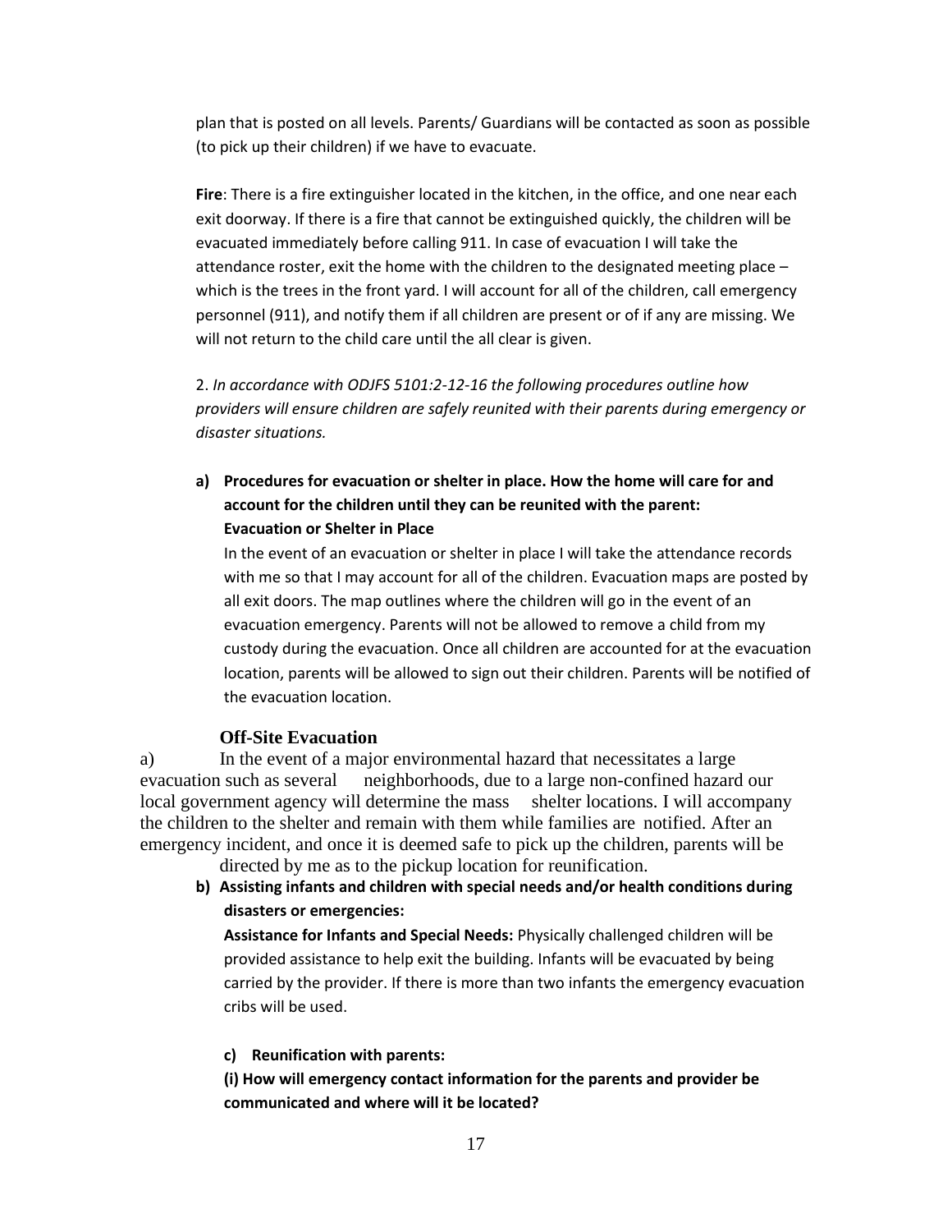plan that is posted on all levels. Parents/ Guardians will be contacted as soon as possible (to pick up their children) if we have to evacuate.

**Fire**: There is a fire extinguisher located in the kitchen, in the office, and one near each exit doorway. If there is a fire that cannot be extinguished quickly, the children will be evacuated immediately before calling 911. In case of evacuation I will take the attendance roster, exit the home with the children to the designated meeting place – which is the trees in the front yard. I will account for all of the children, call emergency personnel (911), and notify them if all children are present or of if any are missing. We will not return to the child care until the all clear is given.

2. *In accordance with ODJFS 5101:2-12-16 the following procedures outline how providers will ensure children are safely reunited with their parents during emergency or disaster situations.*

**a) Procedures for evacuation or shelter in place. How the home will care for and account for the children until they can be reunited with the parent: Evacuation or Shelter in Place**

In the event of an evacuation or shelter in place I will take the attendance records with me so that I may account for all of the children. Evacuation maps are posted by all exit doors. The map outlines where the children will go in the event of an evacuation emergency. Parents will not be allowed to remove a child from my custody during the evacuation. Once all children are accounted for at the evacuation location, parents will be allowed to sign out their children. Parents will be notified of the evacuation location.

#### **Off-Site Evacuation**

a) In the event of a major environmental hazard that necessitates a large evacuation such as several neighborhoods, due to a large non-confined hazard our local government agency will determine the mass shelter locations. I will accompany the children to the shelter and remain with them while families are notified. After an emergency incident, and once it is deemed safe to pick up the children, parents will be

directed by me as to the pickup location for reunification.

**b) Assisting infants and children with special needs and/or health conditions during disasters or emergencies:**

**Assistance for Infants and Special Needs:** Physically challenged children will be provided assistance to help exit the building. Infants will be evacuated by being carried by the provider. If there is more than two infants the emergency evacuation cribs will be used.

#### **c) Reunification with parents:**

**(i) How will emergency contact information for the parents and provider be communicated and where will it be located?**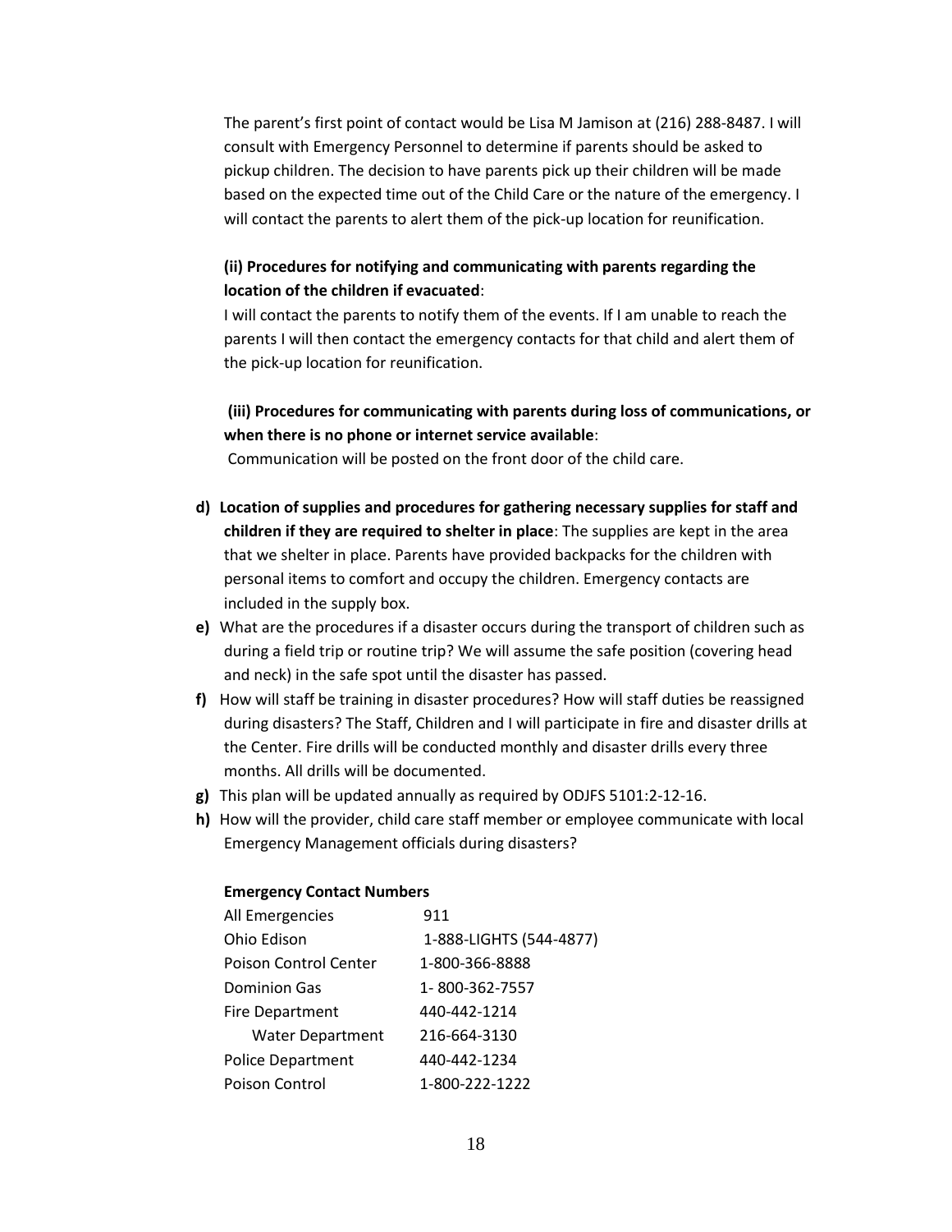The parent's first point of contact would be Lisa M Jamison at (216) 288-8487. I will consult with Emergency Personnel to determine if parents should be asked to pickup children. The decision to have parents pick up their children will be made based on the expected time out of the Child Care or the nature of the emergency. I will contact the parents to alert them of the pick-up location for reunification.

#### **(ii) Procedures for notifying and communicating with parents regarding the location of the children if evacuated**:

I will contact the parents to notify them of the events. If I am unable to reach the parents I will then contact the emergency contacts for that child and alert them of the pick-up location for reunification.

**(iii) Procedures for communicating with parents during loss of communications, or when there is no phone or internet service available**:

Communication will be posted on the front door of the child care.

- **d) Location of supplies and procedures for gathering necessary supplies for staff and children if they are required to shelter in place**: The supplies are kept in the area that we shelter in place. Parents have provided backpacks for the children with personal items to comfort and occupy the children. Emergency contacts are included in the supply box.
- **e)** What are the procedures if a disaster occurs during the transport of children such as during a field trip or routine trip? We will assume the safe position (covering head and neck) in the safe spot until the disaster has passed.
- **f)** How will staff be training in disaster procedures? How will staff duties be reassigned during disasters? The Staff, Children and I will participate in fire and disaster drills at the Center. Fire drills will be conducted monthly and disaster drills every three months. All drills will be documented.
- **g)** This plan will be updated annually as required by ODJFS 5101:2-12-16.
- **h)** How will the provider, child care staff member or employee communicate with local Emergency Management officials during disasters?

#### **Emergency Contact Numbers**

| All Emergencies          | 911                     |
|--------------------------|-------------------------|
| Ohio Edison              | 1-888-LIGHTS (544-4877) |
| Poison Control Center    | 1-800-366-8888          |
| <b>Dominion Gas</b>      | 1-800-362-7557          |
| <b>Fire Department</b>   | 440-442-1214            |
| <b>Water Department</b>  | 216-664-3130            |
| <b>Police Department</b> | 440-442-1234            |
| Poison Control           | 1-800-222-1222          |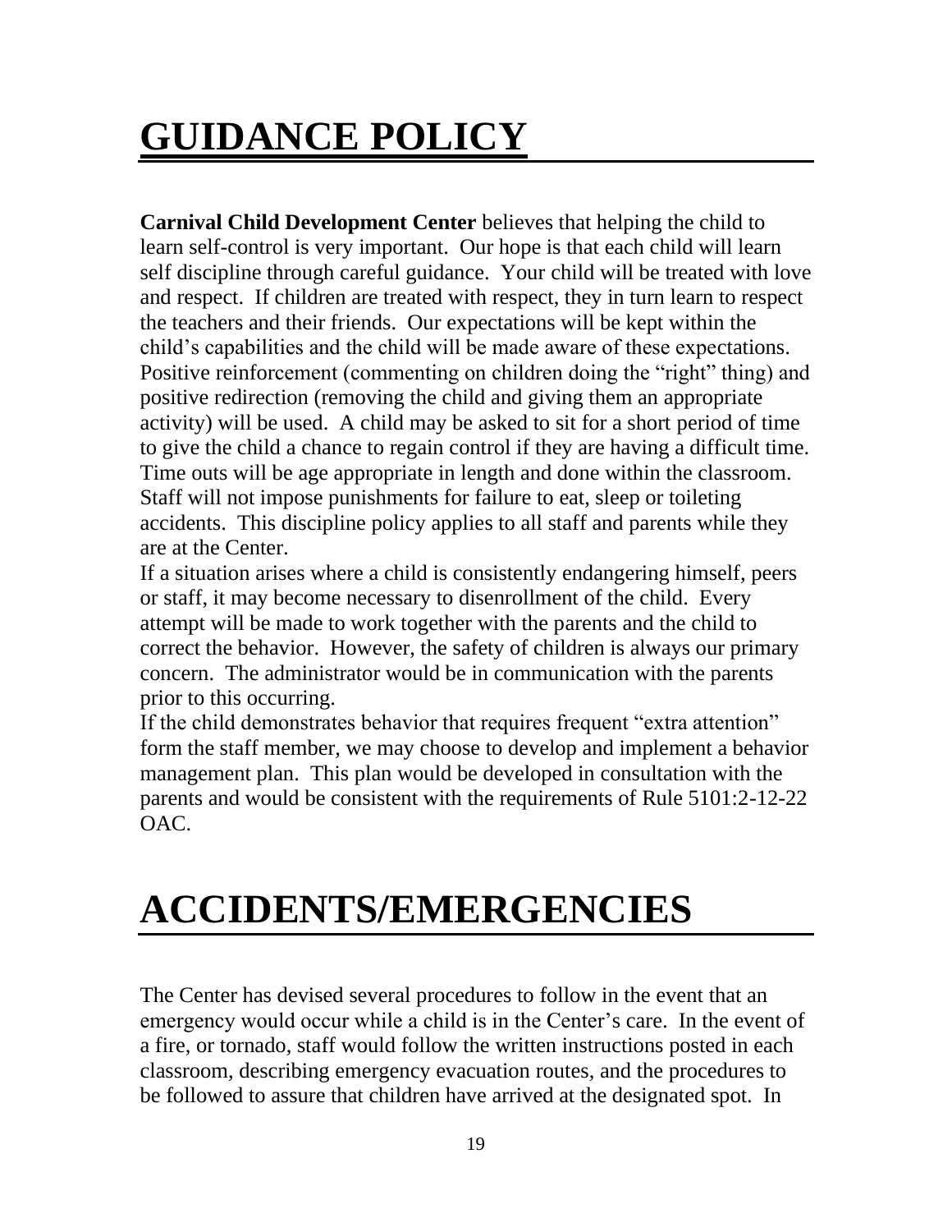# **GUIDANCE POLICY**

**Carnival Child Development Center** believes that helping the child to learn self-control is very important. Our hope is that each child will learn self discipline through careful guidance. Your child will be treated with love and respect. If children are treated with respect, they in turn learn to respect the teachers and their friends. Our expectations will be kept within the child's capabilities and the child will be made aware of these expectations. Positive reinforcement (commenting on children doing the "right" thing) and positive redirection (removing the child and giving them an appropriate activity) will be used. A child may be asked to sit for a short period of time to give the child a chance to regain control if they are having a difficult time. Time outs will be age appropriate in length and done within the classroom. Staff will not impose punishments for failure to eat, sleep or toileting accidents. This discipline policy applies to all staff and parents while they are at the Center.

If a situation arises where a child is consistently endangering himself, peers or staff, it may become necessary to disenrollment of the child. Every attempt will be made to work together with the parents and the child to correct the behavior. However, the safety of children is always our primary concern. The administrator would be in communication with the parents prior to this occurring.

If the child demonstrates behavior that requires frequent "extra attention" form the staff member, we may choose to develop and implement a behavior management plan. This plan would be developed in consultation with the parents and would be consistent with the requirements of Rule 5101:2-12-22 OAC.

# **ACCIDENTS/EMERGENCIES**

The Center has devised several procedures to follow in the event that an emergency would occur while a child is in the Center's care. In the event of a fire, or tornado, staff would follow the written instructions posted in each classroom, describing emergency evacuation routes, and the procedures to be followed to assure that children have arrived at the designated spot. In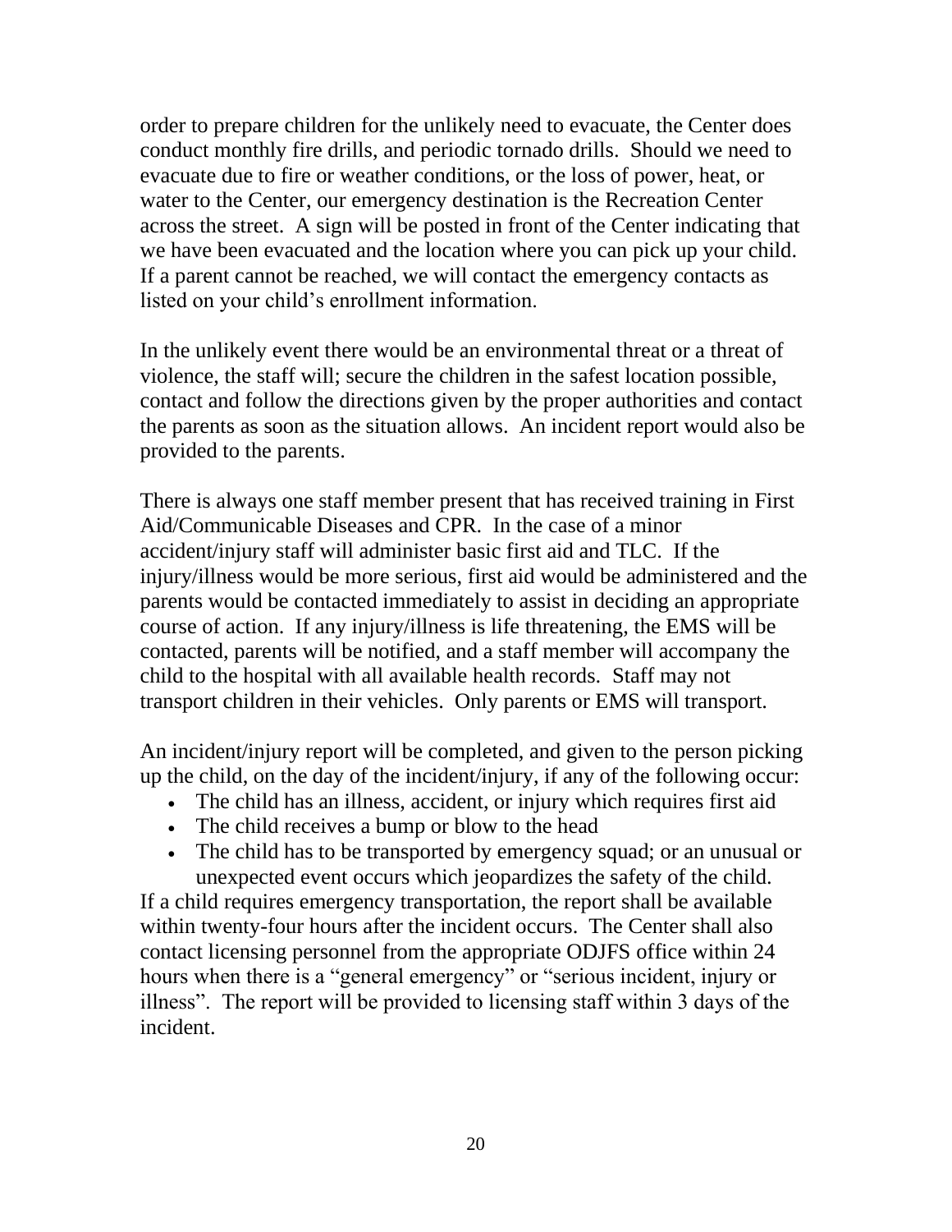order to prepare children for the unlikely need to evacuate, the Center does conduct monthly fire drills, and periodic tornado drills. Should we need to evacuate due to fire or weather conditions, or the loss of power, heat, or water to the Center, our emergency destination is the Recreation Center across the street. A sign will be posted in front of the Center indicating that we have been evacuated and the location where you can pick up your child. If a parent cannot be reached, we will contact the emergency contacts as listed on your child's enrollment information.

In the unlikely event there would be an environmental threat or a threat of violence, the staff will; secure the children in the safest location possible, contact and follow the directions given by the proper authorities and contact the parents as soon as the situation allows. An incident report would also be provided to the parents.

There is always one staff member present that has received training in First Aid/Communicable Diseases and CPR. In the case of a minor accident/injury staff will administer basic first aid and TLC. If the injury/illness would be more serious, first aid would be administered and the parents would be contacted immediately to assist in deciding an appropriate course of action. If any injury/illness is life threatening, the EMS will be contacted, parents will be notified, and a staff member will accompany the child to the hospital with all available health records. Staff may not transport children in their vehicles. Only parents or EMS will transport.

An incident/injury report will be completed, and given to the person picking up the child, on the day of the incident/injury, if any of the following occur:

- The child has an illness, accident, or injury which requires first aid
- The child receives a bump or blow to the head
- The child has to be transported by emergency squad; or an unusual or unexpected event occurs which jeopardizes the safety of the child.

If a child requires emergency transportation, the report shall be available within twenty-four hours after the incident occurs. The Center shall also contact licensing personnel from the appropriate ODJFS office within 24 hours when there is a "general emergency" or "serious incident, injury or illness". The report will be provided to licensing staff within 3 days of the incident.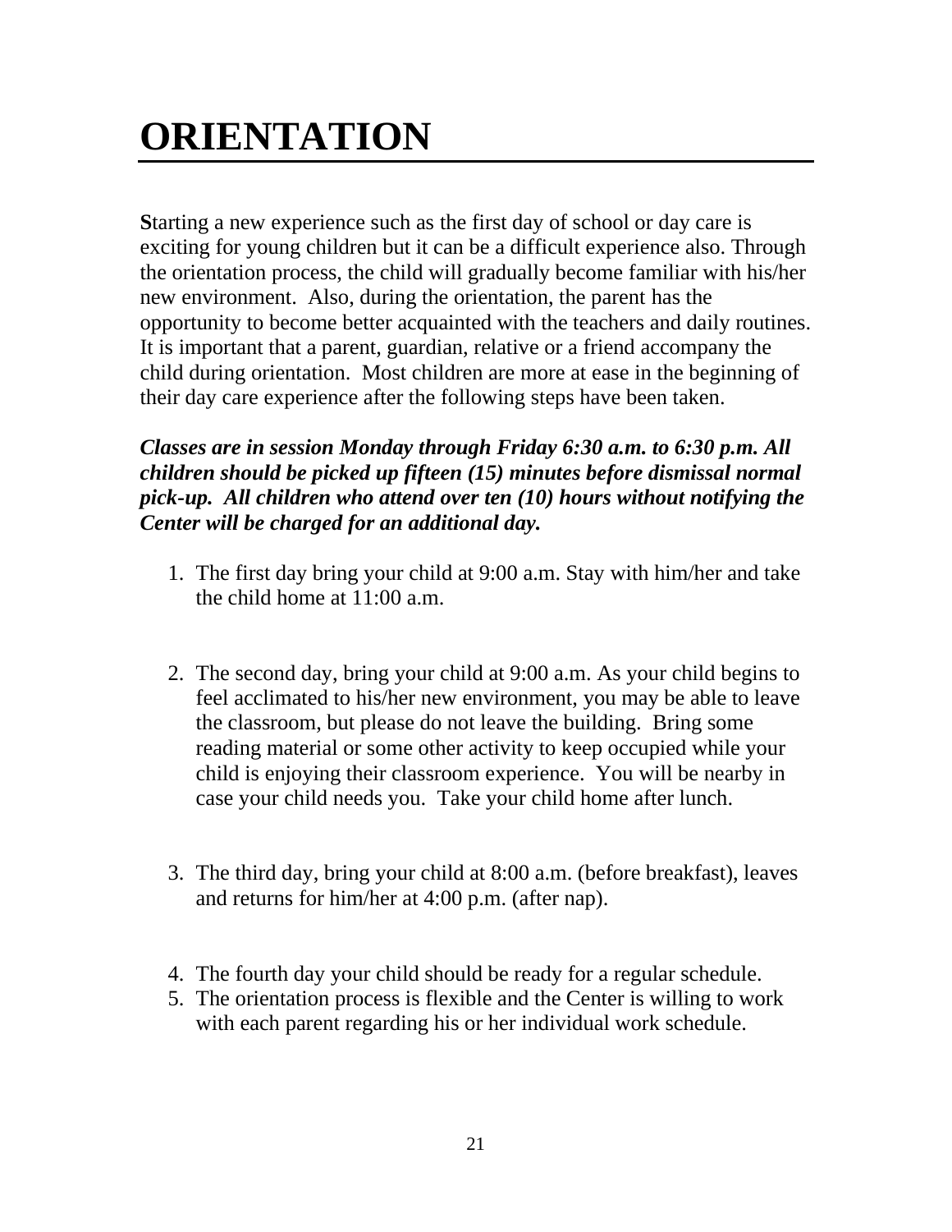# **ORIENTATION**

**S**tarting a new experience such as the first day of school or day care is exciting for young children but it can be a difficult experience also. Through the orientation process, the child will gradually become familiar with his/her new environment. Also, during the orientation, the parent has the opportunity to become better acquainted with the teachers and daily routines. It is important that a parent, guardian, relative or a friend accompany the child during orientation. Most children are more at ease in the beginning of their day care experience after the following steps have been taken.

*Classes are in session Monday through Friday 6:30 a.m. to 6:30 p.m. All children should be picked up fifteen (15) minutes before dismissal normal pick-up. All children who attend over ten (10) hours without notifying the Center will be charged for an additional day.*

- 1. The first day bring your child at 9:00 a.m. Stay with him/her and take the child home at 11:00 a.m.
- 2. The second day, bring your child at 9:00 a.m. As your child begins to feel acclimated to his/her new environment, you may be able to leave the classroom, but please do not leave the building. Bring some reading material or some other activity to keep occupied while your child is enjoying their classroom experience. You will be nearby in case your child needs you. Take your child home after lunch.
- 3. The third day, bring your child at 8:00 a.m. (before breakfast), leaves and returns for him/her at 4:00 p.m. (after nap).
- 4. The fourth day your child should be ready for a regular schedule.
- 5. The orientation process is flexible and the Center is willing to work with each parent regarding his or her individual work schedule.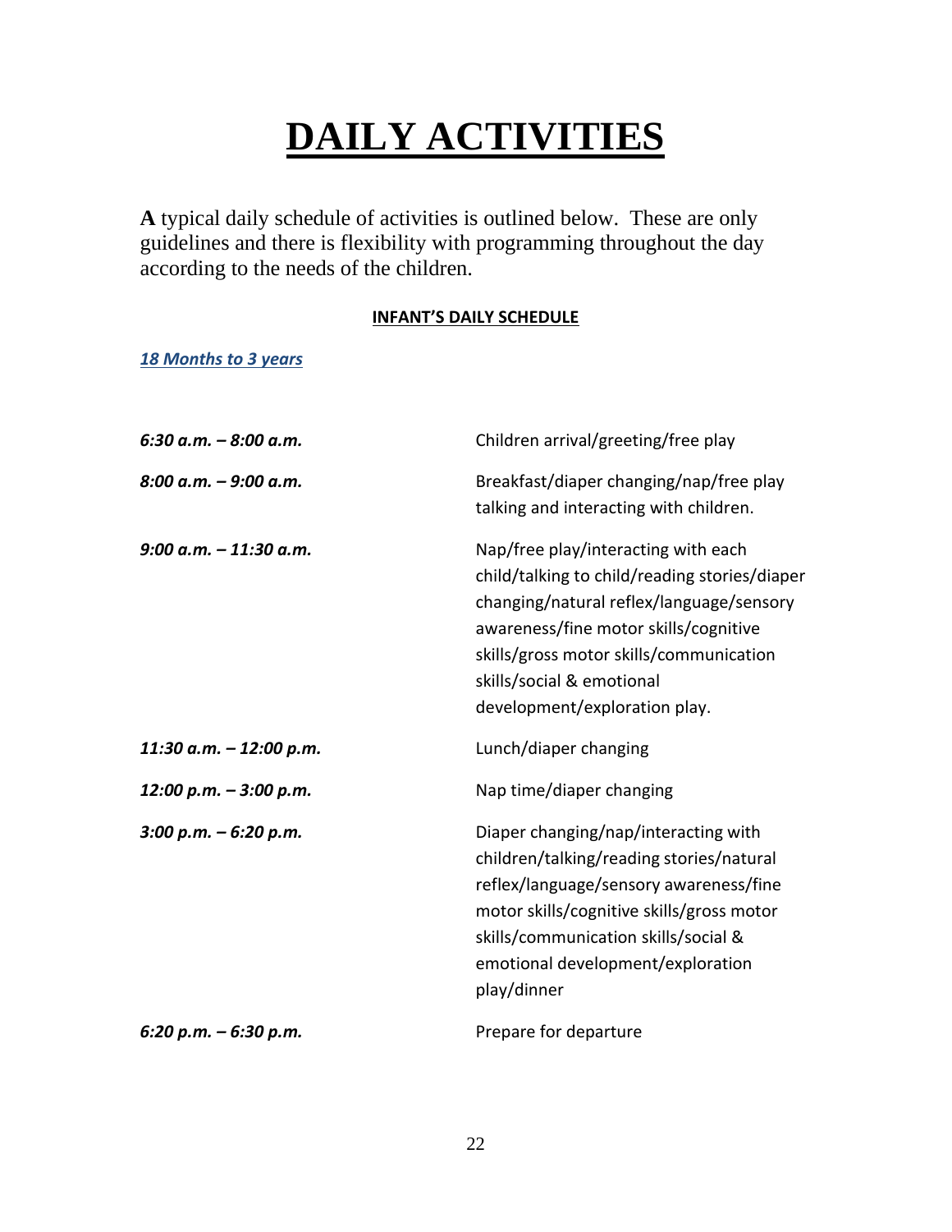# **DAILY ACTIVITIES**

**A** typical daily schedule of activities is outlined below. These are only guidelines and there is flexibility with programming throughout the day according to the needs of the children.

#### **INFANT'S DAILY SCHEDULE**

#### *18 Months to 3 years*

| $6:30$ a.m. $-8:00$ a.m.  | Children arrival/greeting/free play                                                                                                                                                                                                                                                |
|---------------------------|------------------------------------------------------------------------------------------------------------------------------------------------------------------------------------------------------------------------------------------------------------------------------------|
| $8:00$ a.m. $-9:00$ a.m.  | Breakfast/diaper changing/nap/free play<br>talking and interacting with children.                                                                                                                                                                                                  |
| $9:00$ a.m. $-11:30$ a.m. | Nap/free play/interacting with each<br>child/talking to child/reading stories/diaper<br>changing/natural reflex/language/sensory<br>awareness/fine motor skills/cognitive<br>skills/gross motor skills/communication<br>skills/social & emotional<br>development/exploration play. |
| 11:30 a.m. - 12:00 p.m.   | Lunch/diaper changing                                                                                                                                                                                                                                                              |
| 12:00 p.m. - 3:00 p.m.    | Nap time/diaper changing                                                                                                                                                                                                                                                           |
| $3:00 p.m. - 6:20 p.m.$   | Diaper changing/nap/interacting with<br>children/talking/reading stories/natural<br>reflex/language/sensory awareness/fine<br>motor skills/cognitive skills/gross motor<br>skills/communication skills/social &<br>emotional development/exploration<br>play/dinner                |
| $6:20$ p.m. $-6:30$ p.m.  | Prepare for departure                                                                                                                                                                                                                                                              |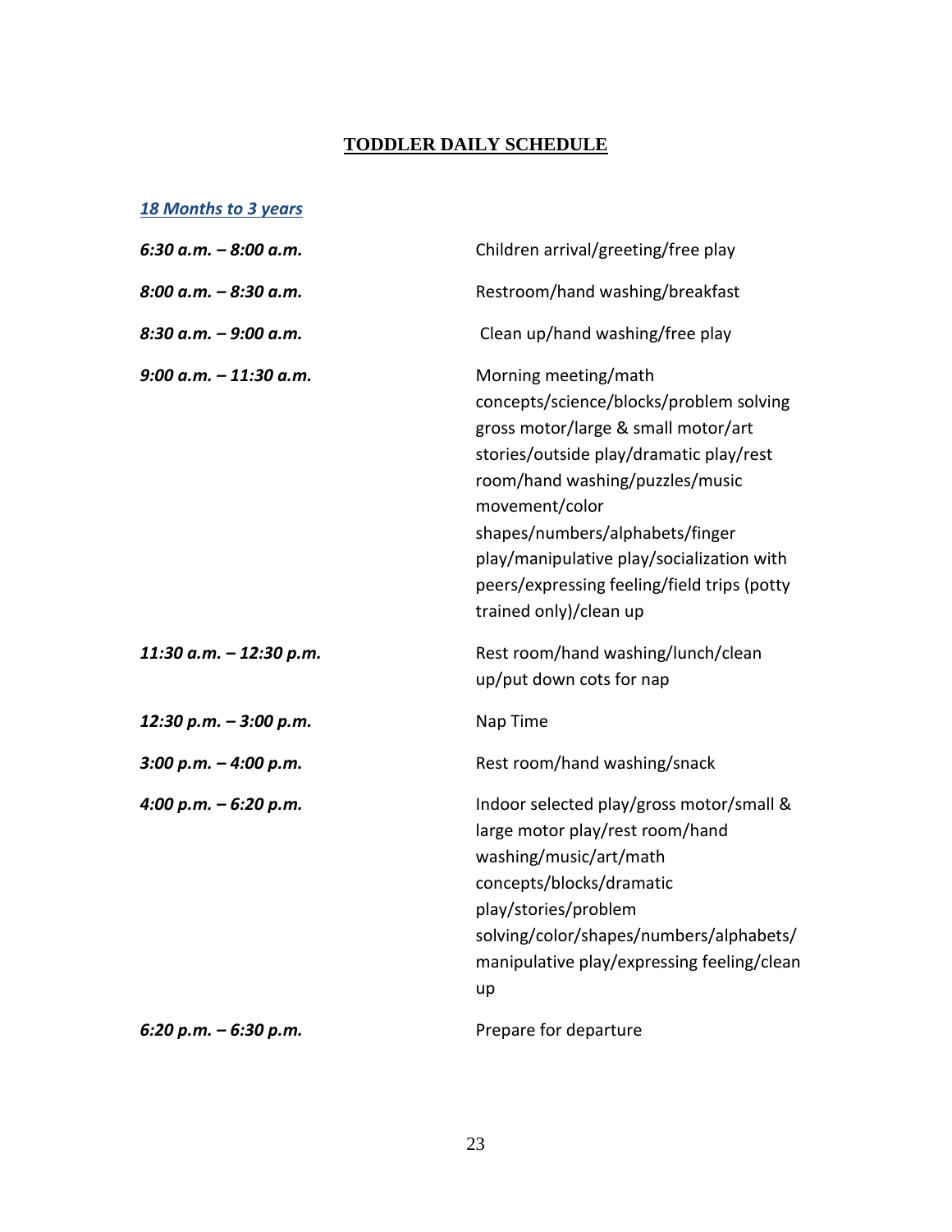#### **TODDLER DAILY SCHEDULE**

#### *18 Months to 3 years*

| $6:30$ a.m. $-8:00$ a.m. | Children arrival/greeting/free play                                                                                                                                                                                                                                                                                                                             |
|--------------------------|-----------------------------------------------------------------------------------------------------------------------------------------------------------------------------------------------------------------------------------------------------------------------------------------------------------------------------------------------------------------|
| 8:00 a.m. - 8:30 a.m.    | Restroom/hand washing/breakfast                                                                                                                                                                                                                                                                                                                                 |
| 8:30 a.m. - 9:00 a.m.    | Clean up/hand washing/free play                                                                                                                                                                                                                                                                                                                                 |
| 9:00 a.m. - 11:30 a.m.   | Morning meeting/math<br>concepts/science/blocks/problem solving<br>gross motor/large & small motor/art<br>stories/outside play/dramatic play/rest<br>room/hand washing/puzzles/music<br>movement/color<br>shapes/numbers/alphabets/finger<br>play/manipulative play/socialization with<br>peers/expressing feeling/field trips (potty<br>trained only)/clean up |
| 11:30 a.m. - 12:30 p.m.  | Rest room/hand washing/lunch/clean<br>up/put down cots for nap                                                                                                                                                                                                                                                                                                  |
| 12:30 p.m. - 3:00 p.m.   | Nap Time                                                                                                                                                                                                                                                                                                                                                        |
| $3:00 p.m. - 4:00 p.m.$  | Rest room/hand washing/snack                                                                                                                                                                                                                                                                                                                                    |
| 4:00 p.m. - 6:20 p.m.    | Indoor selected play/gross motor/small &<br>large motor play/rest room/hand<br>washing/music/art/math<br>concepts/blocks/dramatic<br>play/stories/problem<br>solving/color/shapes/numbers/alphabets/<br>manipulative play/expressing feeling/clean<br>up                                                                                                        |
| 6:20 p.m. - 6:30 p.m.    | Prepare for departure                                                                                                                                                                                                                                                                                                                                           |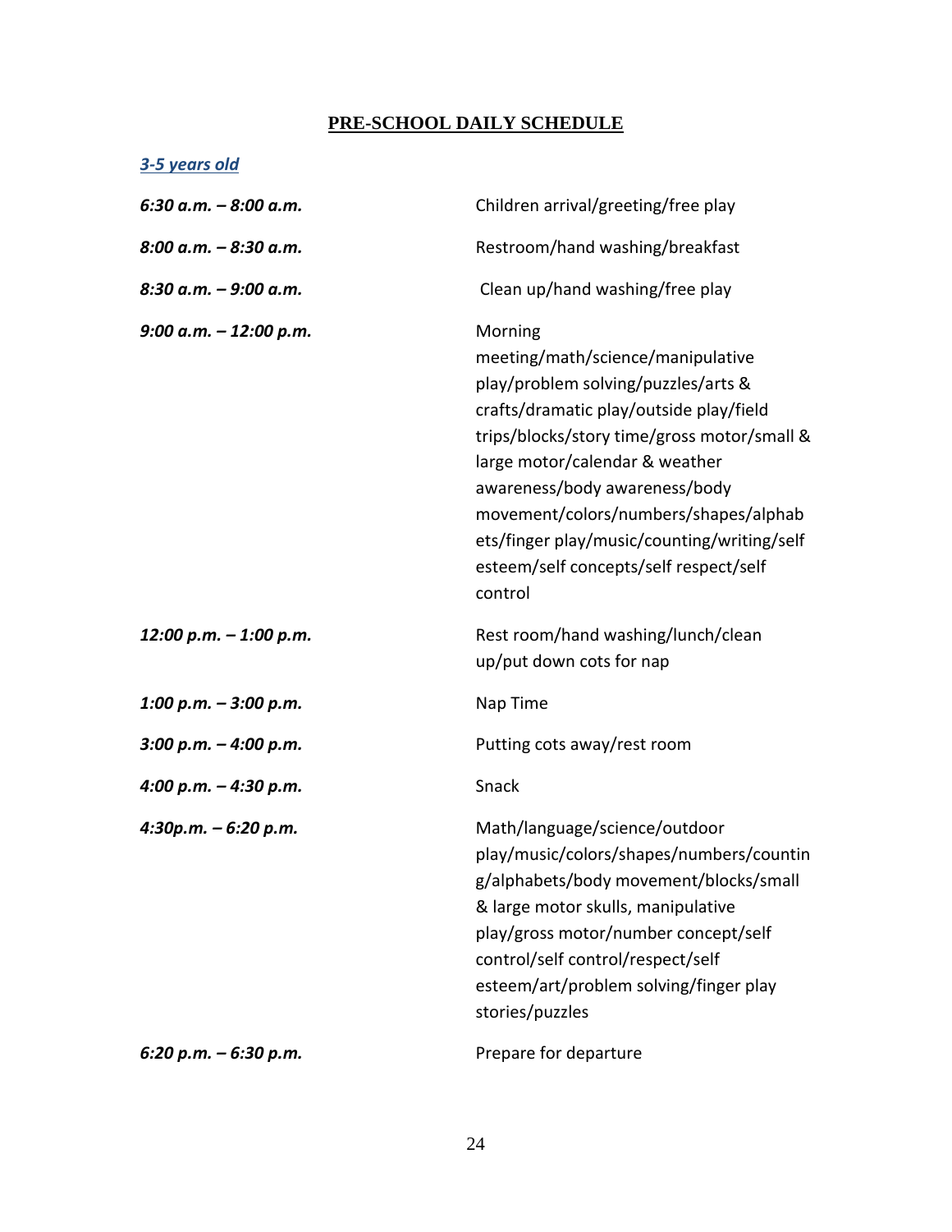#### **PRE-SCHOOL DAILY SCHEDULE**

#### *3-5 years old*

| $6:30$ a.m. $-8:00$ a.m. | Children arrival/greeting/free play                                                                                                                                                                                                                                                                                                                                                           |
|--------------------------|-----------------------------------------------------------------------------------------------------------------------------------------------------------------------------------------------------------------------------------------------------------------------------------------------------------------------------------------------------------------------------------------------|
| $8:00$ a.m. $-8:30$ a.m. | Restroom/hand washing/breakfast                                                                                                                                                                                                                                                                                                                                                               |
| $8:30$ a.m. $-9:00$ a.m. | Clean up/hand washing/free play                                                                                                                                                                                                                                                                                                                                                               |
| 9:00 a.m. $-$ 12:00 p.m. | Morning<br>meeting/math/science/manipulative<br>play/problem solving/puzzles/arts &<br>crafts/dramatic play/outside play/field<br>trips/blocks/story time/gross motor/small &<br>large motor/calendar & weather<br>awareness/body awareness/body<br>movement/colors/numbers/shapes/alphab<br>ets/finger play/music/counting/writing/self<br>esteem/self concepts/self respect/self<br>control |
| 12:00 p.m. - 1:00 p.m.   | Rest room/hand washing/lunch/clean<br>up/put down cots for nap                                                                                                                                                                                                                                                                                                                                |
| 1:00 p.m. $-$ 3:00 p.m.  | Nap Time                                                                                                                                                                                                                                                                                                                                                                                      |
| $3:00$ p.m. $-4:00$ p.m. | Putting cots away/rest room                                                                                                                                                                                                                                                                                                                                                                   |
| 4:00 p.m. $-$ 4:30 p.m.  | Snack                                                                                                                                                                                                                                                                                                                                                                                         |
| 4:30p.m. - 6:20 p.m.     | Math/language/science/outdoor<br>play/music/colors/shapes/numbers/countin<br>g/alphabets/body movement/blocks/small<br>& large motor skulls, manipulative<br>play/gross motor/number concept/self<br>control/self control/respect/self<br>esteem/art/problem solving/finger play<br>stories/puzzles                                                                                           |
| 6:20 p.m. $-$ 6:30 p.m.  | Prepare for departure                                                                                                                                                                                                                                                                                                                                                                         |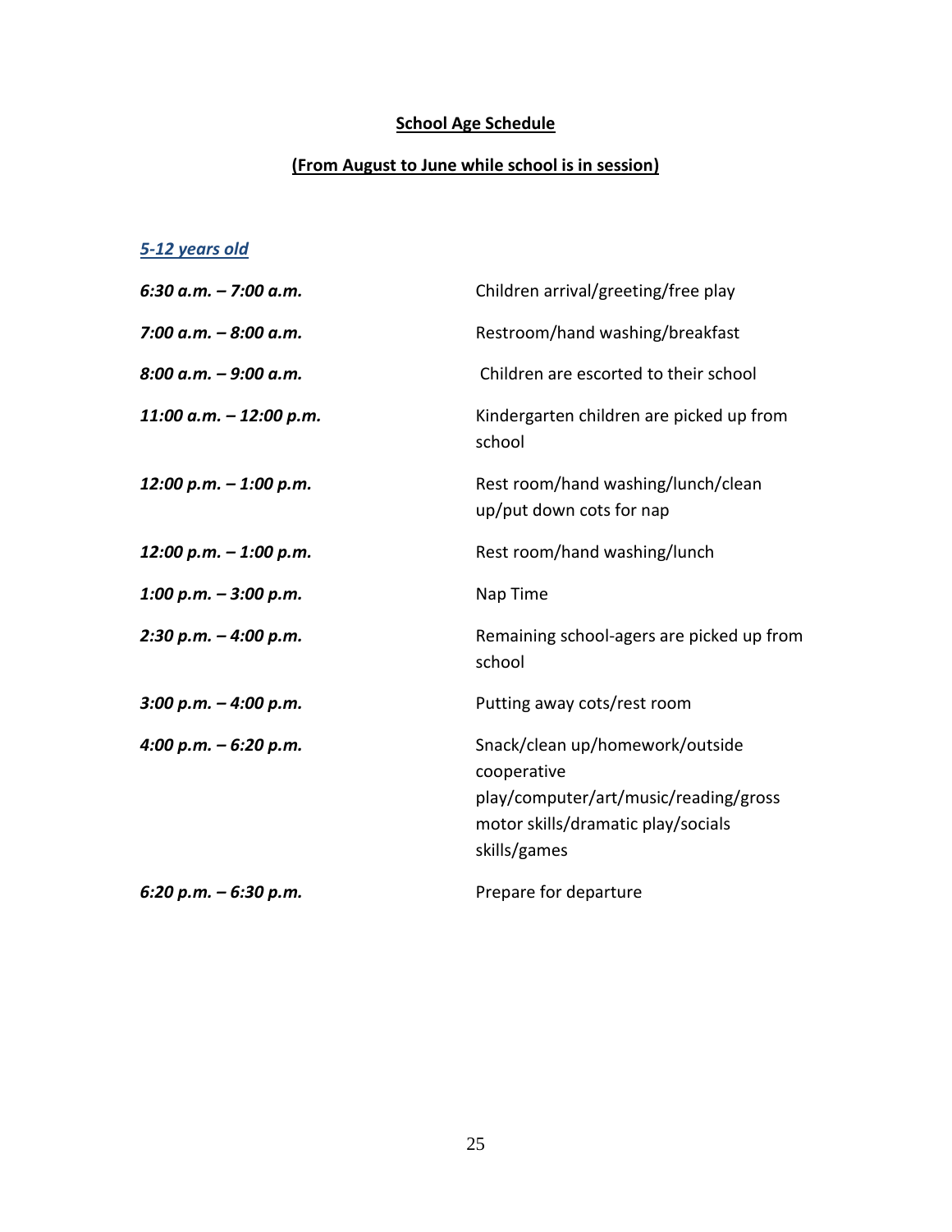### **School Age Schedule**

#### **(From August to June while school is in session)**

#### *5-12 years old*

| 6:30 a.m. – 7:00 a.m.   | Children arrival/greeting/free play                                                                                                           |
|-------------------------|-----------------------------------------------------------------------------------------------------------------------------------------------|
| 7:00 a.m. - 8:00 a.m.   | Restroom/hand washing/breakfast                                                                                                               |
| 8:00 a.m. - 9:00 a.m.   | Children are escorted to their school                                                                                                         |
| 11:00 a.m. - 12:00 p.m. | Kindergarten children are picked up from<br>school                                                                                            |
| 12:00 p.m. - 1:00 p.m.  | Rest room/hand washing/lunch/clean<br>up/put down cots for nap                                                                                |
| 12:00 p.m. - 1:00 p.m.  | Rest room/hand washing/lunch                                                                                                                  |
| 1:00 p.m. - 3:00 p.m.   | Nap Time                                                                                                                                      |
| 2:30 p.m. – 4:00 p.m.   | Remaining school-agers are picked up from<br>school                                                                                           |
| 3:00 p.m. – 4:00 p.m.   | Putting away cots/rest room                                                                                                                   |
| 4:00 p.m. – 6:20 p.m.   | Snack/clean up/homework/outside<br>cooperative<br>play/computer/art/music/reading/gross<br>motor skills/dramatic play/socials<br>skills/games |
| 6:20 p.m. – 6:30 p.m.   | Prepare for departure                                                                                                                         |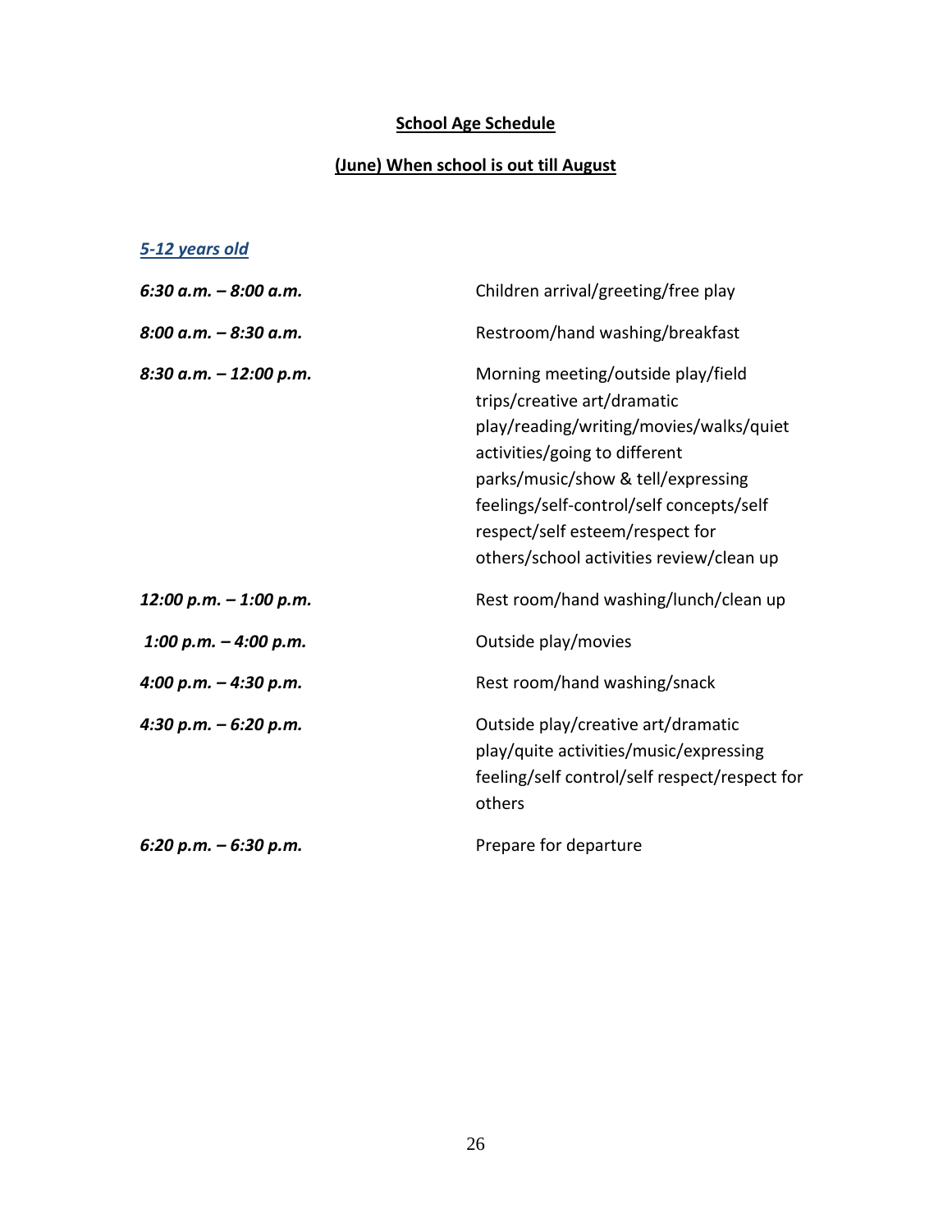### **School Age Schedule**

#### **(June) When school is out till August**

#### *5-12 years old*

| 6:30 a.m. – 8:00 a.m.   | Children arrival/greeting/free play                                                                                                                                                                                                                                                                            |
|-------------------------|----------------------------------------------------------------------------------------------------------------------------------------------------------------------------------------------------------------------------------------------------------------------------------------------------------------|
| 8:00 a.m. – 8:30 a.m.   | Restroom/hand washing/breakfast                                                                                                                                                                                                                                                                                |
| 8:30 a.m. – 12:00 p.m.  | Morning meeting/outside play/field<br>trips/creative art/dramatic<br>play/reading/writing/movies/walks/quiet<br>activities/going to different<br>parks/music/show & tell/expressing<br>feelings/self-control/self concepts/self<br>respect/self esteem/respect for<br>others/school activities review/clean up |
| 12:00 p.m. – 1:00 p.m.  | Rest room/hand washing/lunch/clean up                                                                                                                                                                                                                                                                          |
| 1:00 p.m. $-$ 4:00 p.m. | Outside play/movies                                                                                                                                                                                                                                                                                            |
| 4:00 p.m. – 4:30 p.m.   | Rest room/hand washing/snack                                                                                                                                                                                                                                                                                   |
| 4:30 p.m. – 6:20 p.m.   | Outside play/creative art/dramatic<br>play/quite activities/music/expressing<br>feeling/self control/self respect/respect for<br>others                                                                                                                                                                        |
| 6:20 p.m. – 6:30 p.m.   | Prepare for departure                                                                                                                                                                                                                                                                                          |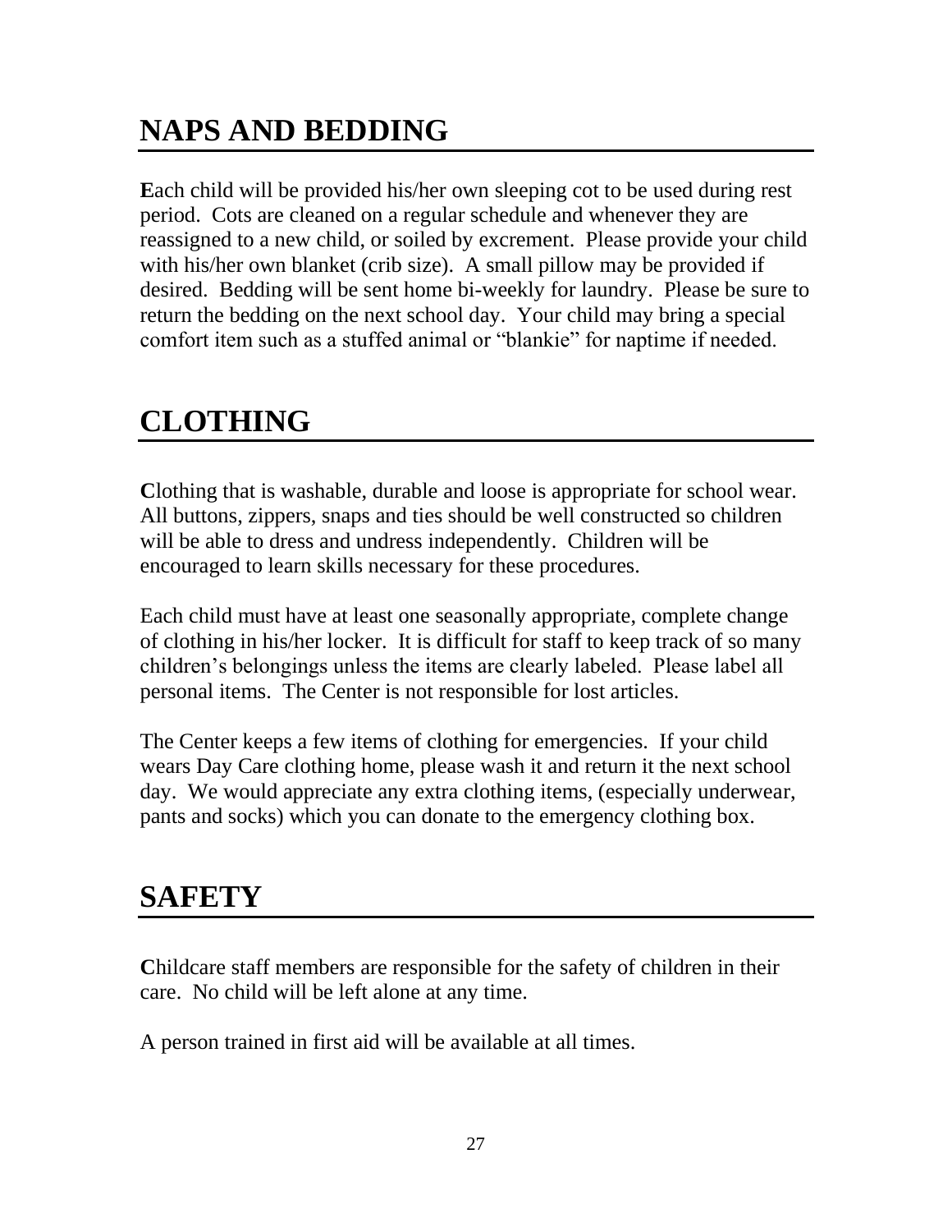## **NAPS AND BEDDING**

**E**ach child will be provided his/her own sleeping cot to be used during rest period. Cots are cleaned on a regular schedule and whenever they are reassigned to a new child, or soiled by excrement. Please provide your child with his/her own blanket (crib size). A small pillow may be provided if desired. Bedding will be sent home bi-weekly for laundry. Please be sure to return the bedding on the next school day. Your child may bring a special comfort item such as a stuffed animal or "blankie" for naptime if needed.

## **CLOTHING**

**C**lothing that is washable, durable and loose is appropriate for school wear. All buttons, zippers, snaps and ties should be well constructed so children will be able to dress and undress independently. Children will be encouraged to learn skills necessary for these procedures.

Each child must have at least one seasonally appropriate, complete change of clothing in his/her locker. It is difficult for staff to keep track of so many children's belongings unless the items are clearly labeled. Please label all personal items. The Center is not responsible for lost articles.

The Center keeps a few items of clothing for emergencies. If your child wears Day Care clothing home, please wash it and return it the next school day. We would appreciate any extra clothing items, (especially underwear, pants and socks) which you can donate to the emergency clothing box.

## **SAFETY**

**C**hildcare staff members are responsible for the safety of children in their care. No child will be left alone at any time.

A person trained in first aid will be available at all times.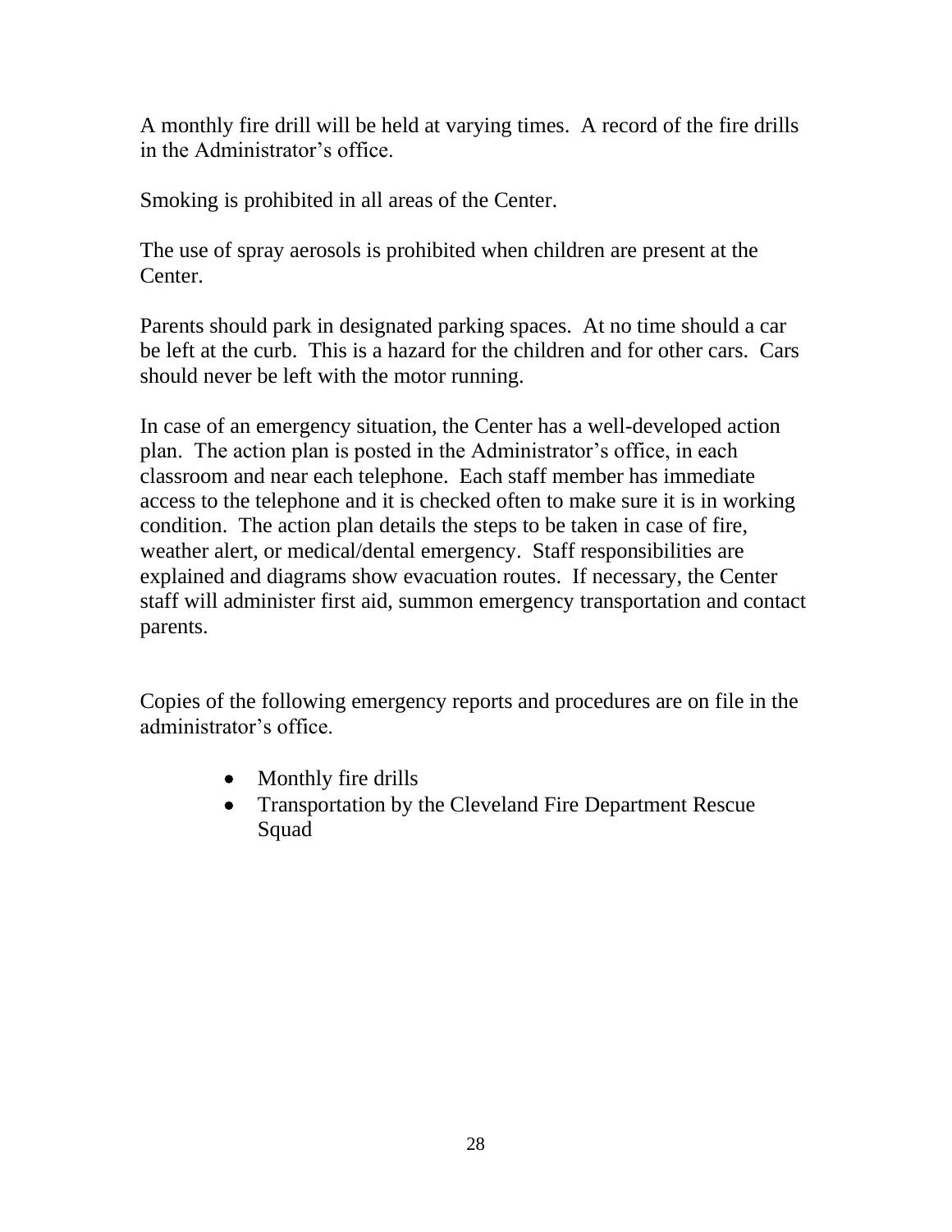A monthly fire drill will be held at varying times. A record of the fire drills in the Administrator's office.

Smoking is prohibited in all areas of the Center.

The use of spray aerosols is prohibited when children are present at the Center.

Parents should park in designated parking spaces. At no time should a car be left at the curb. This is a hazard for the children and for other cars. Cars should never be left with the motor running.

In case of an emergency situation, the Center has a well-developed action plan. The action plan is posted in the Administrator's office, in each classroom and near each telephone. Each staff member has immediate access to the telephone and it is checked often to make sure it is in working condition. The action plan details the steps to be taken in case of fire, weather alert, or medical/dental emergency. Staff responsibilities are explained and diagrams show evacuation routes. If necessary, the Center staff will administer first aid, summon emergency transportation and contact parents.

Copies of the following emergency reports and procedures are on file in the administrator's office.

- Monthly fire drills
- Transportation by the Cleveland Fire Department Rescue Squad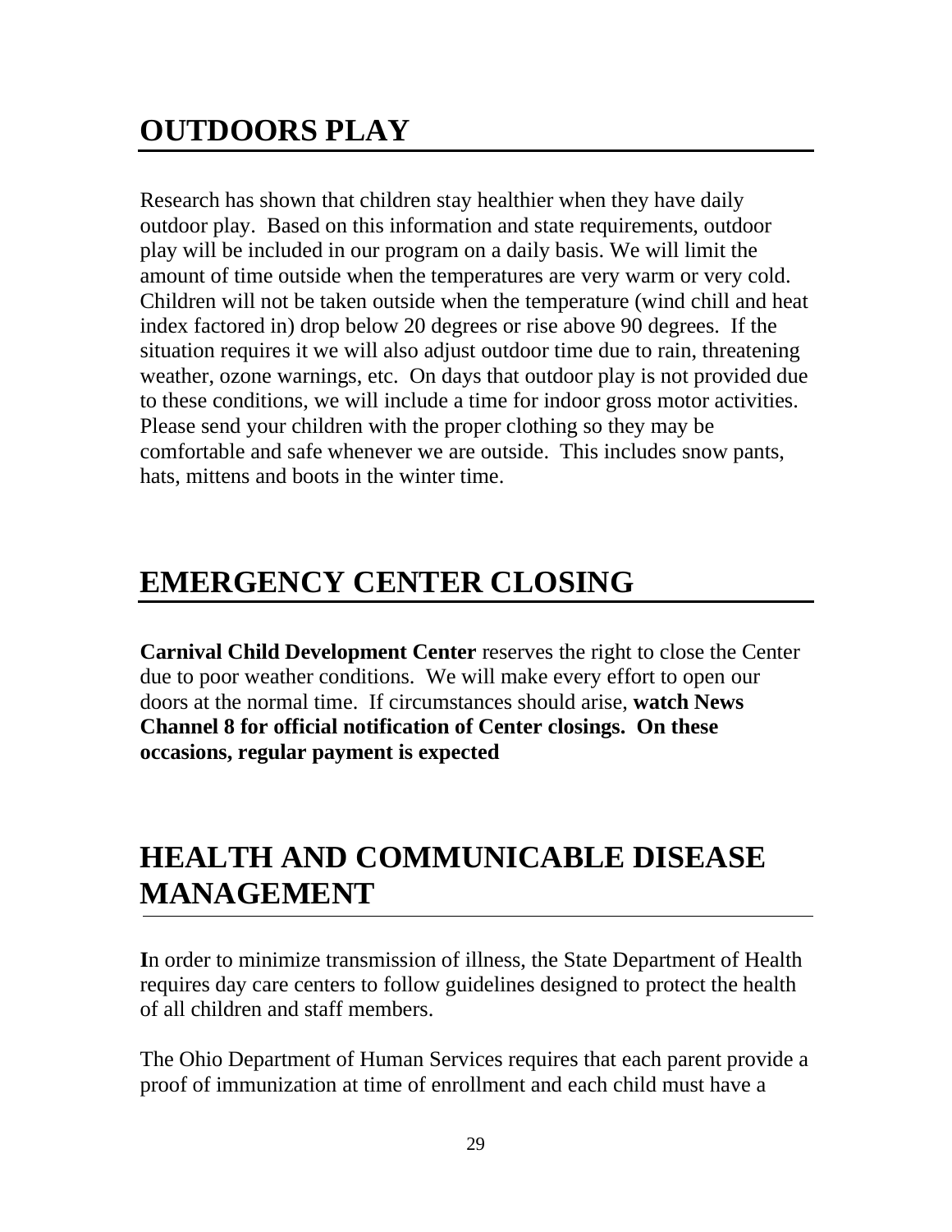Research has shown that children stay healthier when they have daily outdoor play. Based on this information and state requirements, outdoor play will be included in our program on a daily basis. We will limit the amount of time outside when the temperatures are very warm or very cold. Children will not be taken outside when the temperature (wind chill and heat index factored in) drop below 20 degrees or rise above 90 degrees. If the situation requires it we will also adjust outdoor time due to rain, threatening weather, ozone warnings, etc. On days that outdoor play is not provided due to these conditions, we will include a time for indoor gross motor activities. Please send your children with the proper clothing so they may be comfortable and safe whenever we are outside. This includes snow pants, hats, mittens and boots in the winter time.

## **EMERGENCY CENTER CLOSING**

**Carnival Child Development Center** reserves the right to close the Center due to poor weather conditions. We will make every effort to open our doors at the normal time. If circumstances should arise, **watch News Channel 8 for official notification of Center closings. On these occasions, regular payment is expected**

## **HEALTH AND COMMUNICABLE DISEASE MANAGEMENT**

**I**n order to minimize transmission of illness, the State Department of Health requires day care centers to follow guidelines designed to protect the health of all children and staff members.

The Ohio Department of Human Services requires that each parent provide a proof of immunization at time of enrollment and each child must have a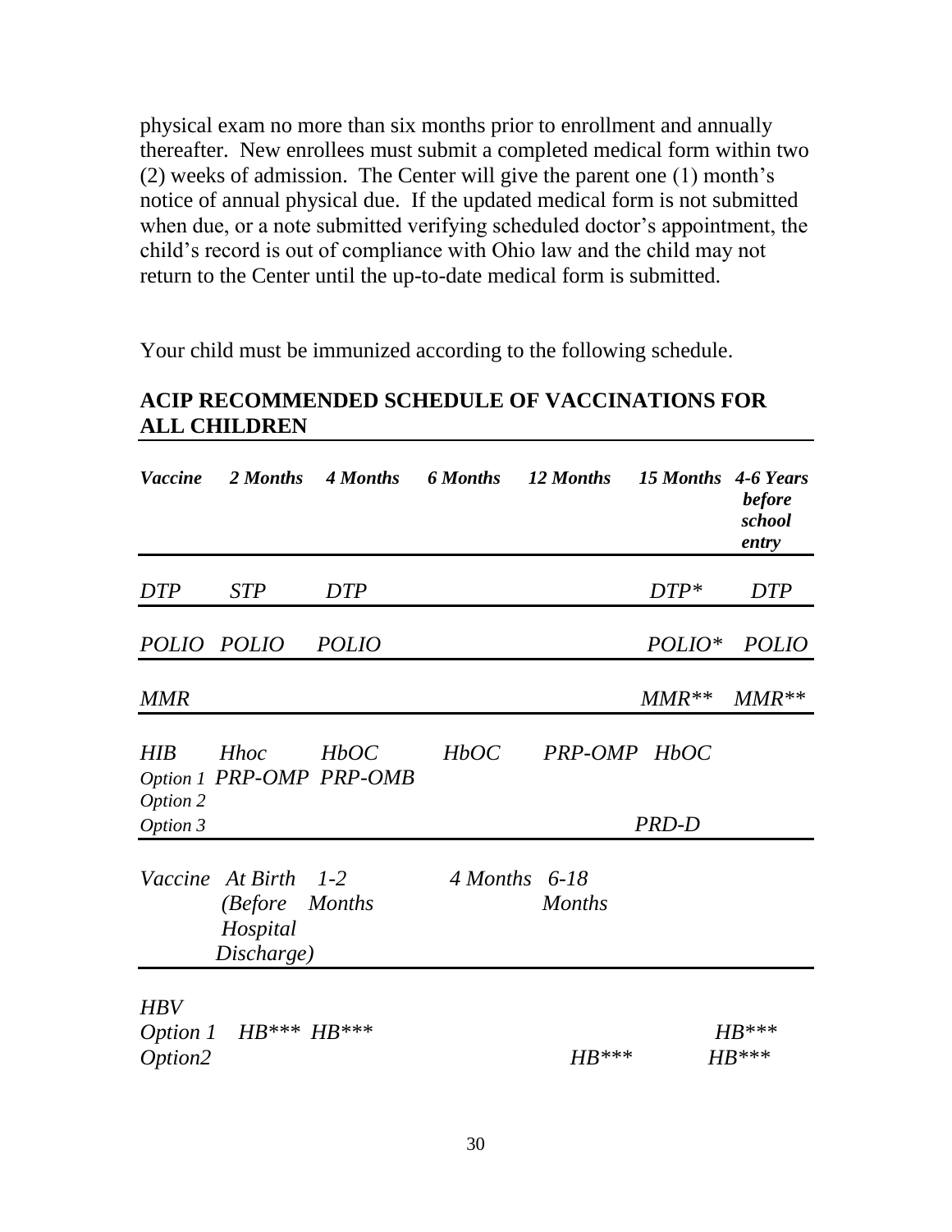physical exam no more than six months prior to enrollment and annually thereafter. New enrollees must submit a completed medical form within two (2) weeks of admission. The Center will give the parent one (1) month's notice of annual physical due. If the updated medical form is not submitted when due, or a note submitted verifying scheduled doctor's appointment, the child's record is out of compliance with Ohio law and the child may not return to the Center until the up-to-date medical form is submitted.

Your child must be immunized according to the following schedule.

#### **ACIP RECOMMENDED SCHEDULE OF VACCINATIONS FOR ALL CHILDREN**

| <b>Vaccine</b>         |                                                                  | 2 Months 4 Months                | 6 Months 12 Months |               | 15 Months 4-6 Years | <b>before</b><br>school<br>entry |
|------------------------|------------------------------------------------------------------|----------------------------------|--------------------|---------------|---------------------|----------------------------------|
| <b>DTP</b>             | <b>STP</b>                                                       | <b>DTP</b>                       |                    |               | $DTP*$              | <b>DTP</b>                       |
|                        | POLIO POLIO                                                      | <b>POLIO</b>                     |                    |               | $POLIO^*$           | <b>POLIO</b>                     |
| <b>MMR</b>             |                                                                  |                                  |                    |               | $MMR**$             | $MMR**$                          |
| <b>HIB</b><br>Option 2 | <b>Hhoc</b>                                                      | HbOC<br>Option 1 PRP-OMP PRP-OMB | HbOC               | PRP-OMP HbOC  |                     |                                  |
| Option 3               |                                                                  |                                  |                    |               | PRD-D               |                                  |
|                        | Vaccine At Birth 1-2<br>(Before Months<br>Hospital<br>Discharge) |                                  | $4$ Months 6-18    | <b>Months</b> |                     |                                  |
| <b>HBV</b><br>Option2  | Option 1 $HB***HB***$                                            |                                  |                    | $HB***$       |                     | $HB^{***}$<br>$HB***$            |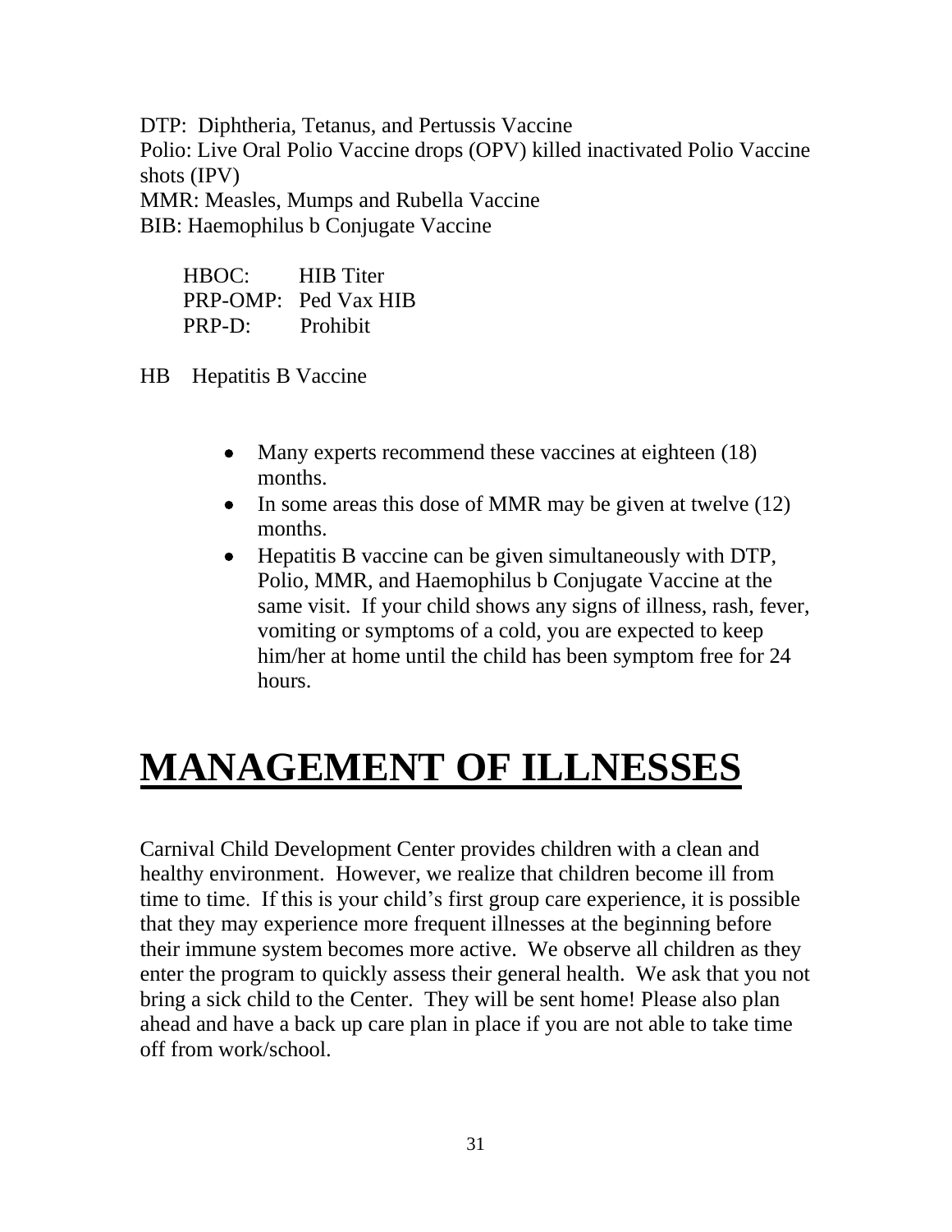DTP: Diphtheria, Tetanus, and Pertussis Vaccine Polio: Live Oral Polio Vaccine drops (OPV) killed inactivated Polio Vaccine shots (IPV) MMR: Measles, Mumps and Rubella Vaccine

BIB: Haemophilus b Conjugate Vaccine

| HBOC:  | <b>HIB</b> Titer     |
|--------|----------------------|
|        | PRP-OMP: Ped Vax HIB |
| PRP-D: | Prohibit             |

HB Hepatitis B Vaccine

- Many experts recommend these vaccines at eighteen (18) months.
- In some areas this dose of MMR may be given at twelve (12) months.
- Hepatitis B vaccine can be given simultaneously with DTP, Polio, MMR, and Haemophilus b Conjugate Vaccine at the same visit. If your child shows any signs of illness, rash, fever, vomiting or symptoms of a cold, you are expected to keep him/her at home until the child has been symptom free for 24 hours.

# **MANAGEMENT OF ILLNESSES**

Carnival Child Development Center provides children with a clean and healthy environment. However, we realize that children become ill from time to time. If this is your child's first group care experience, it is possible that they may experience more frequent illnesses at the beginning before their immune system becomes more active. We observe all children as they enter the program to quickly assess their general health. We ask that you not bring a sick child to the Center. They will be sent home! Please also plan ahead and have a back up care plan in place if you are not able to take time off from work/school.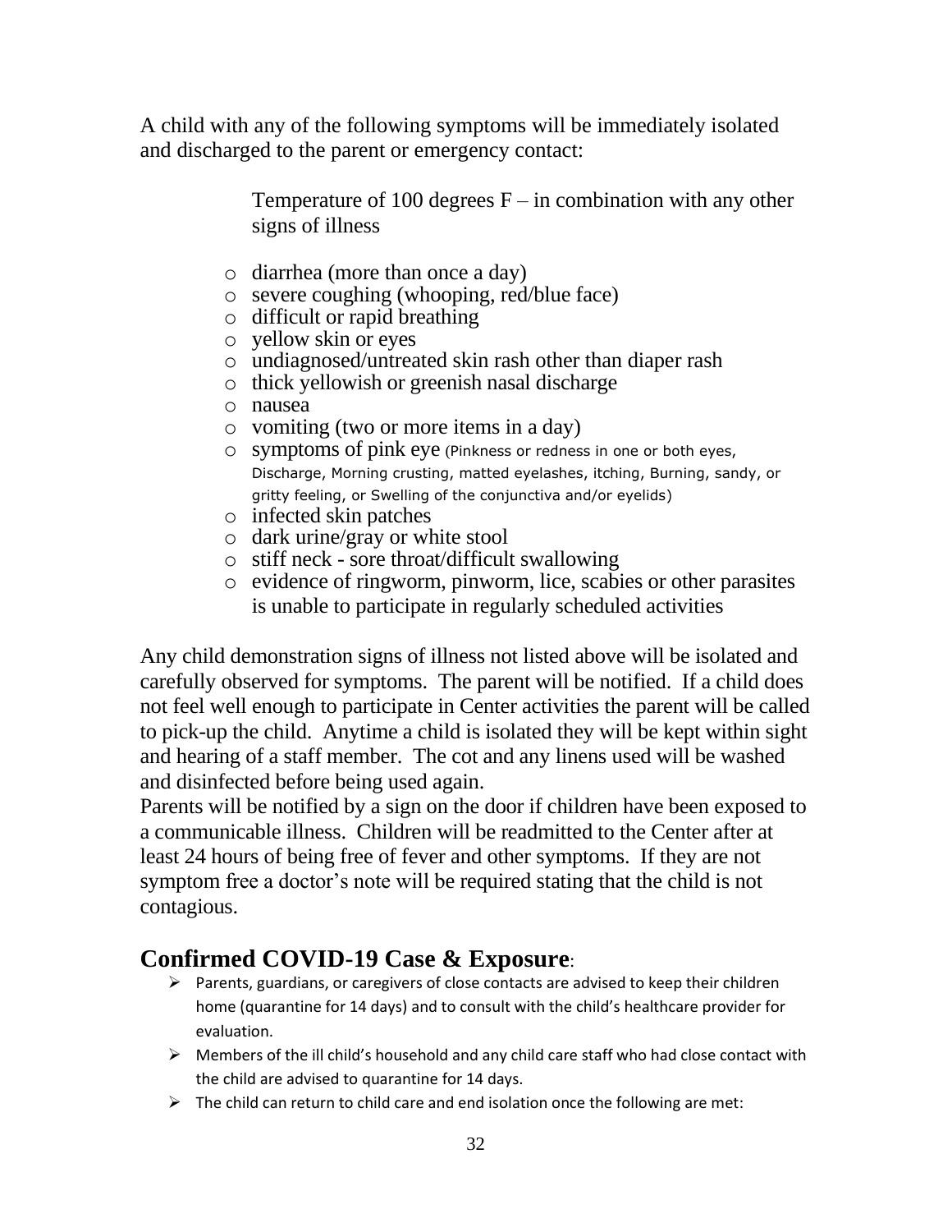A child with any of the following symptoms will be immediately isolated and discharged to the parent or emergency contact:

> Temperature of 100 degrees  $F - in$  combination with any other signs of illness

- o diarrhea (more than once a day)
- o severe coughing (whooping, red/blue face)
- o difficult or rapid breathing
- o yellow skin or eyes
- o undiagnosed/untreated skin rash other than diaper rash
- o thick yellowish or greenish nasal discharge
- o nausea
- o vomiting (two or more items in a day)
- o symptoms of pink eye (Pinkness or redness in one or both eyes, Discharge, Morning crusting, matted eyelashes, itching, Burning, sandy, or gritty feeling, or Swelling of the conjunctiva and/or eyelids)
- o infected skin patches
- o dark urine/gray or white stool
- o stiff neck sore throat/difficult swallowing
- o evidence of ringworm, pinworm, lice, scabies or other parasites is unable to participate in regularly scheduled activities

Any child demonstration signs of illness not listed above will be isolated and carefully observed for symptoms. The parent will be notified. If a child does not feel well enough to participate in Center activities the parent will be called to pick-up the child. Anytime a child is isolated they will be kept within sight and hearing of a staff member. The cot and any linens used will be washed and disinfected before being used again.

Parents will be notified by a sign on the door if children have been exposed to a communicable illness. Children will be readmitted to the Center after at least 24 hours of being free of fever and other symptoms. If they are not symptom free a doctor's note will be required stating that the child is not contagious.

### **Confirmed COVID-19 Case & Exposure**:

- ➢ Parents, guardians, or caregivers of close contacts are advised to keep their children home (quarantine for 14 days) and to consult with the child's healthcare provider for evaluation.
- $\triangleright$  Members of the ill child's household and any child care staff who had close contact with the child are advised to quarantine for 14 days.
- $\triangleright$  The child can return to child care and end isolation once the following are met: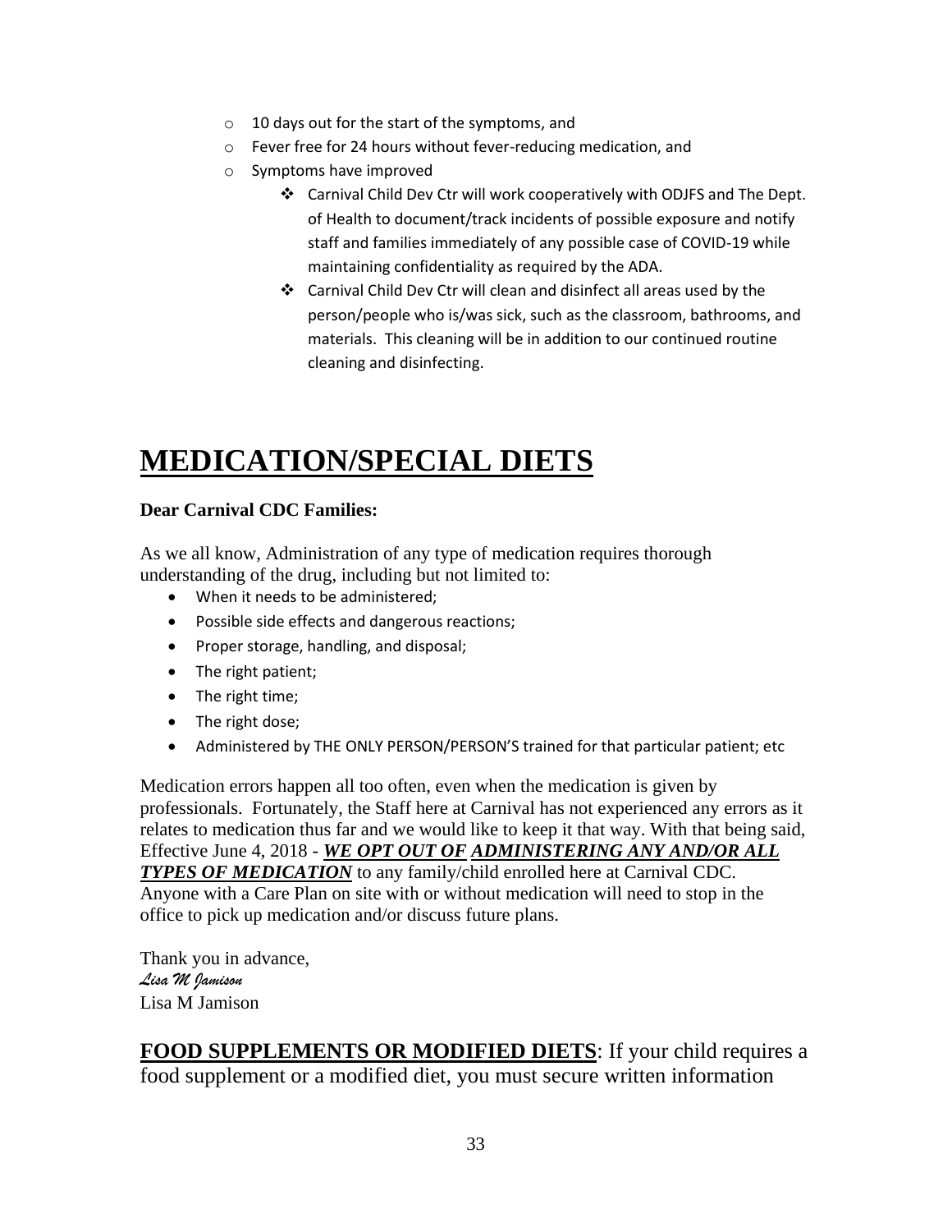- o 10 days out for the start of the symptoms, and
- o Fever free for 24 hours without fever-reducing medication, and
- o Symptoms have improved
	- ❖ Carnival Child Dev Ctr will work cooperatively with ODJFS and The Dept. of Health to document/track incidents of possible exposure and notify staff and families immediately of any possible case of COVID-19 while maintaining confidentiality as required by the ADA.
	- ❖ Carnival Child Dev Ctr will clean and disinfect all areas used by the person/people who is/was sick, such as the classroom, bathrooms, and materials. This cleaning will be in addition to our continued routine cleaning and disinfecting.

## **MEDICATION/SPECIAL DIETS**

#### **Dear Carnival CDC Families:**

As we all know, Administration of any type of medication requires thorough understanding of the drug, including but not limited to:

- When it needs to be administered:
- Possible side effects and dangerous reactions;
- Proper storage, handling, and disposal;
- The right patient;
- The right time;
- The right dose;
- Administered by THE ONLY PERSON/PERSON'S trained for that particular patient; etc

Medication errors happen all too often, even when the medication is given by professionals. Fortunately, the Staff here at Carnival has not experienced any errors as it relates to medication thus far and we would like to keep it that way. With that being said, Effective June 4, 2018 - *WE OPT OUT OF ADMINISTERING ANY AND/OR ALL TYPES OF MEDICATION* to any family/child enrolled here at Carnival CDC. Anyone with a Care Plan on site with or without medication will need to stop in the office to pick up medication and/or discuss future plans.

Thank you in advance, *Lisa M Jamison* Lisa M Jamison

**FOOD SUPPLEMENTS OR MODIFIED DIETS**: If your child requires a food supplement or a modified diet, you must secure written information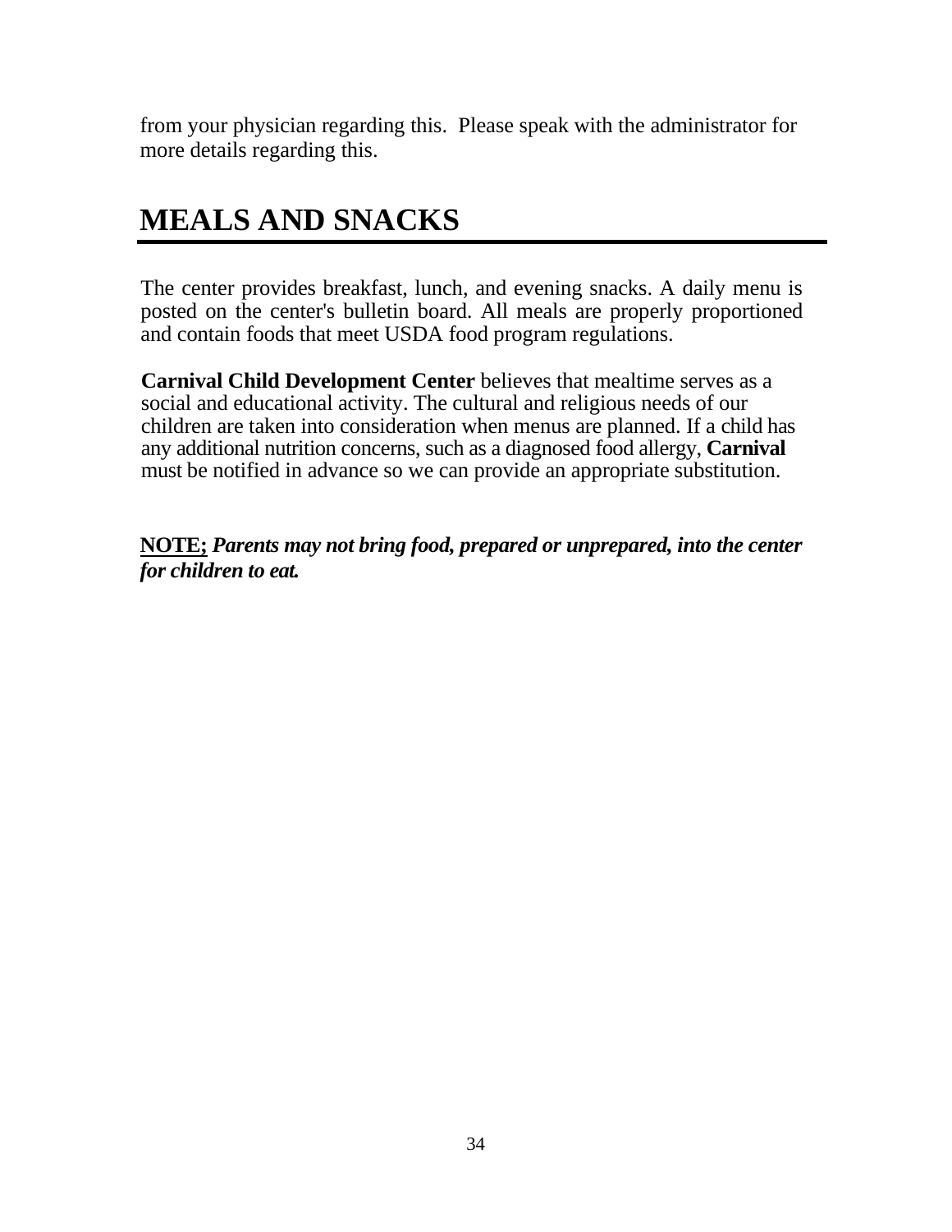from your physician regarding this. Please speak with the administrator for more details regarding this.

## **MEALS AND SNACKS**

The center provides breakfast, lunch, and evening snacks. A daily menu is posted on the center's bulletin board. All meals are properly proportioned and contain foods that meet USDA food program regulations.

**Carnival Child Development Center** believes that mealtime serves as a social and educational activity. The cultural and religious needs of our children are taken into consideration when menus are planned. If a child has any additional nutrition concerns, such as a diagnosed food allergy, **Carnival**  must be notified in advance so we can provide an appropriate substitution.

**NOTE;** *Parents may not bring food, prepared or unprepared, into the center for children to eat.*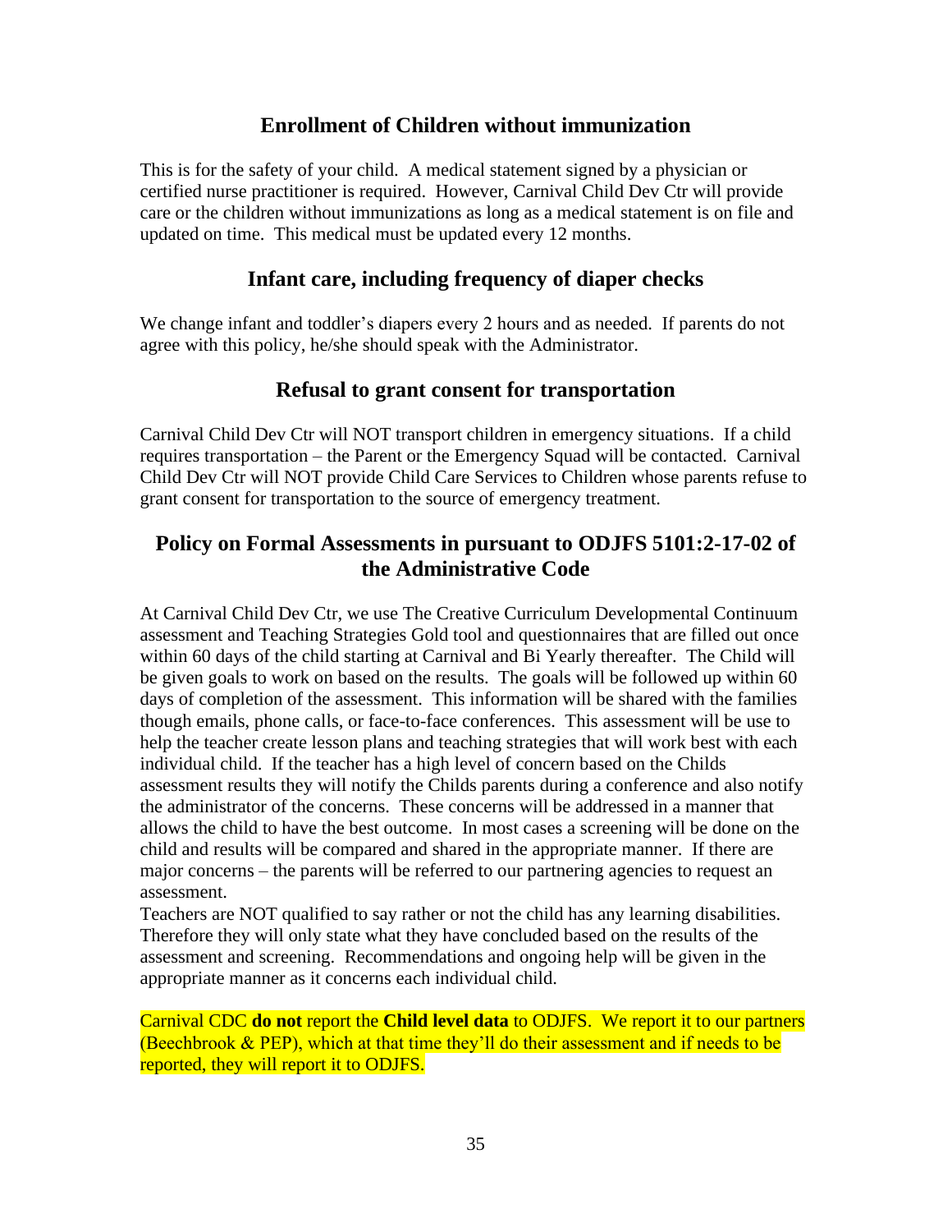#### **Enrollment of Children without immunization**

This is for the safety of your child. A medical statement signed by a physician or certified nurse practitioner is required. However, Carnival Child Dev Ctr will provide care or the children without immunizations as long as a medical statement is on file and updated on time. This medical must be updated every 12 months.

#### **Infant care, including frequency of diaper checks**

We change infant and toddler's diapers every 2 hours and as needed. If parents do not agree with this policy, he/she should speak with the Administrator.

#### **Refusal to grant consent for transportation**

Carnival Child Dev Ctr will NOT transport children in emergency situations. If a child requires transportation – the Parent or the Emergency Squad will be contacted. Carnival Child Dev Ctr will NOT provide Child Care Services to Children whose parents refuse to grant consent for transportation to the source of emergency treatment.

### **Policy on Formal Assessments in pursuant to ODJFS 5101:2-17-02 of the Administrative Code**

At Carnival Child Dev Ctr, we use The Creative Curriculum Developmental Continuum assessment and Teaching Strategies Gold tool and questionnaires that are filled out once within 60 days of the child starting at Carnival and Bi Yearly thereafter. The Child will be given goals to work on based on the results. The goals will be followed up within 60 days of completion of the assessment. This information will be shared with the families though emails, phone calls, or face-to-face conferences. This assessment will be use to help the teacher create lesson plans and teaching strategies that will work best with each individual child. If the teacher has a high level of concern based on the Childs assessment results they will notify the Childs parents during a conference and also notify the administrator of the concerns. These concerns will be addressed in a manner that allows the child to have the best outcome. In most cases a screening will be done on the child and results will be compared and shared in the appropriate manner. If there are major concerns – the parents will be referred to our partnering agencies to request an assessment.

Teachers are NOT qualified to say rather or not the child has any learning disabilities. Therefore they will only state what they have concluded based on the results of the assessment and screening. Recommendations and ongoing help will be given in the appropriate manner as it concerns each individual child.

Carnival CDC **do not** report the **Child level data** to ODJFS. We report it to our partners (Beechbrook & PEP), which at that time they'll do their assessment and if needs to be reported, they will report it to ODJFS.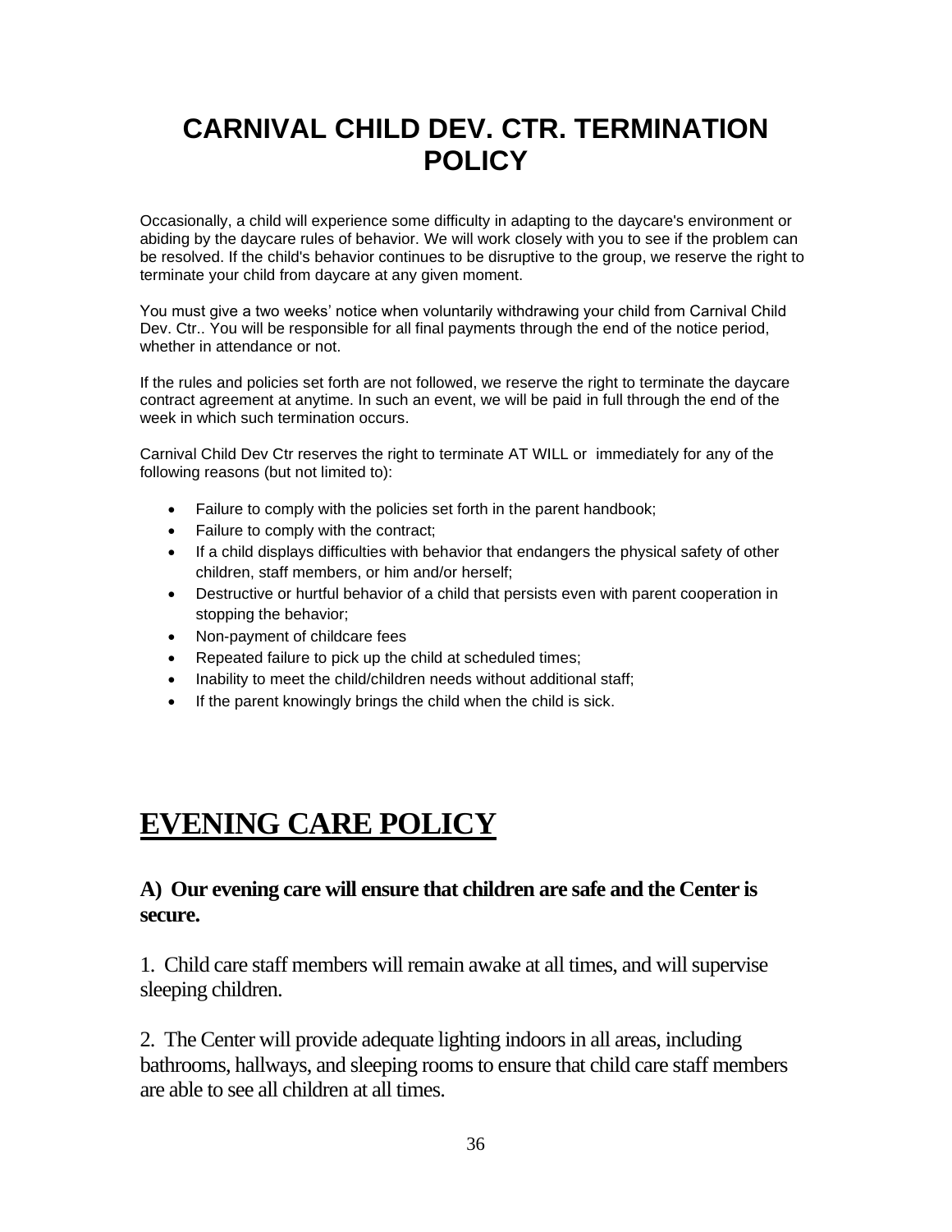## **CARNIVAL CHILD DEV. CTR. TERMINATION POLICY**

Occasionally, a child will experience some difficulty in adapting to the daycare's environment or abiding by the daycare rules of behavior. We will work closely with you to see if the problem can be resolved. If the child's behavior continues to be disruptive to the group, we reserve the right to terminate your child from daycare at any given moment.

You must give a two weeks' notice when voluntarily withdrawing your child from Carnival Child Dev. Ctr.. You will be responsible for all final payments through the end of the notice period, whether in attendance or not.

If the rules and policies set forth are not followed, we reserve the right to terminate the daycare contract agreement at anytime. In such an event, we will be paid in full through the end of the week in which such termination occurs.

Carnival Child Dev Ctr reserves the right to terminate AT WILL or immediately for any of the following reasons (but not limited to):

- Failure to comply with the policies set forth in the parent handbook;
- Failure to comply with the contract;
- If a child displays difficulties with behavior that endangers the physical safety of other children, staff members, or him and/or herself;
- Destructive or hurtful behavior of a child that persists even with parent cooperation in stopping the behavior;
- Non-payment of childcare fees
- Repeated failure to pick up the child at scheduled times;
- Inability to meet the child/children needs without additional staff;
- If the parent knowingly brings the child when the child is sick.

## **EVENING CARE POLICY**

#### **A) Our evening care will ensure that children are safe and the Center is secure.**

1. Child care staff members will remain awake at all times, and will supervise sleeping children.

2. The Center will provide adequate lighting indoors in all areas, including bathrooms, hallways, and sleeping rooms to ensure that child care staff members are able to see all children at all times.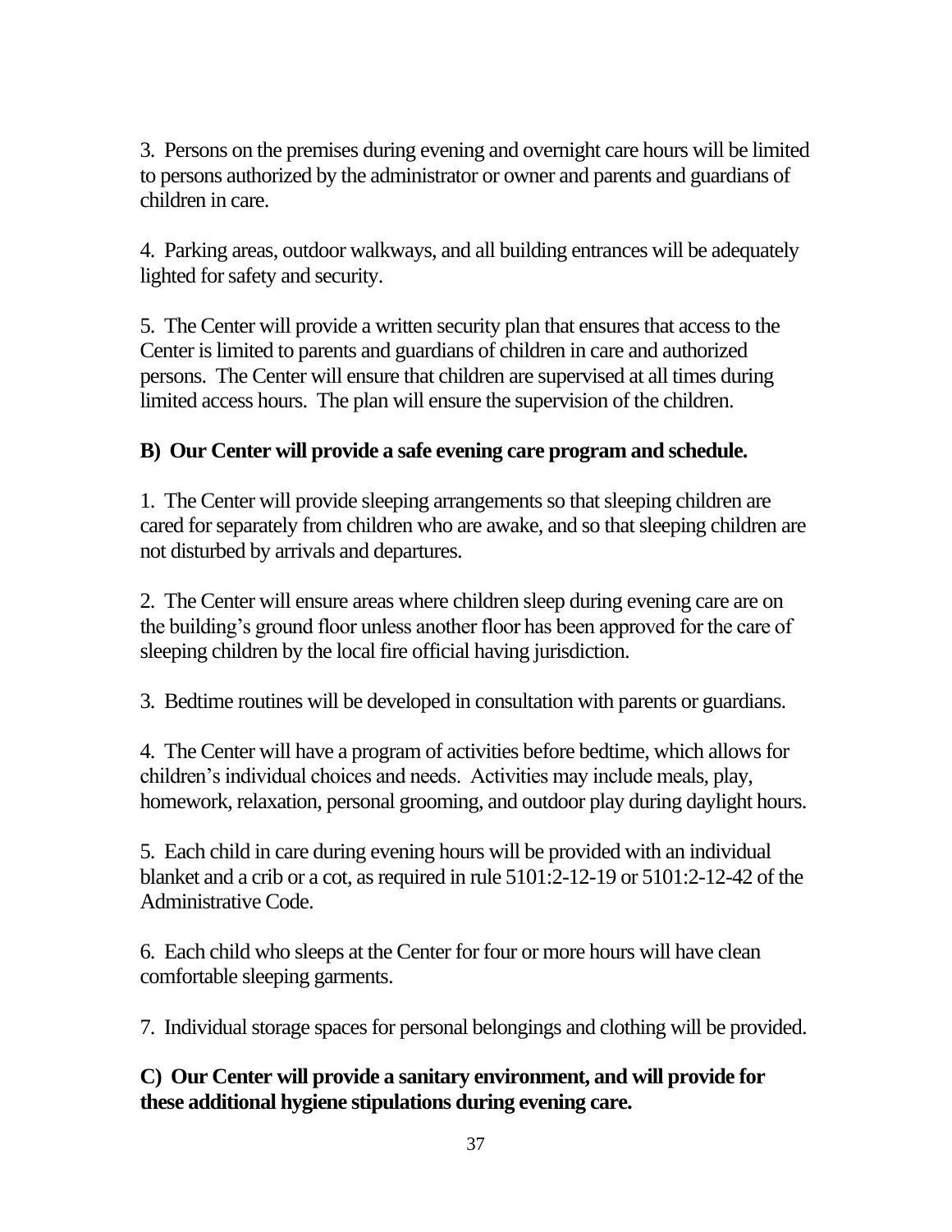3. Persons on the premises during evening and overnight care hours will be limited to persons authorized by the administrator or owner and parents and guardians of children in care.

4. Parking areas, outdoor walkways, and all building entrances will be adequately lighted for safety and security.

5. The Center will provide a written security plan that ensures that access to the Center is limited to parents and guardians of children in care and authorized persons. The Center will ensure that children are supervised at all times during limited access hours. The plan will ensure the supervision of the children.

### **B) Our Center will provide a safe evening care program and schedule.**

1. The Center will provide sleeping arrangements so that sleeping children are cared for separately from children who are awake, and so that sleeping children are not disturbed by arrivals and departures.

2. The Center will ensure areas where children sleep during evening care are on the building's ground floor unless another floor has been approved for the care of sleeping children by the local fire official having jurisdiction.

3. Bedtime routines will be developed in consultation with parents or guardians.

4. The Center will have a program of activities before bedtime, which allows for children's individual choices and needs. Activities may include meals, play, homework, relaxation, personal grooming, and outdoor play during daylight hours.

5. Each child in care during evening hours will be provided with an individual blanket and a crib or a cot, as required in rule 5101:2-12-19 or 5101:2-12-42 of the Administrative Code.

6. Each child who sleeps at the Center for four or more hours will have clean comfortable sleeping garments.

7. Individual storage spaces for personal belongings and clothing will be provided.

**C) Our Center will provide a sanitary environment, and will provide for these additional hygiene stipulations during evening care.**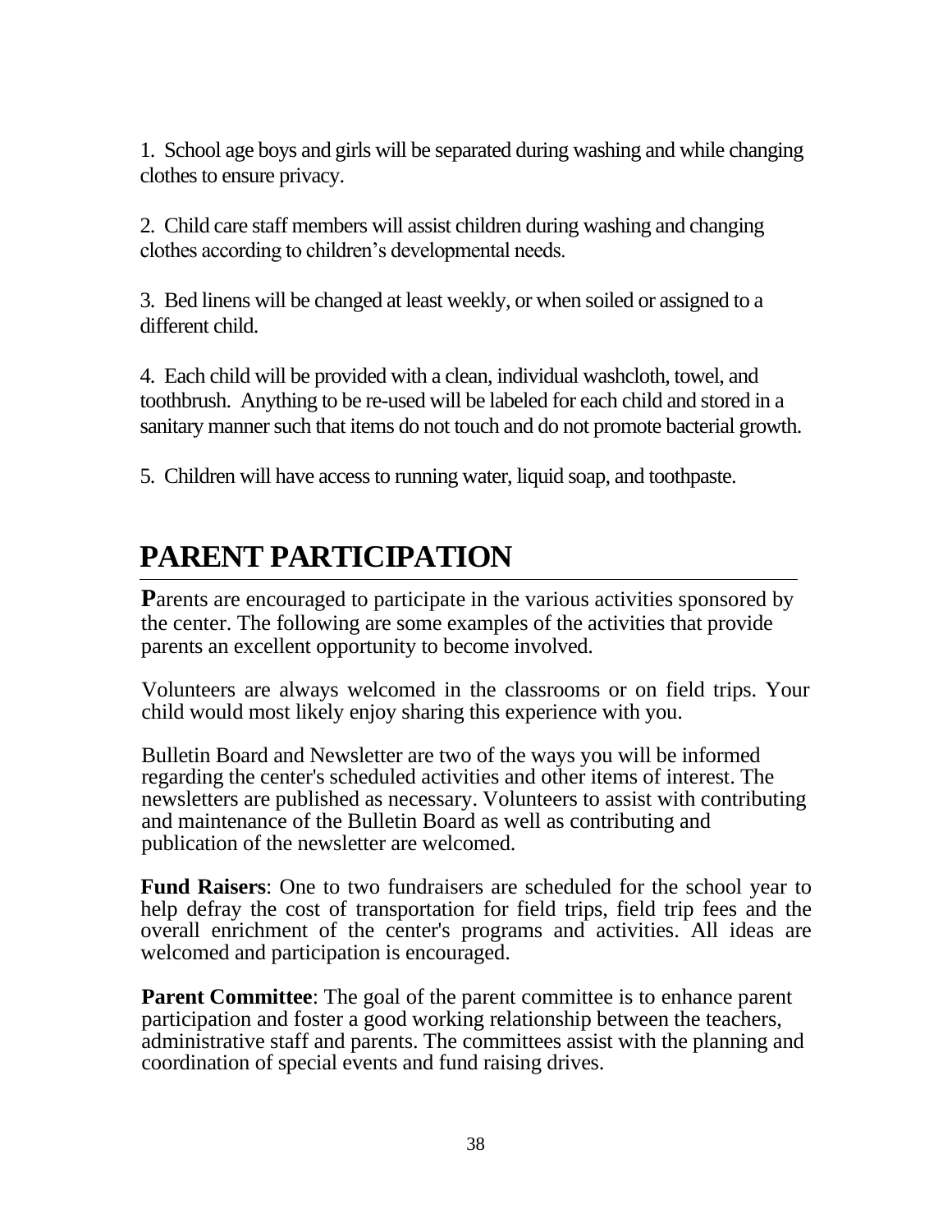1. School age boys and girls will be separated during washing and while changing clothes to ensure privacy.

2. Child care staff members will assist children during washing and changing clothes according to children's developmental needs.

3. Bed linens will be changed at least weekly, or when soiled or assigned to a different child.

4. Each child will be provided with a clean, individual washcloth, towel, and toothbrush. Anything to be re-used will be labeled for each child and stored in a sanitary manner such that items do not touch and do not promote bacterial growth.

5. Children will have access to running water, liquid soap, and toothpaste.

## **PARENT PARTICIPATION**

**Parents are encouraged to participate in the various activities sponsored by** the center. The following are some examples of the activities that provide parents an excellent opportunity to become involved.

Volunteers are always welcomed in the classrooms or on field trips. Your child would most likely enjoy sharing this experience with you.

Bulletin Board and Newsletter are two of the ways you will be informed regarding the center's scheduled activities and other items of interest. The newsletters are published as necessary. Volunteers to assist with contributing and maintenance of the Bulletin Board as well as contributing and publication of the newsletter are welcomed.

**Fund Raisers**: One to two fundraisers are scheduled for the school year to help defray the cost of transportation for field trips, field trip fees and the overall enrichment of the center's programs and activities. All ideas are welcomed and participation is encouraged.

**Parent Committee:** The goal of the parent committee is to enhance parent participation and foster a good working relationship between the teachers, administrative staff and parents. The committees assist with the planning and coordination of special events and fund raising drives.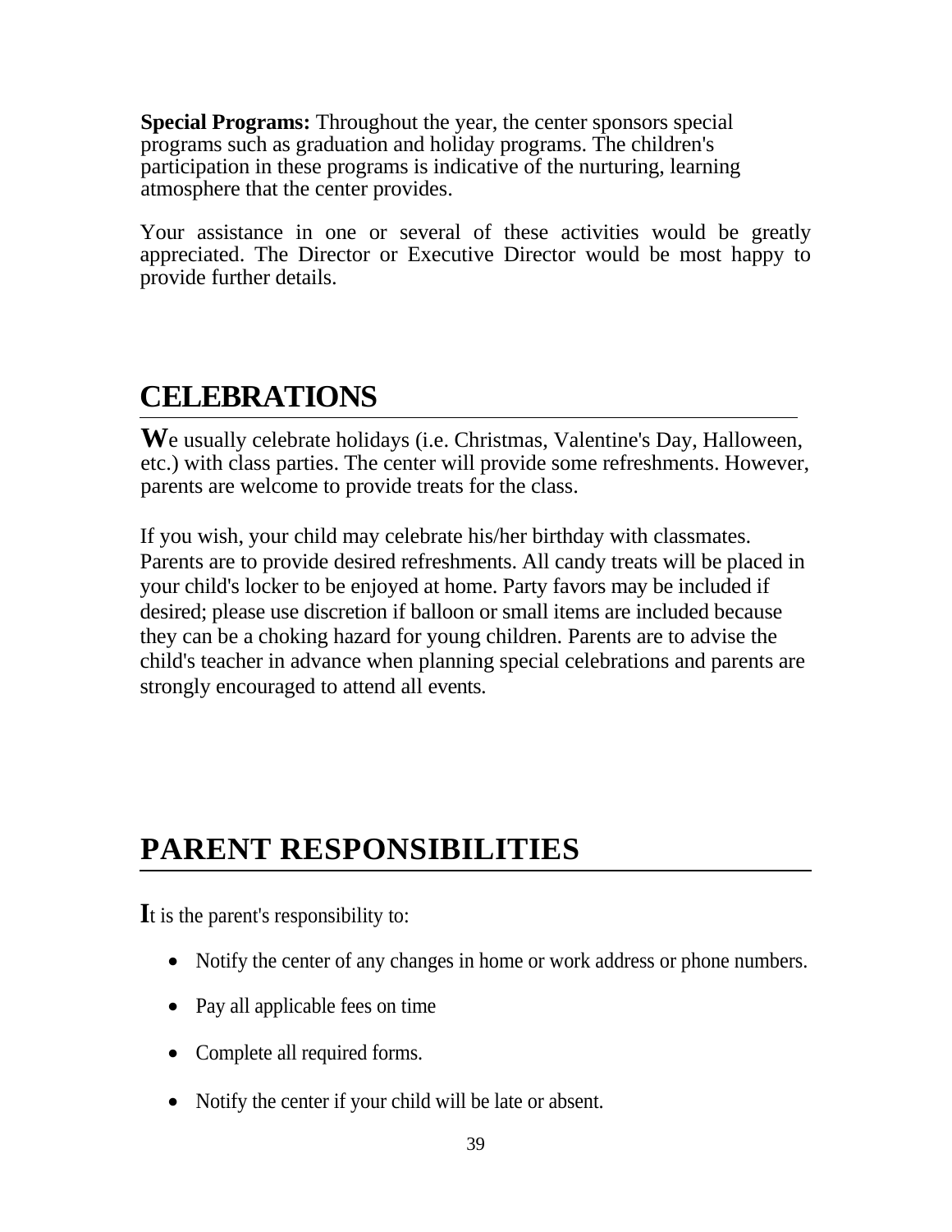**Special Programs:** Throughout the year, the center sponsors special programs such as graduation and holiday programs. The children's participation in these programs is indicative of the nurturing, learning atmosphere that the center provides.

Your assistance in one or several of these activities would be greatly appreciated. The Director or Executive Director would be most happy to provide further details.

## **CELEBRATIONS**

**W**e usually celebrate holidays (i.e. Christmas, Valentine's Day, Halloween, etc.) with class parties. The center will provide some refreshments. However, parents are welcome to provide treats for the class.

If you wish, your child may celebrate his/her birthday with classmates. Parents are to provide desired refreshments. All candy treats will be placed in your child's locker to be enjoyed at home. Party favors may be included if desired; please use discretion if balloon or small items are included because they can be a choking hazard for young children. Parents are to advise the child's teacher in advance when planning special celebrations and parents are strongly encouraged to attend all events.

## **PARENT RESPONSIBILITIES**

**I**t is the parent's responsibility to:

- Notify the center of any changes in home or work address or phone numbers.
- Pay all applicable fees on time
- Complete all required forms.
- Notify the center if your child will be late or absent.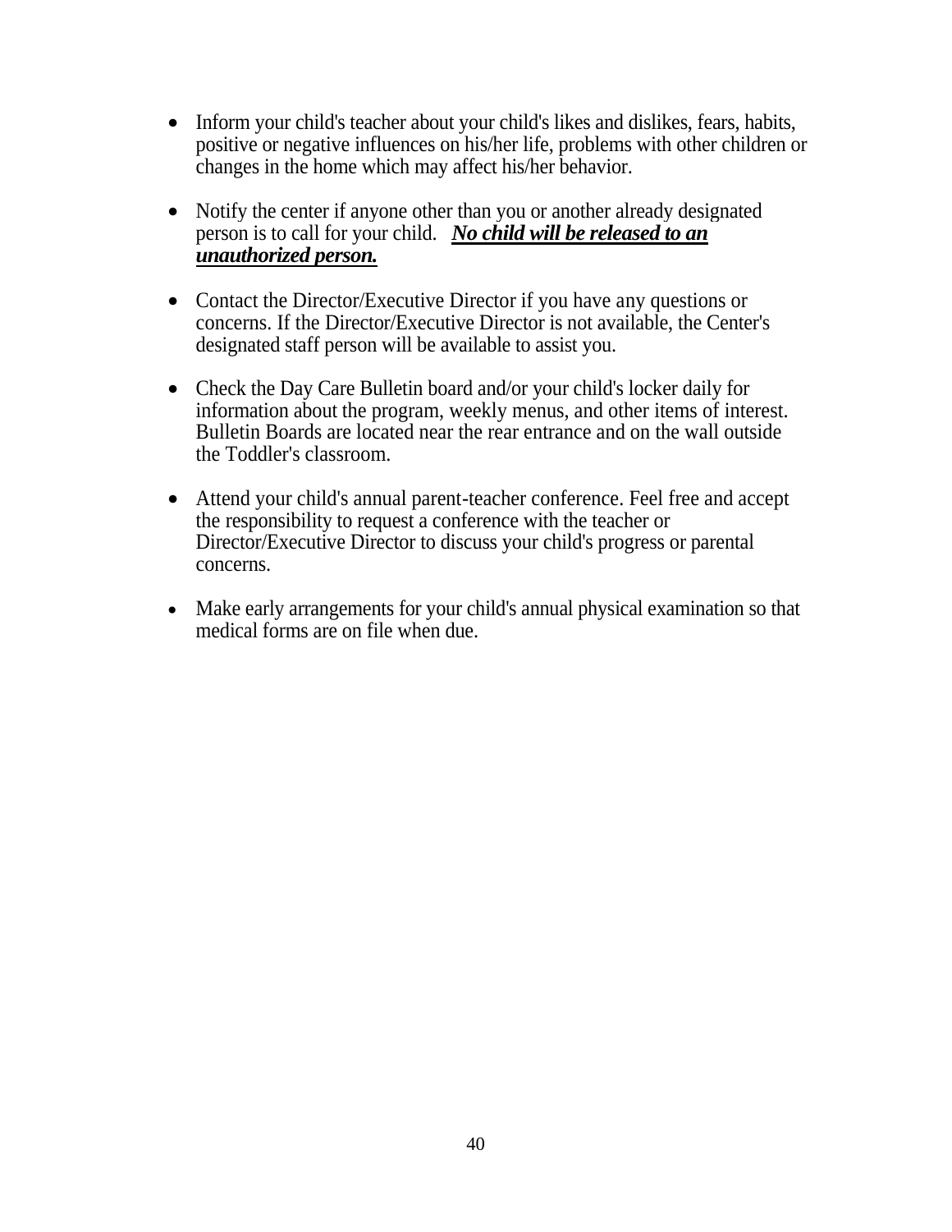- Inform your child's teacher about your child's likes and dislikes, fears, habits, positive or negative influences on his/her life, problems with other children or changes in the home which may affect his/her behavior.
- Notify the center if anyone other than you or another already designated person is to call for your child. *No child will be released to an unauthorized person.*
- Contact the Director/Executive Director if you have any questions or concerns. If the Director/Executive Director is not available, the Center's designated staff person will be available to assist you.
- Check the Day Care Bulletin board and/or your child's locker daily for information about the program, weekly menus, and other items of interest. Bulletin Boards are located near the rear entrance and on the wall outside the Toddler's classroom.
- Attend your child's annual parent-teacher conference. Feel free and accept the responsibility to request a conference with the teacher or Director/Executive Director to discuss your child's progress or parental concerns.
- Make early arrangements for your child's annual physical examination so that medical forms are on file when due.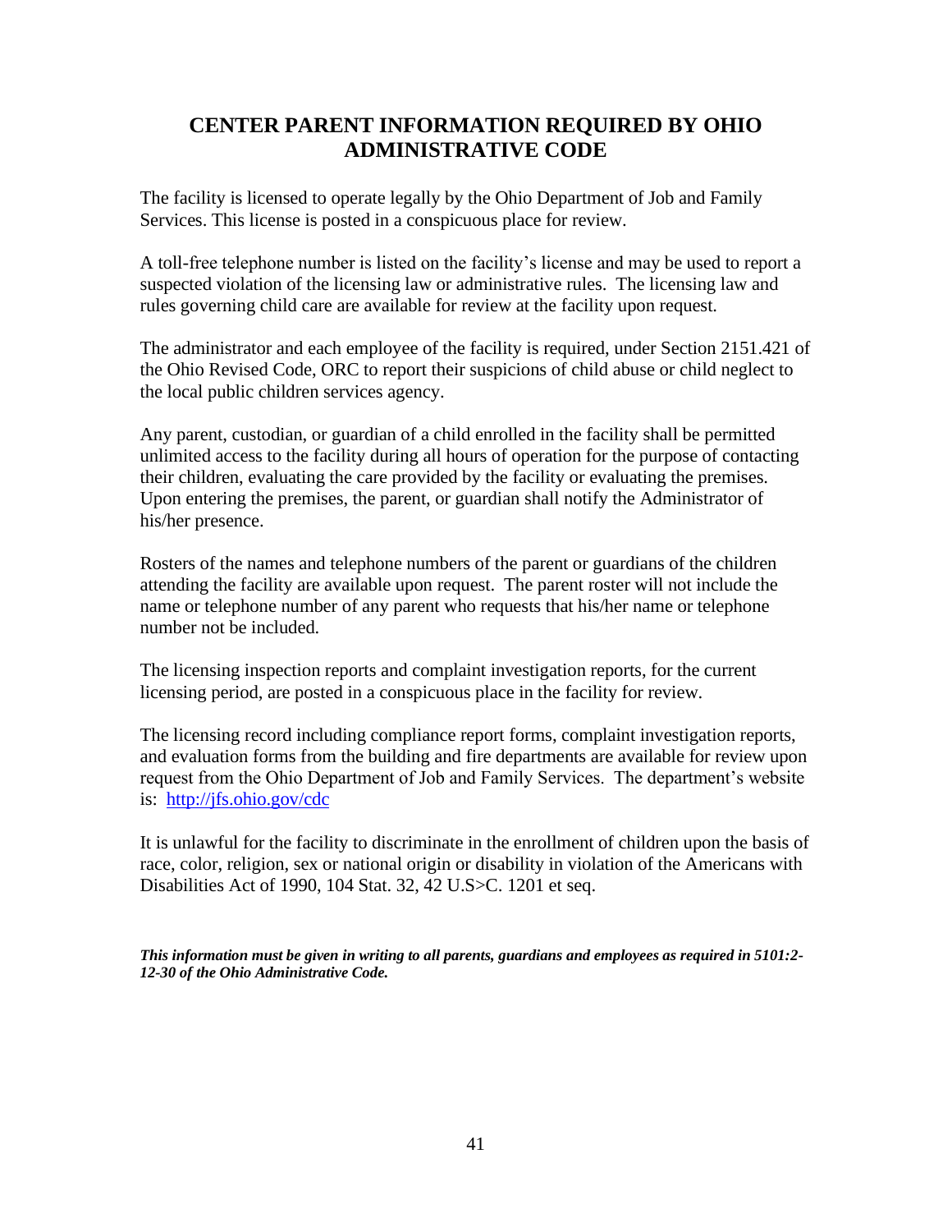### **CENTER PARENT INFORMATION REQUIRED BY OHIO ADMINISTRATIVE CODE**

The facility is licensed to operate legally by the Ohio Department of Job and Family Services. This license is posted in a conspicuous place for review.

A toll-free telephone number is listed on the facility's license and may be used to report a suspected violation of the licensing law or administrative rules. The licensing law and rules governing child care are available for review at the facility upon request.

The administrator and each employee of the facility is required, under Section 2151.421 of the Ohio Revised Code, ORC to report their suspicions of child abuse or child neglect to the local public children services agency.

Any parent, custodian, or guardian of a child enrolled in the facility shall be permitted unlimited access to the facility during all hours of operation for the purpose of contacting their children, evaluating the care provided by the facility or evaluating the premises. Upon entering the premises, the parent, or guardian shall notify the Administrator of his/her presence.

Rosters of the names and telephone numbers of the parent or guardians of the children attending the facility are available upon request. The parent roster will not include the name or telephone number of any parent who requests that his/her name or telephone number not be included.

The licensing inspection reports and complaint investigation reports, for the current licensing period, are posted in a conspicuous place in the facility for review.

The licensing record including compliance report forms, complaint investigation reports, and evaluation forms from the building and fire departments are available for review upon request from the Ohio Department of Job and Family Services. The department's website is: <http://jfs.ohio.gov/cdc>

It is unlawful for the facility to discriminate in the enrollment of children upon the basis of race, color, religion, sex or national origin or disability in violation of the Americans with Disabilities Act of 1990, 104 Stat. 32, 42 U.S>C. 1201 et seq.

*This information must be given in writing to all parents, guardians and employees as required in 5101:2- 12-30 of the Ohio Administrative Code.*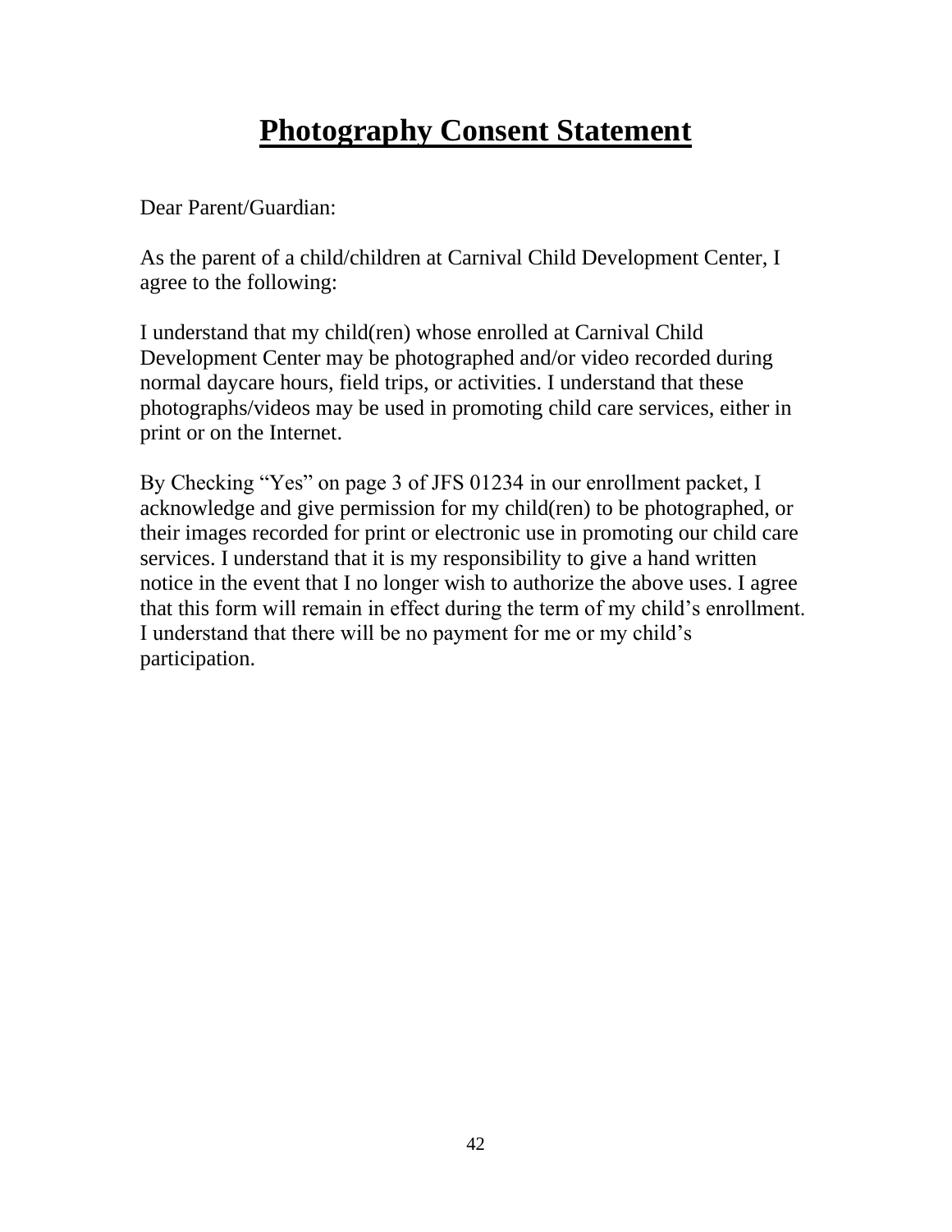## **Photography Consent Statement**

Dear Parent/Guardian:

As the parent of a child/children at Carnival Child Development Center, I agree to the following:

I understand that my child(ren) whose enrolled at Carnival Child Development Center may be photographed and/or video recorded during normal daycare hours, field trips, or activities. I understand that these photographs/videos may be used in promoting child care services, either in print or on the Internet.

By Checking "Yes" on page 3 of JFS 01234 in our enrollment packet, I acknowledge and give permission for my child(ren) to be photographed, or their images recorded for print or electronic use in promoting our child care services. I understand that it is my responsibility to give a hand written notice in the event that I no longer wish to authorize the above uses. I agree that this form will remain in effect during the term of my child's enrollment. I understand that there will be no payment for me or my child's participation.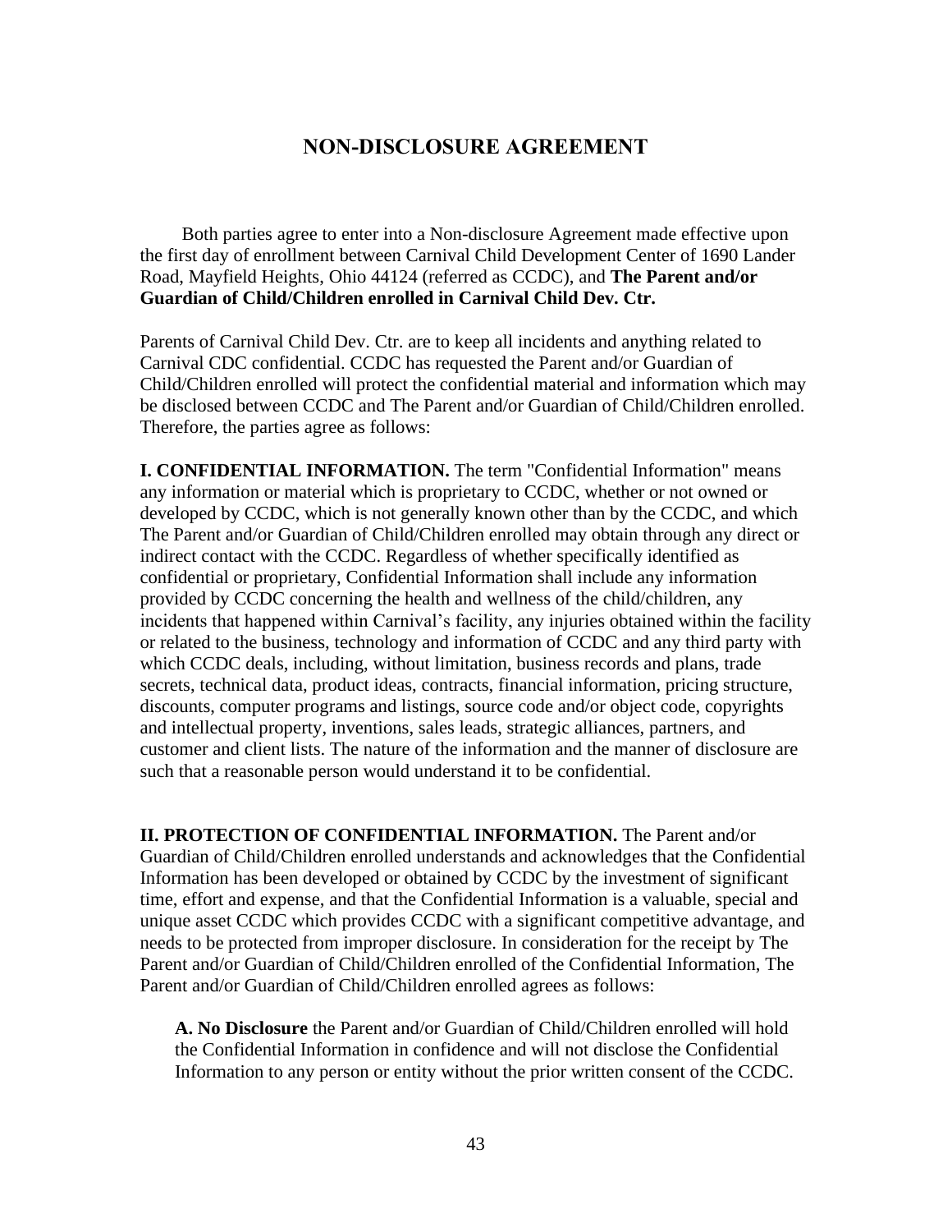#### **NON-DISCLOSURE AGREEMENT**

Both parties agree to enter into a Non-disclosure Agreement made effective upon the first day of enrollment between Carnival Child Development Center of 1690 Lander Road, Mayfield Heights, Ohio 44124 (referred as CCDC), and **The Parent and/or Guardian of Child/Children enrolled in Carnival Child Dev. Ctr.**

Parents of Carnival Child Dev. Ctr. are to keep all incidents and anything related to Carnival CDC confidential. CCDC has requested the Parent and/or Guardian of Child/Children enrolled will protect the confidential material and information which may be disclosed between CCDC and The Parent and/or Guardian of Child/Children enrolled. Therefore, the parties agree as follows:

**I. CONFIDENTIAL INFORMATION.** The term "Confidential Information" means any information or material which is proprietary to CCDC, whether or not owned or developed by CCDC, which is not generally known other than by the CCDC, and which The Parent and/or Guardian of Child/Children enrolled may obtain through any direct or indirect contact with the CCDC. Regardless of whether specifically identified as confidential or proprietary, Confidential Information shall include any information provided by CCDC concerning the health and wellness of the child/children, any incidents that happened within Carnival's facility, any injuries obtained within the facility or related to the business, technology and information of CCDC and any third party with which CCDC deals, including, without limitation, business records and plans, trade secrets, technical data, product ideas, contracts, financial information, pricing structure, discounts, computer programs and listings, source code and/or object code, copyrights and intellectual property, inventions, sales leads, strategic alliances, partners, and customer and client lists. The nature of the information and the manner of disclosure are such that a reasonable person would understand it to be confidential.

**II. PROTECTION OF CONFIDENTIAL INFORMATION.** The Parent and/or Guardian of Child/Children enrolled understands and acknowledges that the Confidential Information has been developed or obtained by CCDC by the investment of significant time, effort and expense, and that the Confidential Information is a valuable, special and unique asset CCDC which provides CCDC with a significant competitive advantage, and needs to be protected from improper disclosure. In consideration for the receipt by The Parent and/or Guardian of Child/Children enrolled of the Confidential Information, The Parent and/or Guardian of Child/Children enrolled agrees as follows:

**A. No Disclosure** the Parent and/or Guardian of Child/Children enrolled will hold the Confidential Information in confidence and will not disclose the Confidential Information to any person or entity without the prior written consent of the CCDC.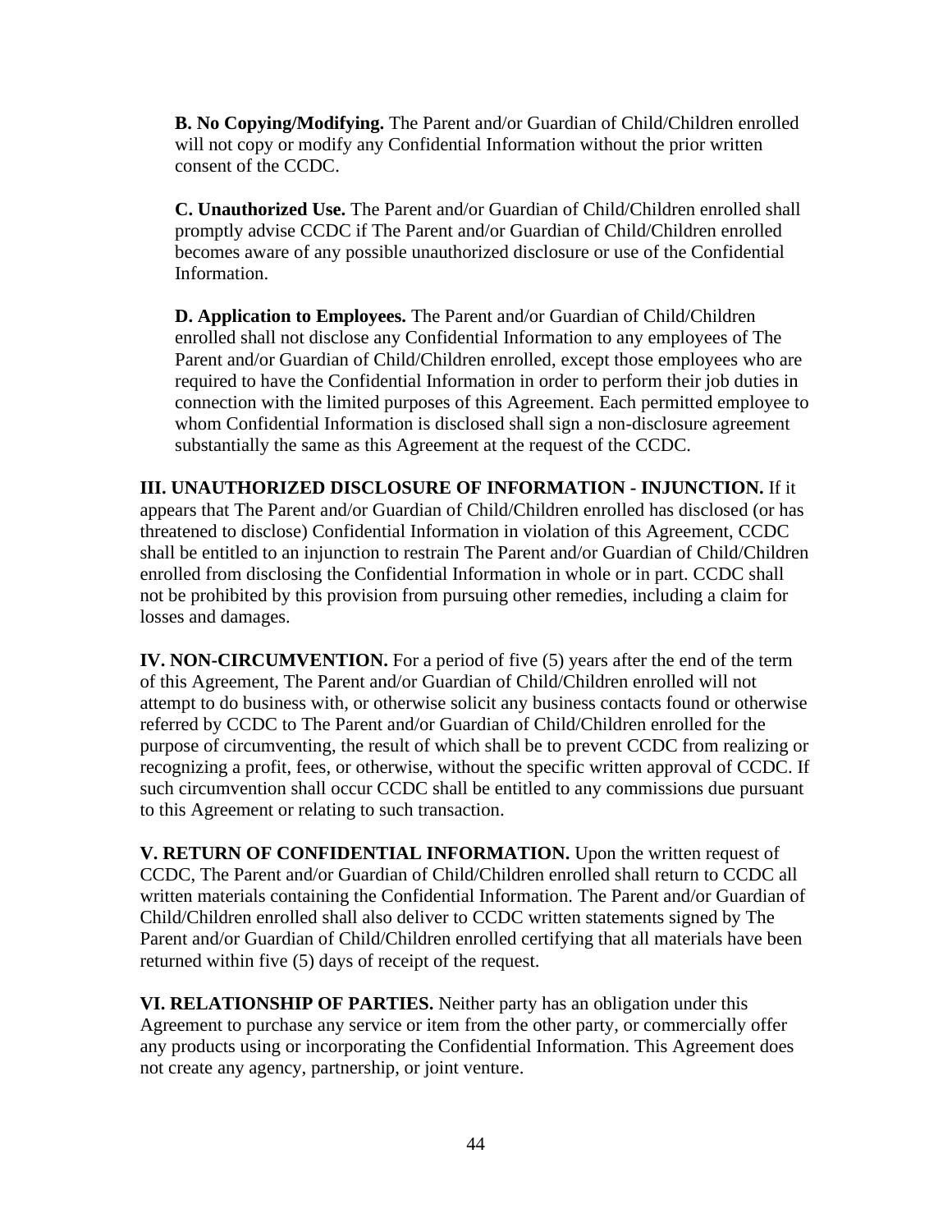**B. No Copying/Modifying.** The Parent and/or Guardian of Child/Children enrolled will not copy or modify any Confidential Information without the prior written consent of the CCDC.

**C. Unauthorized Use.** The Parent and/or Guardian of Child/Children enrolled shall promptly advise CCDC if The Parent and/or Guardian of Child/Children enrolled becomes aware of any possible unauthorized disclosure or use of the Confidential Information.

**D. Application to Employees.** The Parent and/or Guardian of Child/Children enrolled shall not disclose any Confidential Information to any employees of The Parent and/or Guardian of Child/Children enrolled, except those employees who are required to have the Confidential Information in order to perform their job duties in connection with the limited purposes of this Agreement. Each permitted employee to whom Confidential Information is disclosed shall sign a non-disclosure agreement substantially the same as this Agreement at the request of the CCDC.

**III. UNAUTHORIZED DISCLOSURE OF INFORMATION - INJUNCTION.** If it appears that The Parent and/or Guardian of Child/Children enrolled has disclosed (or has threatened to disclose) Confidential Information in violation of this Agreement, CCDC shall be entitled to an injunction to restrain The Parent and/or Guardian of Child/Children enrolled from disclosing the Confidential Information in whole or in part. CCDC shall not be prohibited by this provision from pursuing other remedies, including a claim for losses and damages.

**IV. NON-CIRCUMVENTION.** For a period of five (5) years after the end of the term of this Agreement, The Parent and/or Guardian of Child/Children enrolled will not attempt to do business with, or otherwise solicit any business contacts found or otherwise referred by CCDC to The Parent and/or Guardian of Child/Children enrolled for the purpose of circumventing, the result of which shall be to prevent CCDC from realizing or recognizing a profit, fees, or otherwise, without the specific written approval of CCDC. If such circumvention shall occur CCDC shall be entitled to any commissions due pursuant to this Agreement or relating to such transaction.

**V. RETURN OF CONFIDENTIAL INFORMATION.** Upon the written request of CCDC, The Parent and/or Guardian of Child/Children enrolled shall return to CCDC all written materials containing the Confidential Information. The Parent and/or Guardian of Child/Children enrolled shall also deliver to CCDC written statements signed by The Parent and/or Guardian of Child/Children enrolled certifying that all materials have been returned within five (5) days of receipt of the request.

**VI. RELATIONSHIP OF PARTIES.** Neither party has an obligation under this Agreement to purchase any service or item from the other party, or commercially offer any products using or incorporating the Confidential Information. This Agreement does not create any agency, partnership, or joint venture.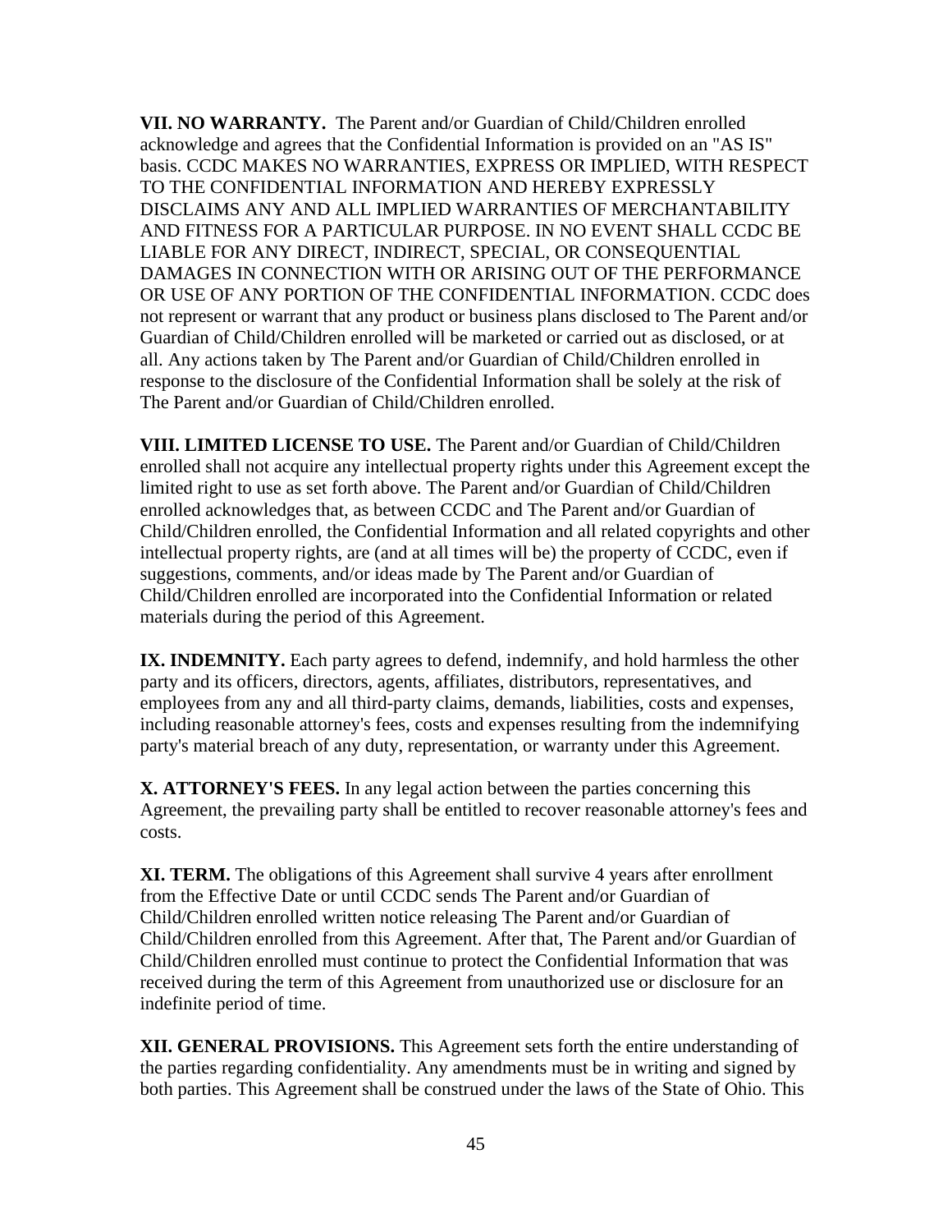**VII. NO WARRANTY.** The Parent and/or Guardian of Child/Children enrolled acknowledge and agrees that the Confidential Information is provided on an "AS IS" basis. CCDC MAKES NO WARRANTIES, EXPRESS OR IMPLIED, WITH RESPECT TO THE CONFIDENTIAL INFORMATION AND HEREBY EXPRESSLY DISCLAIMS ANY AND ALL IMPLIED WARRANTIES OF MERCHANTABILITY AND FITNESS FOR A PARTICULAR PURPOSE. IN NO EVENT SHALL CCDC BE LIABLE FOR ANY DIRECT, INDIRECT, SPECIAL, OR CONSEQUENTIAL DAMAGES IN CONNECTION WITH OR ARISING OUT OF THE PERFORMANCE OR USE OF ANY PORTION OF THE CONFIDENTIAL INFORMATION. CCDC does not represent or warrant that any product or business plans disclosed to The Parent and/or Guardian of Child/Children enrolled will be marketed or carried out as disclosed, or at all. Any actions taken by The Parent and/or Guardian of Child/Children enrolled in response to the disclosure of the Confidential Information shall be solely at the risk of The Parent and/or Guardian of Child/Children enrolled.

**VIII. LIMITED LICENSE TO USE.** The Parent and/or Guardian of Child/Children enrolled shall not acquire any intellectual property rights under this Agreement except the limited right to use as set forth above. The Parent and/or Guardian of Child/Children enrolled acknowledges that, as between CCDC and The Parent and/or Guardian of Child/Children enrolled, the Confidential Information and all related copyrights and other intellectual property rights, are (and at all times will be) the property of CCDC, even if suggestions, comments, and/or ideas made by The Parent and/or Guardian of Child/Children enrolled are incorporated into the Confidential Information or related materials during the period of this Agreement.

**IX. INDEMNITY.** Each party agrees to defend, indemnify, and hold harmless the other party and its officers, directors, agents, affiliates, distributors, representatives, and employees from any and all third-party claims, demands, liabilities, costs and expenses, including reasonable attorney's fees, costs and expenses resulting from the indemnifying party's material breach of any duty, representation, or warranty under this Agreement.

**X. ATTORNEY'S FEES.** In any legal action between the parties concerning this Agreement, the prevailing party shall be entitled to recover reasonable attorney's fees and costs.

**XI. TERM.** The obligations of this Agreement shall survive 4 years after enrollment from the Effective Date or until CCDC sends The Parent and/or Guardian of Child/Children enrolled written notice releasing The Parent and/or Guardian of Child/Children enrolled from this Agreement. After that, The Parent and/or Guardian of Child/Children enrolled must continue to protect the Confidential Information that was received during the term of this Agreement from unauthorized use or disclosure for an indefinite period of time.

**XII. GENERAL PROVISIONS.** This Agreement sets forth the entire understanding of the parties regarding confidentiality. Any amendments must be in writing and signed by both parties. This Agreement shall be construed under the laws of the State of Ohio. This